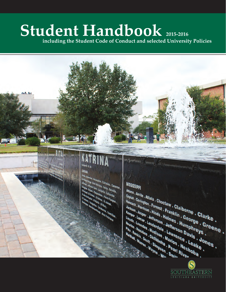# Student Handbook 2015-2016

**including the Student Code of Conduct and selected University Policies**

## **Kinicane OR** 29 INC LOUISIANA

*Azada, Ascension, Assumption, Calcasieu, Cameron,<br>Listalion Power, East Feliciana, Iberia, Cameron, Calcasieu, Cameron, ...<br>Listalion Offenson Davis . Lafavan, ... Iberia, Ibervilla, ...<br>St. Ballan, Offens, .... ... Lafa* **Acada . Accension . Assumption . Calcasieu . Camerol**<br>Accense . Accension . Assumption . Calcasieu . Camerol<br>Accessor . Accense . East Feliciana . Iberia . Iberville<br>Bi Benad, St Charles . Slaguette . Lalourche .<br>Si Panna <sup>erson</sup> deflerson Davis Lefayieur , Camery<br>Band , Charles , Davis Lefayieur , Lefayieur , Lefayieur , Lefayieur , Lefayieur , Lefayieur , Lefayieur , Lefayieur , Lefayieur , Lefayieur , Lefayieur , Lefayieur , Lefayieur , **University Of Default 15 April 15 April 16 April 16 April 16 April 16 April 16 April 16 April 16 April 16 April 16 April 16 April 16 April 16 April 16 April 16 April 16 April 16 April 16 April 16 April 16 April 16 April 1 St Semant St Design Calls (St Lat.)**<br>St James St Charles - St Lat.<br>St James Baptist - St Helena - St Lat.<br>St Tames Baptist - St Helena - St James<br>Washington - West Baton Borrebonne.<br>- . **Contract States Points Coupe, 1996**<br>
Manuscription States (Supplement States)<br>
Manuscription States (Supplement States)<br>
Method Manuscription (Supplement States)<br>
Property (Supplement States)<br>
Property (Supplement States) **Estate Strategy of the Strategy of the Strategy of the Strategy of the Strategy of the Strategy of the Strategy**<br>Best Baton Bouge . West Felician and Strategy of the Strategy of the Strategy of the Strategy of the Strateg

**MISSISSIPPI** Adams . Amite . Attala . Choctaw . Claiborne . Clarke .<br>
Hancock . Harrison . Hinds . Franklin . George . Clarke .<br>
Kemper . Jasper . Jefferson . Jefferson . Jefferson Davis .<br>
Newton . Lowndes . Madderdale . Lawrence . Gr Copiah. Covington. Forrest. Franklin. George. Gr.<br>Warkson. Jasper. Jefferson. Hinds. Hallborne. Clark<br>Kemper. Jasper. Jefferson. Holmes. Humphreys. Gr.<br>Newton. Lowndes. Madison. Jefferson Davis. Gr.<br>Pike. Rankin. So. Oktib Hancock, Harrison, Hinds, Holmes, Humphreys, Greene<br>
Walthall, Warren, Joseph, Mariann, Merce, Jones, Holmes, Humphreys, Greene<br>
Walthall, Warren, Joseph, Marion, Harrison, Marion, Warren, Wayneson, Pearl Disconce, Marian, Jackson, Jarrison, Hinds, Holmes, Humphreys, Jackson, Jefferson, Jefferson, Davis<br>
Wewton, Jasper, Jefferson, Jefferson, Davis<br>
Wewton, Novides, Madison, Jefferson, Davis<br>
Walthall, Warren, Uktibbeha, Pearl, Neshoba<br>
This Kemper, Lasper, Jefferson, George . Cla<br>Lincoln, Lamar, Jefferson, Jefferson Davis . C<br>Mewton, Noxubes . Madison . Jefferson Davis . Jo<br>Pike, Rankin, Scott, Simpson . Marion . Neshoke . Jo<br>Walthall . Waren, Warnen . Meshob Lincoln, Lamar, Jefferson, Jefferson, Humplewton, Nowndes, Madison, Jefferson, David Pike, Randon, New York, Number of Legard River, Legard River, Wayne, Williams, Marion, Madison, Marion, Nesho, Jefferson, David Wayne, Wa Newton , Noxubes , Madison , Laterson<br>Walthall , Warren , Waltime , Lawrence<br>Walthall , Warren , Wayne , Desert , Simpson , Pearl R

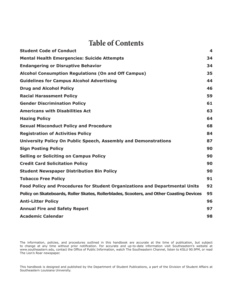## **Table of Contents**

| <b>Student Code of Conduct</b>                                                           | 4  |
|------------------------------------------------------------------------------------------|----|
| <b>Mental Health Emergencies: Suicide Attempts</b>                                       | 34 |
| <b>Endangering or Disruptive Behavior</b>                                                | 34 |
| <b>Alcohol Consumption Regulations (On and Off Campus)</b>                               | 35 |
| <b>Guidelines for Campus Alcohol Advertising</b>                                         | 44 |
| <b>Drug and Alcohol Policy</b>                                                           | 46 |
| <b>Racial Harassment Policy</b>                                                          | 59 |
| <b>Gender Discrimination Policy</b>                                                      | 61 |
| <b>Americans with Disabilities Act</b>                                                   | 63 |
| <b>Hazing Policy</b>                                                                     | 64 |
| <b>Sexual Misconduct Policy and Procedure</b>                                            | 68 |
| <b>Registration of Activities Policy</b>                                                 | 84 |
| University Policy On Public Speech, Assembly and Demonstrations                          | 87 |
| <b>Sign Posting Policy</b>                                                               | 90 |
| <b>Selling or Soliciting on Campus Policy</b>                                            | 90 |
| <b>Credit Card Solicitation Policy</b>                                                   | 90 |
| <b>Student Newspaper Distribution Bin Policy</b>                                         | 90 |
| <b>Tobacco Free Policy</b>                                                               | 91 |
| Food Policy and Procedures for Student Organizations and Departmental Units              | 92 |
| Policy on Skateboards, Roller Skates, Rollerblades, Scooters, and Other Coasting Devices | 95 |
| <b>Anti-Litter Policy</b>                                                                | 96 |
| <b>Annual Fire and Safety Report</b>                                                     | 97 |
| <b>Academic Calendar</b>                                                                 | 98 |
|                                                                                          |    |

The information, policies, and procedures outlined in this handbook are accurate at the time of publication, but subject to change at any time without prior notification. For accurate and up-to-date information visit Southeastern's website at www.southeastern.edu, contact the Office of Public Information, watch The Southeastern Channel, listen to KSLU 90.9FM, or read The Lion's Roar newspaper.

This handbook is designed and published by the Department of Student Publications, a part of the Division of Student Affairs at Southeastern Louisiana University.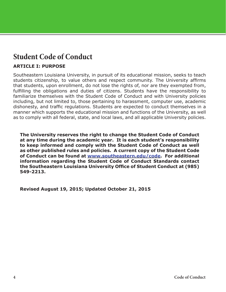## <span id="page-3-0"></span>**Student Code of Conduct**

#### **ARTICLE I: PURPOSE**

Southeastern Louisiana University, in pursuit of its educational mission, seeks to teach students citizenship, to value others and respect community. The University affirms that students, upon enrollment, do not lose the rights of, nor are they exempted from, fulfilling the obligations and duties of citizens. Students have the responsibility to familiarize themselves with the Student Code of Conduct and with University policies including, but not limited to, those pertaining to harassment, computer use, academic dishonesty, and traffic regulations. Students are expected to conduct themselves in a manner which supports the educational mission and functions of the University, as well as to comply with all federal, state, and local laws, and all applicable University policies.

**The University reserves the right to change the Student Code of Conduct at any time during the academic year. It is each student's responsibility to keep informed and comply with the Student Code of Conduct as well as other published rules and policies. A current copy of the Student Code of Conduct can be found at [www.southeastern.edu/code.](www.selu.edu/code) For additional information regarding the Student Code of Conduct Standards contact the Southeastern Louisiana University Office of Student Conduct at (985) 549-2213.**

**Revised August 19, 2015; Updated October 21, 2015**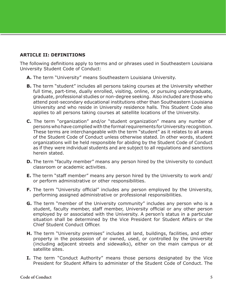#### **ARTICLE II: DEFINITIONS**

The following definitions apply to terms and or phrases used in Southeastern Louisiana University Student Code of Conduct:

- **A.** The term "University" means Southeastern Louisiana University.
- **B.** The term "student" includes all persons taking courses at the University whether full time, part-time, dually enrolled, visiting, online, or pursuing undergraduate, graduate, professional studies or non-degree seeking. Also included are those who attend post-secondary educational institutions other than Southeastern Louisiana University and who reside in University residence halls. This Student Code also applies to all persons taking courses at satellite locations of the University.
- **C.** The term "organization" and/or "student organization" means any number of persons who have complied with the formal requirements for University recognition. These terms are interchangeable with the term "student" as it relates to all areas of the Student Code of Conduct unless otherwise stated. In other words, student organizations will be held responsible for abiding by the Student Code of Conduct as if they were individual students and are subject to all regulations and sanctions herein stated.
- **D.** The term "faculty member" means any person hired by the University to conduct classroom or academic activities.
- **E.** The term "staff member" means any person hired by the University to work and/ or perform administrative or other responsibilities.
- **F.** The term "University official" includes any person employed by the University, performing assigned administrative or professional responsibilities.
- **G.** The term "member of the University community" includes any person who is a student, faculty member, staff member, University official or any other person employed by or associated with the University. A person's status in a particular situation shall be determined by the Vice President for Student Affairs or the Chief Student Conduct Officer.
- **H.** The term "University premises" includes all land, buildings, facilities, and other property in the possession of or owned, used, or controlled by the University (including adjacent streets and sidewalks), either on the main campus or at satellite sites.
- **I.** The term "Conduct Authority" means those persons designated by the Vice President for Student Affairs to administer of the Student Code of Conduct. The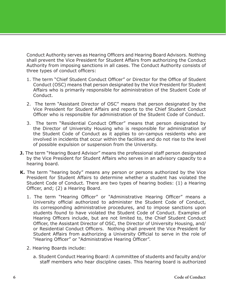Conduct Authority serves as Hearing Officers and Hearing Board Advisors. Nothing shall prevent the Vice President for Student Affairs from authorizing the Conduct Authority from imposing sanctions in all cases. The Conduct Authority consists of three types of conduct officers:

- 1. The term "Chief Student Conduct Officer" or Director for the Office of Student Conduct (OSC) means that person designated by the Vice President for Student Affairs who is primarily responsible for administration of the Student Code of Conduct.
- 2. The term "Assistant Director of OSC" means that person designated by the Vice President for Student Affairs and reports to the Chief Student Conduct Officer who is responsible for administration of the Student Code of Conduct.
- 3. The term "Residential Conduct Officer" means that person designated by the Director of University Housing who is responsible for administration of the Student Code of Conduct as it applies to on-campus residents who are involved in incidents that occur within the facilities and do not rise to the level of possible expulsion or suspension from the University.
- **J.** The term "Hearing Board Advisor" means the professional staff person designated by the Vice President for Student Affairs who serves in an advisory capacity to a hearing board.
- **K.** The term "hearing body" means any person or persons authorized by the Vice President for Student Affairs to determine whether a student has violated the Student Code of Conduct. There are two types of hearing bodies: (1) a Hearing Officer, and; (2) a Hearing Board.
	- 1. The term "Hearing Officer" or "Administrative Hearing Officer" means a University official authorized to administer the Student Code of Conduct, its corresponding administrative procedures, and to impose sanctions upon students found to have violated the Student Code of Conduct. Examples of Hearing Officers include, but are not limited to, the Chief Student Conduct Officer, the Assistant Director of OSC, the Director of University Housing, and/ or Residential Conduct Officers. Nothing shall prevent the Vice President for Student Affairs from authorizing a University Official to serve in the role of "Hearing Officer" or "Administrative Hearing Officer".
	- 2. Hearing Boards include:
		- a. Student Conduct Hearing Board: A committee of students and faculty and/or staff members who hear discipline cases. This hearing board is authorized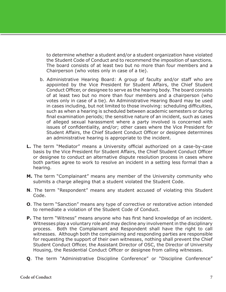to determine whether a student and/or a student organization have violated the Student Code of Conduct and to recommend the imposition of sanctions. The board consists of at least two but no more than four members and a Chairperson (who votes only in case of a tie).

- b. Administrative Hearing Board: A group of faculty and/or staff who are appointed by the Vice President for Student Affairs, the Chief Student Conduct Officer, or designee to serve as the hearing body. The board consists of at least two but no more than four members and a chairperson (who votes only in case of a tie). An Administrative Hearing Board may be used in cases including, but not limited to those involving: scheduling difficulties, such as when a hearing is scheduled between academic semesters or during final examination periods; the sensitive nature of an incident, such as cases of alleged sexual harassment where a party involved is concerned with issues of confidentiality, and/or; other cases where the Vice President for Student Affairs, the Chief Student Conduct Officer or designee determines an administrative hearing is appropriate to the incident.
- **L.** The term "Mediator" means a University official authorized on a case-by-case basis by the Vice President for Student Affairs, the Chief Student Conduct Officer or designee to conduct an alternative dispute resolution process in cases where both parties agree to work to resolve an incident in a setting less formal than a hearing.
- **M.** The term "Complainant" means any member of the University community who submits a charge alleging that a student violated the Student Code.
- **N**. The term "Respondent" means any student accused of violating this Student Code.
- **O**. The term "Sanction" means any type of corrective or restorative action intended to remediate a violation of the Student Code of Conduct.
- **P.** The term "Witness" means anyone who has first hand knowledge of an incident. Witnesses play a voluntary role and may decline any involvement in the disciplinary process. Both the Complainant and Respondent shall have the right to call witnesses. Although both the complaining and responding parties are responsible for requesting the support of their own witnesses, nothing shall prevent the Chief Student Conduct Officer, the Assistant Director of OSC, the Director of University Housing, the Residential Conduct Officer or designee from calling witnesses.
- **Q**. The term "Administrative Discipline Conference" or "Discipline Conference"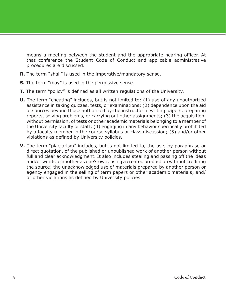means a meeting between the student and the appropriate hearing officer. At that conference the Student Code of Conduct and applicable administrative procedures are discussed.

- **R.** The term "shall" is used in the imperative/mandatory sense.
- **S.** The term "may" is used in the permissive sense.
- **T.** The term "policy" is defined as all written regulations of the University.
- **U.** The term "cheating" includes, but is not limited to: (1) use of any unauthorized assistance in taking quizzes, tests, or examinations; (2) dependence upon the aid of sources beyond those authorized by the instructor in writing papers, preparing reports, solving problems, or carrying out other assignments; (3) the acquisition, without permission, of tests or other academic materials belonging to a member of the University faculty or staff; (4) engaging in any behavior specifically prohibited by a faculty member in the course syllabus or class discussion; (5) and/or other violations as defined by University policies.
- **V.** The term "plagiarism" includes, but is not limited to, the use, by paraphrase or direct quotation, of the published or unpublished work of another person without full and clear acknowledgment. It also includes stealing and passing off the ideas and/or words of another as one's own; using a created production without crediting the source; the unacknowledged use of materials prepared by another person or agency engaged in the selling of term papers or other academic materials; and/ or other violations as defined by University policies.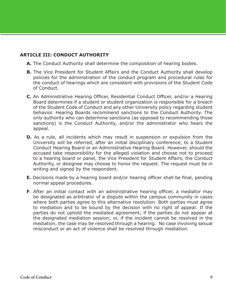#### **ARTICLE III: CONDUCT AUTHORITY**

- **A.** The Conduct Authority shall determine the composition of hearing bodies.
- **B.** The Vice President for Student Affairs and the Conduct Authority shall develop policies for the administration of the conduct program and procedural rules for the conduct of hearings which are consistent with provisions of the Student Code of Conduct.
- **C.** An Administrative Hearing Officer, Residential Conduct Officer, and/or a Hearing Board determines if a student or student organization is responsible for a breach of the Student Code of Conduct and any other University policy regarding student behavior. Hearing Boards recommend sanctions to the Conduct Authority. The only authority who can determine sanctions (as opposed to recommending those sanctions) is the Conduct Authority, and/or the administrator who hears the appeal.
- **D.** As a rule, all incidents which may result in suspension or expulsion from the University will be referred, after an initial disciplinary conference, to a Student Conduct Hearing Board or an Administrative Hearing Board. However, should the accused take responsibility for the alleged violation and choose not to proceed to a hearing board or panel, the Vice President for Student Affairs, the Conduct Authority, or designee may choose to honor the request. The request must be in writing and signed by the respondent.
- **E.** Decisions made by a hearing board and/or hearing officer shall be final, pending normal appeal procedures.
- **F**. After an initial contact with an administrative hearing officer, a mediator may be designated as arbitrator of a dispute within the campus community in cases where both parties agree to this alternative resolution. Both parties must agree to mediation and to be bound by the decision with no right of appeal. If the parties do not uphold the mediated agreement; if the parties do not appear at the designated mediation session; or, if the incident cannot be resolved in the mediation, the case may be resolved through a hearing. No case involving sexual misconduct or an act of violence shall be resolved through mediation.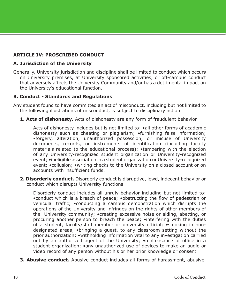#### **ARTICLE IV: PROSCRIBED CONDUCT**

#### **A. Jurisdiction of the University**

Generally, University jurisdiction and discipline shall be limited to conduct which occurs on University premises, at University sponsored activities, or off-campus conduct that adversely affects the University Community and/or has a detrimental impact on the University's educational function.

#### **B. Conduct - Standards and Regulations**

Any student found to have committed an act of misconduct, including but not limited to the following illustrations of misconduct, is subject to disciplinary action:

**1. Acts of dishonesty.** Acts of dishonesty are any form of fraudulent behavior.

Acts of dishonesty includes but is not limited to: •all other forms of academic dishonesty such as cheating or plagiarism; •furnishing false information; •forgery, alteration, unauthorized possession, or misuse of University documents, records, or instruments of identification (including faculty materials related to the educational process); •tampering with the election of any University-recognized student organization or University-recognized event; •ineligible association in a student organization or University-recognized event; •collusion; •writing checks to the University on a closed account or on accounts with insufficient funds.

**2. Disorderly conduct.** Disorderly conduct is disruptive, lewd, indecent behavior or conduct which disrupts University functions.

Disorderly conduct includes all unruly behavior including but not limited to: •conduct which is a breach of peace; •obstructing the flow of pedestrian or vehicular traffic; •conducting a campus demonstration which disrupts the operations of the University and infringes on the rights of other members of the University community; •creating excessive noise or aiding, abetting, or procuring another person to breach the peace; •interfering with the duties of a student, faculty/staff member or university official; •smoking in nondesignated areas; •bringing a guest, to any classroom setting without the prior authorization; •withholding information vital to any investigation carried out by an authorized agent of the University; •malfeasance of office in a student organization; •any unauthorized use of devices to make an audio or video record of any person without his or her prior knowledge or consent.

**3. Abusive conduct.** Abusive conduct includes all forms of harassment, abusive,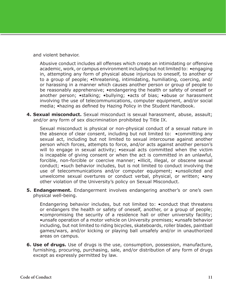and violent behavior.

Abusive conduct includes all offenses which create an intimidating or offensive academic, work, or campus environment including but not limited to: •engaging in, attempting any form of physical abuse injurious to oneself, to another or to a group of people; •threatening, intimidating, humiliating, coercing, and/ or harassing in a manner which causes another person or group of people to be reasonably apprehensive; •endangering the health or safety of oneself or another person; •stalking; •bullying; •acts of bias; •abuse or harassment involving the use of telecommunications, computer equipment, and/or social media; •hazing as defined by Hazing Policy in the Student Handbook.

**4. Sexual misconduct.** Sexual misconduct is sexual harassment, abuse, assault; and/or any form of sex discrimination prohibited by Title IX.

Sexual misconduct is physical or non-physical conduct of a sexual nature in the absence of clear consent, including but not limited to: •committing any sexual act, including but not limited to sexual intercourse against another person which forces, attempts to force, and/or acts against another person's will to engage in sexual activity; • sexual acts committed when the victim is incapable of giving consent or when the act is committed in an unlawful, forcible, non-forcible or coercive manner; •illicit, illegal, or obscene sexual conduct; •such behavior includes, but is not limited to conduct involving the use of telecommunications and/or computer equipment; •unsolicited and unwelcome sexual overtures or conduct verbal, physical, or written; •any other violation of the University's policy on Sexual Misconduct.

**5. Endangerment.** Endangerment involves endangering another's or one's own physical well-being.

Endangering behavior includes, but not limited to: •conduct that threatens or endangers the health or safety of oneself, another, or a group of people; •compromising the security of a residence hall or other university facility; •unsafe operation of a motor vehicle on University premises; •unsafe behavior including, but not limited to riding bicycles, skateboards, roller blades, paintball games/wars, and/or kicking or playing ball unsafely and/or in unauthorized areas on campus.

**6. Use of drugs.** Use of drugs is the use, consumption, possession, manufacture, furnishing, procuring, purchasing, sale, and/or distribution of any form of drugs except as expressly permitted by law.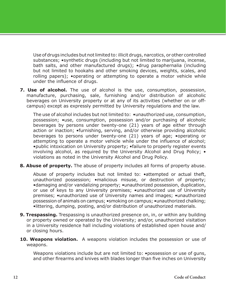Use of drugs includes but not limited to: illicit drugs, narcotics, or other controlled substances; •synthetic drugs (including but not limited to marijuana, incense, bath salts, and other manufactured drugs); •drug paraphernalia (including but not limited to hookahs and other smoking devices, weights, scales, and rolling papers); •operating or attempting to operate a motor vehicle while under the influence of drugs.

**7. Use of alcohol.** The use of alcohol is the use, consumption, possession, manufacture, purchasing, sale, furnishing and/or distribution of alcoholic beverages on University property or at any of its activities (whether on or offcampus) except as expressly permitted by University regulations and the law.

The use of alcohol includes but not limited to:  $\bullet$ unauthorized use, consumption, possession; •use, consumption, possession and/or purchasing of alcoholic beverages by persons under twenty-one (21) years of age either through action or inaction; •furnishing, serving, and/or otherwise providing alcoholic beverages to persons under twenty-one (21) years of age; •operating or attempting to operate a motor vehicle while under the influence of alcohol; •public intoxication on University property; •failure to properly register events involving alcohol, as required by the University Alcohol and Drug Policy; • violations as noted in the University Alcohol and Drug Policy.

**8. Abuse of property.** The abuse of property includes all forms of property abuse.

Abuse of property includes but not limited to: •attempted or actual theft, unauthorized possession; •malicious misuse, or destruction of property; •damaging and/or vandalizing property; •unauthorized possession, duplication, or use of keys to any University premises; •unauthorized use of University premises; •unauthorized use of University names and images; •unauthorized possession of animals on campus; •smoking on campus; •unauthorized chalking; •littering, dumping, posting, and/or distribution of unauthorized materials.

- **9. Trespassing.** Trespassing is unauthorized presence on, in, or within any building or property owned or operated by the University; and/or, unauthorized visitation in a University residence hall including violations of established open house and/ or closing hours.
- **10. Weapons violation.** A weapons violation includes the possession or use of weapons.

Weapons violations include but are not limited to: . possession or use of guns, and other firearms and knives with blades longer than five inches on University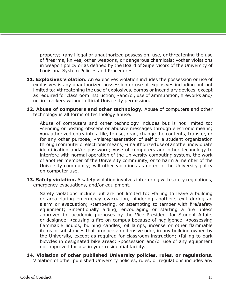property; •any illegal or unauthorized possession, use, or threatening the use of firearms, knives, other weapons, or dangerous chemicals; •other violations in weapon policy or as defined by the Board of Supervisors of the University of Louisiana System Policies and Procedures.

- **11. Explosives violation.** An explosives violation includes the possession or use of explosives is any unauthorized possession or use of explosives including but not limited to: •threatening the use of explosives, bombs or incendiary devices, except as required for classroom instruction; •and/or, use of ammunition, fireworks and/ or firecrackers without official University permission.
- 12. Abuse of computers and other technology. Abuse of computers and other technology is all forms of technology abuse.

Abuse of computers and other technology includes but is not limited to: •sending or posting obscene or abusive messages through electronic means; •unauthorized entry into a file, to use, read, change the contents, transfer, or for any other purpose; •misrepresentation of self or a student organization through computer or electronic means; •unauthorized use of another individual's identification and/or password; •use of computers and other technology to interfere with normal operation of the University computing system, the work of another member of the University community, or to harm a member of the University community; •all other violations as noted in the University policy on computer use.

**13. Safety violation.** A safety violation involves interfering with safety regulations, emergency evacuations, and/or equipment.

Safety violations include but are not limited to: •failing to leave a building or area during emergency evacuation, hindering another's exit during an alarm or evacuation; •tampering, or attempting to tamper with fire/safety equipment; •intentionally aiding, encouraging or starting a fire unless approved for academic purposes by the Vice President for Student Affairs or designee; •causing a fire on campus because of negligence; •possessing flammable liquids, burning candles, oil lamps, incense or other flammable items or substances that produce an offensive odor, in any building owned by the University, except as required for classroom instruction; •failing to park bicycles in designated bike areas; •possession and/or use of any equipment not approved for use in your residential facility.

**14. Violation of other published University policies, rules, or regulations.** Violation of other published University policies, rules, or regulations includes any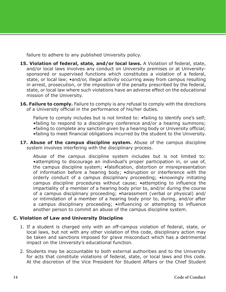failure to adhere to any published University policy.

- **15. Violation of federal, state, and/or local laws.** A Violation of federal, state, and/or local laws involves any conduct on University premises or at Universitysponsored or supervised functions which constitutes a violation of a federal, state, or local law; •and/or, illegal activity occurring away from campus resulting in arrest, prosecution, or the imposition of the penalty prescribed by the federal, state, or local law where such violations have an adverse effect on the educational mission of the University.
- **16. Failure to comply.** Failure to comply is any refusal to comply with the directions of a University official in the performance of his/her duties.

Failure to comply includes but is not limited to:  $\bullet$  failing to identify one's self; •failing to respond to a disciplinary conference and/or a hearing summons; •failing to complete any sanction given by a hearing body or University official; •failing to meet financial obligations incurred by the student to the University.

**17. Abuse of the campus discipline system.** Abuse of the campus discipline system involves interfering with the disciplinary process.

Abuse of the campus discipline system includes but is not limited to: •attempting to discourage an individual's proper participation in, or use of, the campus discipline system; •falsification, distortion or misrepresentation of information before a hearing body; •disruption or interference with the orderly conduct of a campus disciplinary proceeding; •knowingly initiating campus discipline procedures without cause; •attempting to influence the impartiality of a member of a hearing body prior to, and/or during the course of a campus disciplinary proceeding; •harassment (verbal or physical) and/ or intimidation of a member of a hearing body prior to, during, and/or after a campus disciplinary proceeding; •influencing or attempting to influence another person to commit an abuse of the campus discipline system.

#### **C. Violation of Law and University Discipline**

- 1. If a student is charged only with an off-campus violation of federal, state, or local laws, but not with any other violation of this code, disciplinary action may be taken and sanctions imposed for grave misconduct which has a detrimental impact on the University's educational function.
- 2. Students may be accountable to both external authorities and to the University for acts that constitute violations of federal, state, or local laws and this code. At the discretion of the Vice President for Student Affairs or the Chief Student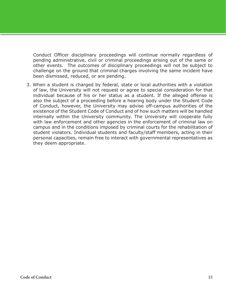Conduct Officer disciplinary proceedings will continue normally regardless of pending administrative, civil or criminal proceedings arising out of the same or other events. The outcomes of disciplinary proceedings will not be subject to challenge on the ground that criminal charges involving the same incident have been dismissed, reduced, or are pending.

3. When a student is charged by federal, state or local authorities with a violation of law, the University will not request or agree to special consideration for that individual because of his or her status as a student. If the alleged offense is also the subject of a proceeding before a hearing body under the Student Code of Conduct, however, the University may advise off-campus authorities of the existence of the Student Code of Conduct and of how such matters will be handled internally within the University community. The University will cooperate fully with law enforcement and other agencies in the enforcement of criminal law on campus and in the conditions imposed by criminal courts for the rehabilitation of student violators. Individual students and faculty/staff members, acting in their personal capacities, remain free to interact with governmental representatives as they deem appropriate.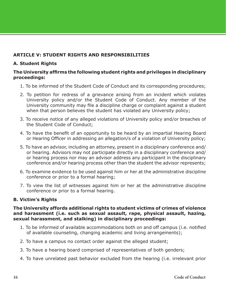#### **ARTICLE V: STUDENT RIGHTS AND RESPONSIBILITIES**

#### **A. Student Rights**

#### **The University affirms the following student rights and privileges in disciplinary proceedings:**

- 1. To be informed of the Student Code of Conduct and its corresponding procedures;
- 2. To petition for redress of a grievance arising from an incident which violates University policy and/or the Student Code of Conduct. Any member of the University community may file a discipline charge or complaint against a student when that person believes the student has violated any University policy;
- 3. To receive notice of any alleged violations of University policy and/or breaches of the Student Code of Conduct;
- 4. To have the benefit of an opportunity to be heard by an impartial Hearing Board or Hearing Officer in addressing an allegation/s of a violation of University policy;
- 5. To have an advisor, including an attorney, present in a disciplinary conference and/ or hearing. Advisors may not participate directly in a disciplinary conference and/ or hearing process nor may an advisor address any participant in the disciplinary conference and/or hearing process other than the student the advisor represents;
- 6. To examine evidence to be used against him or her at the administrative discipline conference or prior to a formal hearing;
- 7. To view the list of witnesses against him or her at the administrative discipline conference or prior to a formal hearing.

#### **B. Victim's Rights**

#### **The University affords additional rights to student victims of crimes of violence and harassment (i.e. such as sexual assault, rape, physical assault, hazing, sexual harassment, and stalking) in disciplinary proceedings:**

- 1. To be informed of available accommodations both on and off campus (i.e. notified of available counseling, changing academic and living arrangements);
- 2. To have a campus no contact order against the alleged student;
- 3. To have a hearing board comprised of representatives of both genders;
- 4. To have unrelated past behavior excluded from the hearing (i.e. irrelevant prior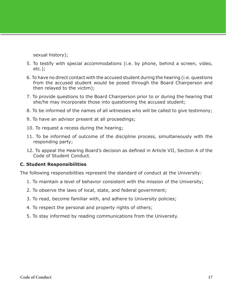sexual history);

- 5. To testify with special accommodations (i.e. by phone, behind a screen, video, etc.);
- 6. To have no direct contact with the accused student during the hearing (i.e. questions from the accused student would be posed through the Board Chairperson and then relayed to the victim);
- 7. To provide questions to the Board Chairperson prior to or during the hearing that she/he may incorporate those into questioning the accused student;
- 8. To be informed of the names of all witnesses who will be called to give testimony;
- 9. To have an advisor present at all proceedings;
- 10. To request a recess during the hearing;
- 11. To be informed of outcome of the discipline process, simultaneously with the responding party;
- 12. To appeal the Hearing Board's decision as defined in Article VII, Section A of the Code of Student Conduct.

#### **C. Student Responsibilities**

The following responsibilities represent the standard of conduct at the University:

- 1. To maintain a level of behavior consistent with the mission of the University;
- 2. To observe the laws of local, state, and federal government;
- 3. To read, become familiar with, and adhere to University policies;
- 4. To respect the personal and property rights of others;
- 5. To stay informed by reading communications from the University.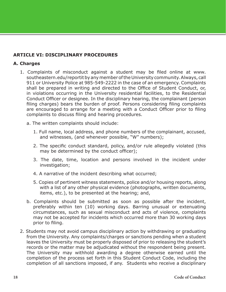#### **ARTICLE VI: DISCIPLINARY PROCEDURES**

#### **A. Charges**

- 1. Complaints of misconduct against a student may be filed online at www. southeastern.edu/reportit by any member of the University community. Always, call 911 or University Police at 985-549-2222 in the case of an emergency. Complaints shall be prepared in writing and directed to the Office of Student Conduct, or, in violations occurring in the University residential facilities, to the Residential Conduct Officer or designee. In the disciplinary hearing, the complainant (person filing charges) bears the burden of proof. Persons considering filing complaints are encouraged to arrange for a meeting with a Conduct Officer prior to filing complaints to discuss filing and hearing procedures.
	- a. The written complaints should include:
		- 1. Full name, local address, and phone numbers of the complainant, accused, and witnesses, (and whenever possible, "W" numbers);
		- 2. The specific conduct standard, policy, and/or rule allegedly violated (this may be determined by the conduct officer);
		- 3. The date, time, location and persons involved in the incident under investigation;
		- 4. A narrative of the incident describing what occurred;
		- 5. Copies of pertinent witness statements, police and/or housing reports, along with a list of any other physical evidence (photographs, written documents, items, etc.), to be presented at the hearing; and,
	- b. Complaints should be submitted as soon as possible after the incident, preferably within ten (10) working days. Barring unusual or extenuating circumstances, such as sexual misconduct and acts of violence, complaints may not be accepted for incidents which occurred more than 30 working days prior to filing.
- 2. Students may not avoid campus disciplinary action by withdrawing or graduating from the University. Any complaints/charges or sanctions pending when a student leaves the University must be properly disposed of prior to releasing the student's records or the matter may be adjudicated without the respondent being present. The University may withhold awarding a degree otherwise earned until the completion of the process set forth in this Student Conduct Code, including the completion of all sanctions imposed, if any. Students who receive a disciplinary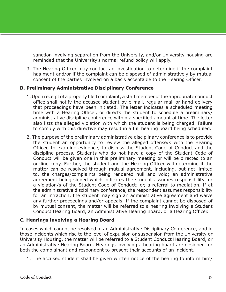sanction involving separation from the University, and/or University housing are reminded that the University's normal refund policy will apply.

3. The Hearing Officer may conduct an investigation to determine if the complaint has merit and/or if the complaint can be disposed of administratively by mutual consent of the parties involved on a basis acceptable to the Hearing Officer.

#### **B. Preliminary Administrative Disciplinary Conference**

- 1. Upon receipt of a properly filed complaint, a staff member of the appropriate conduct office shall notify the accused student by e-mail, regular mail or hand delivery that proceedings have been initiated. The letter indicates a scheduled meeting time with a Hearing Officer, or directs the student to schedule a preliminary/ administrative discipline conference within a specified amount of time. The letter also lists the alleged violation with which the student is being charged. Failure to comply with this directive may result in a full hearing board being scheduled.
- 2. The purpose of the preliminary administrative disciplinary conference is to provide the student an opportunity to review the alleged offense/s with the Hearing Officer, to examine evidence, to discuss the Student Code of Conduct and the discipline process. Students who do not have a copy of the Student Code of Conduct will be given one in this preliminary meeting or will be directed to an on-line copy. Further, the student and the Hearing Officer will determine if the matter can be resolved through mutual agreement, including, but not limited to, the charges/complaints being rendered null and void; an administrative agreement being signed which indicates the student assumes responsibility for a violation/s of the Student Code of Conduct; or, a referral to mediation. If at the administrative disciplinary conference, the respondent assumes responsibility for an infraction, the student may sign an administrative agreement and waive any further proceedings and/or appeals. If the complaint cannot be disposed of by mutual consent, the matter will be referred to a hearing involving a Student Conduct Hearing Board, an Administrative Hearing Board, or a Hearing Officer.

#### **C. Hearings involving a Hearing Board**

In cases which cannot be resolved in an Administrative Disciplinary Conference, and in those incidents which rise to the level of expulsion or suspension from the University or University Housing, the matter will be referred to a Student Conduct Hearing Board, or an Administrative Hearing Board. Hearings involving a hearing board are designed for both the complainant and respondent to present their accounts of an incident.

1. The accused student shall be given written notice of the hearing to inform him/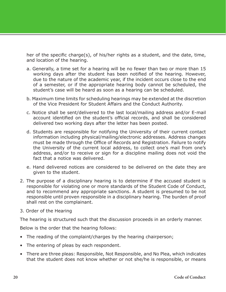her of the specific charge(s), of his/her rights as a student, and the date, time, and location of the hearing.

- a. Generally, a time set for a hearing will be no fewer than two or more than 15 working days after the student has been notified of the hearing. However, due to the nature of the academic year, if the incident occurs close to the end of a semester, or if the appropriate hearing body cannot be scheduled, the student's case will be heard as soon as a hearing can be scheduled.
- b. Maximum time limits for scheduling hearings may be extended at the discretion of the Vice President for Student Affairs and the Conduct Authority.
- c. Notice shall be sent/delivered to the last local/mailing address and/or E-mail account identified on the student's official records, and shall be considered delivered two working days after the letter has been posted.
- d. Students are responsible for notifying the University of their current contact information including physical/mailing/electronic addresses. Address changes must be made through the Office of Records and Registration. Failure to notify the University of the current local address, to collect one's mail from one's address, and/or to receive or sign for a discipline mailing does not void the fact that a notice was delivered.
- e. Hand delivered notices are considered to be delivered on the date they are given to the student.
- 2. The purpose of a disciplinary hearing is to determine if the accused student is responsible for violating one or more standards of the Student Code of Conduct, and to recommend any appropriate sanctions. A student is presumed to be not responsible until proven responsible in a disciplinary hearing. The burden of proof shall rest on the complainant.
- 3. Order of the Hearing

The hearing is structured such that the discussion proceeds in an orderly manner.

Below is the order that the hearing follows:

- The reading of the complaint/charges by the hearing chairperson;
- The entering of pleas by each respondent.
- There are three pleas: Responsible, Not Responsible, and No Plea, which indicates that the student does not know whether or not she/he is responsible, or means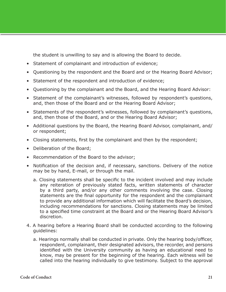the student is unwilling to say and is allowing the Board to decide.

- Statement of complainant and introduction of evidence;
- Questioning by the respondent and the Board and or the Hearing Board Advisor;
- Statement of the respondent and introduction of evidence;
- Questioning by the complainant and the Board, and the Hearing Board Advisor:
- Statement of the complainant's witnesses, followed by respondent's questions, and, then those of the Board and or the Hearing Board Advisor;
- Statements of the respondent's witnesses, followed by complainant's questions, and, then those of the Board, and or the Hearing Board Advisor;
- Additional questions by the Board, the Hearing Board Advisor, complainant, and/ or respondent;
- Closing statements, first by the complainant and then by the respondent;
- Deliberation of the Board;
- Recommendation of the Board to the advisor;
- Notification of the decision and, if necessary, sanctions. Delivery of the notice may be by hand, E-mail, or through the mail.
	- a. Closing statements shall be specific to the incident involved and may include any reiteration of previously stated facts, written statements of character by a third party, and/or any other comments involving the case. Closing statements are the final opportunity for the respondent and the complainant to provide any additional information which will facilitate the Board's decision, including recommendations for sanctions. Closing statements may be limited to a specified time constraint at the Board and or the Hearing Board Advisor's discretion.
- 4. A hearing before a Hearing Board shall be conducted according to the following guidelines:
	- a. Hearings normally shall be conducted in private. Only the hearing body/officer, respondent, complainant, their designated advisors, the recorder, and persons identified with the University community as having an educational need to know, may be present for the beginning of the hearing. Each witness will be called into the hearing individually to give testimony. Subject to the approval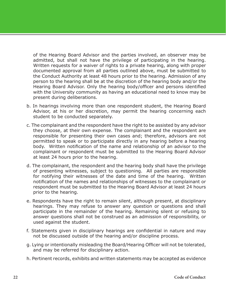of the Hearing Board Advisor and the parties involved, an observer may be admitted, but shall not have the privilege of participating in the hearing. Written requests for a waiver of rights to a private hearing, along with proper documented approval from all parties outlined above, must be submitted to the Conduct Authority at least 48 hours prior to the hearing. Admission of any person to the hearing shall be at the discretion of the hearing body and/or the Hearing Board Advisor. Only the hearing body/officer and persons identified with the University community as having an educational need to know may be present during deliberations.

- b. In hearings involving more than one respondent student, the Hearing Board Advisor, at his or her discretion, may permit the hearing concerning each student to be conducted separately.
- c. The complainant and the respondent have the right to be assisted by any advisor they choose, at their own expense. The complainant and the respondent are responsible for presenting their own cases and; therefore, advisors are not permitted to speak or to participate directly in any hearing before a hearing body. Written notification of the name and relationship of an advisor to the complainant or respondent must be submitted to the Hearing Board Advisor at least 24 hours prior to the hearing.
- d. The complainant, the respondent and the hearing body shall have the privilege of presenting witnesses, subject to questioning. All parties are responsible for notifying their witnesses of the date and time of the hearing. Written notification of the names and relationships of witnesses to the complainant or respondent must be submitted to the Hearing Board Advisor at least 24 hours prior to the hearing.
- e. Respondents have the right to remain silent, although present, at disciplinary hearings. They may refuse to answer any question or questions and shall participate in the remainder of the hearing. Remaining silent or refusing to answer questions shall not be construed as an admission of responsibility, or used against the student.
- f. Statements given in disciplinary hearings are confidential in nature and may not be discussed outside of the hearing and/or discipline process.
- g. Lying or intentionally misleading the Board/Hearing Officer will not be tolerated, and may be referred for disciplinary action.
- h. Pertinent records, exhibits and written statements may be accepted as evidence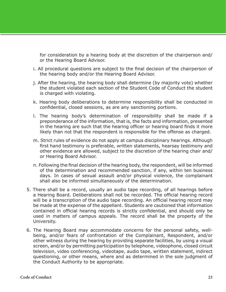for consideration by a hearing body at the discretion of the chairperson and/ or the Hearing Board Advisor.

- i. All procedural questions are subject to the final decision of the chairperson of the hearing body and/or the Hearing Board Advisor.
- j. After the hearing, the hearing body shall determine (by majority vote) whether the student violated each section of the Student Code of Conduct the student is charged with violating.
- k. Hearing body deliberations to determine responsibility shall be conducted in confidential, closed sessions, as are any sanctioning portions.
- l. The hearing body's determination of responsibility shall be made if a preponderance of the information, that is, the facts and information, presented in the hearing are such that the hearing officer or hearing board finds it more likely than not that the respondent is responsible for the offense as charged.
- m. Strict rules of evidence do not apply at campus disciplinary hearings. Although first hand testimony is preferable, written statements, hearsay testimony and other evidence are allowed, subject to the discretion of the hearing chair and/ or Hearing Board Advisor.
- n. Following the final decision of the hearing body, the respondent, will be informed of the determination and recommended sanction, if any, within ten business days. In cases of sexual assault and/or physical violence, the complainant shall also be informed simultaneously of the determination.
- 5. There shall be a record, usually an audio tape recording, of all hearings before a Hearing Board. Deliberations shall not be recorded. The official hearing record will be a transcription of the audio tape recording. An official hearing record may be made at the expense of the appellant. Students are cautioned that information contained in official hearing records is strictly confidential, and should only be used in matters of campus appeals. The record shall be the property of the University.
- 6. The Hearing Board may accommodate concerns for the personal safety, wellbeing, and/or fears of confrontation of the Complainant, Respondent, and/or other witness during the hearing by providing separate facilities, by using a visual screen, and/or by permitting participation by telephone, videophone, closed circuit television, video conferencing, videotape, audio tape, written statement, indirect questioning, or other means, where and as determined in the sole judgment of the Conduct Authority to be appropriate.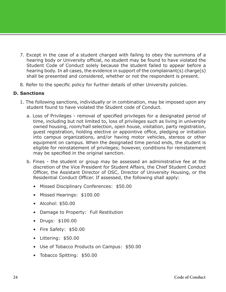- 7. Except in the case of a student charged with failing to obey the summons of a hearing body or University official, no student may be found to have violated the Student Code of Conduct solely because the student failed to appear before a hearing body. In all cases, the evidence in support of the complainant(s) charge(s) shall be presented and considered, whether or not the respondent is present.
- 8. Refer to the specific policy for further details of other University policies.

#### **D. Sanctions**

- 1. The following sanctions, individually or in combination, may be imposed upon any student found to have violated the Student code of Conduct.
	- a. Loss of Privileges removal of specified privileges for a designated period of time, including but not limited to, loss of privileges such as living in university owned housing, room/hall selection, open house, visitation, party registration, guest registration, holding elective or appointive office, pledging or initiation into campus organizations, and/or having motor vehicles, stereos or other equipment on campus. When the designated time period ends, the student is eligible for reinstatement of privileges; however, conditions for reinstatement may be specified in the original sanction.
	- b. Fines the student or group may be assessed an administrative fee at the discretion of the Vice President for Student Affairs, the Chief Student Conduct Officer, the Assistant Director of OSC, Director of University Housing, or the Residential Conduct Officer. If assessed, the following shall apply:
		- Missed Disciplinary Conferences: \$50.00
		- Missed Hearings: \$100.00
		- Alcohol: \$50.00
		- Damage to Property: Full Restitution
		- Drugs: \$100.00
		- Fire Safety: \$50.00
		- Littering: \$50.00
		- Use of Tobacco Products on Campus: \$50.00
		- Tobacco Spitting: \$50.00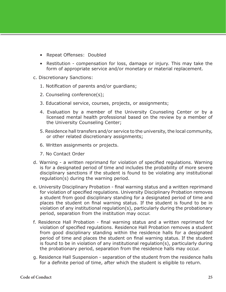- Repeat Offenses: Doubled
- Restitution compensation for loss, damage or injury. This may take the form of appropriate service and/or monetary or material replacement.
- c. Discretionary Sanctions:
	- 1. Notification of parents and/or guardians;
	- 2. Counseling conference(s);
	- 3. Educational service, courses, projects, or assignments;
	- 4. Evaluation by a member of the University Counseling Center or by a licensed mental health professional based on the review by a member of the University Counseling Center;
	- 5. Residence hall transfers and/or service to the university, the local community, or other related discretionary assignments;
	- 6. Written assignments or projects.
	- 7. No Contact Order
- d. Warning a written reprimand for violation of specified regulations. Warning is for a designated period of time and includes the probability of more severe disciplinary sanctions if the student is found to be violating any institutional regulation(s) during the warning period.
- e. University Disciplinary Probation final warning status and a written reprimand for violation of specified regulations. University Disciplinary Probation removes a student from good disciplinary standing for a designated period of time and places the student on final warning status. If the student is found to be in violation of any institutional regulation(s), particularly during the probationary period, separation from the institution may occur.
- f. Residence Hall Probation final warning status and a written reprimand for violation of specified regulations. Residence Hall Probation removes a student from good disciplinary standing within the residence halls for a designated period of time and places the student on final warning status. If the student is found to be in violation of any institutional regulation(s), particularly during the probationary period, separation from the residence halls may occur.
- g. Residence Hall Suspension separation of the student from the residence halls for a definite period of time, after which the student is eligible to return.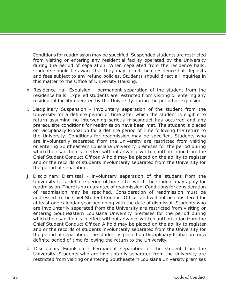Conditions for readmission may be specified. Suspended students are restricted from visiting or entering any residential facility operated by the University during the period of separation. When separated from the residence halls, students should be aware that they may forfeit their residence hall deposits and fees subject to any refund policies. Students should direct all inquiries in this matter to the Office of University Housing.

- h. Residence Hall Expulsion permanent separation of the student from the residence halls. Expelled students are restricted from visiting or entering any residential facility operated by the University during the period of expulsion.
- i. Disciplinary Suspension involuntary separation of the student from the University for a definite period of time after which the student is eligible to return assuming no intervening serious misconduct has occurred and any prerequisite conditions for readmission have been met. The student is placed on Disciplinary Probation for a definite period of time following the return to the University. Conditions for readmission may be specified. Students who are involuntarily separated from the University are restricted from visiting or entering Southeastern Louisiana University premises for the period during which their sanction is in effect without advance written authorization from the Chief Student Conduct Officer. A hold may be placed on the ability to register and or the records of students involuntarily separated from the University for the period of separation.
- j. Disciplinary Dismissal involuntary separation of the student from the University for a definite period of time after which the student may apply for readmission. There is no guarantee of readmission. Conditions for consideration of readmission may be specified. Consideration of readmission must be addressed to the Chief Student Conduct Officer and will not be considered for at least one calendar year beginning with the date of dismissal. Students who are involuntarily separated from the University are restricted from visiting or entering Southeastern Louisiana University premises for the period during which their sanction is in effect without advance written authorization from the Chief Student Conduct Officer. A hold may be placed on the ability to register and or the records of students involuntarily separated from the University for the period of separation. The student is placed on Disciplinary Probation for a definite period of time following the return to the University.
- k. Disciplinary Expulsion Permanent separation of the student from the University. Students who are involuntarily separated from the University are restricted from visiting or entering Southeastern Louisiana University premises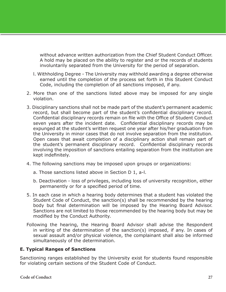without advance written authorization from the Chief Student Conduct Officer. A hold may be placed on the ability to register and or the records of students involuntarily separated from the University for the period of separation.

- l. Withholding Degree The University may withhold awarding a degree otherwise earned until the completion of the process set forth in this Student Conduct Code, including the completion of all sanctions imposed, if any.
- 2. More than one of the sanctions listed above may be imposed for any single violation.
- 3. Disciplinary sanctions shall not be made part of the student's permanent academic record, but shall become part of the student's confidential disciplinary record. Confidential disciplinary records remain on file with the Office of Student Conduct seven years after the incident date. Confidential disciplinary records may be expunged at the student's written request one year after his/her graduation from the University in minor cases that do not involve separation from the institution. Open cases that await completion of a disciplinary action shall remain part of the student's permanent disciplinary record. Confidential disciplinary records involving the imposition of sanctions entailing separation from the institution are kept indefinitely.
- 4. The following sanctions may be imposed upon groups or organizations:
	- a. Those sanctions listed above in Section D 1, a-l.
	- b. Deactivation loss of privileges, including loss of university recognition, either permanently or for a specified period of time.
- 5. In each case in which a hearing body determines that a student has violated the Student Code of Conduct, the sanction(s) shall be recommended by the hearing body but final determination will be imposed by the Hearing Board Advisor. Sanctions are not limited to those recommended by the hearing body but may be modified by the Conduct Authority.
- Following the hearing, the Hearing Board Advisor shall advise the Respondent in writing of the determination of the sanction(s) imposed, if any. In cases of sexual assault and/or physical violence, the complainant shall also be informed simultaneously of the determination.

### **E. Typical Ranges of Sanctions**

Sanctioning ranges established by the University exist for students found responsible for violating certain sections of the Student Code of Conduct.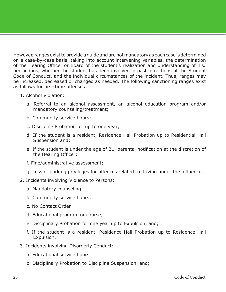However, ranges exist to provide a guide and are not mandatory as each case is determined on a case-by-case basis, taking into account intervening variables, the determination of the Hearing Officer or Board of the student's realization and understanding of his/ her actions, whether the student has been involved in past infractions of the Student Code of Conduct, and the individual circumstances of the incident. Thus, ranges may be increased, decreased or changed as needed. The following sanctioning ranges exist as follows for first-time offenses:

- 1. Alcohol Violation:
	- a. Referral to an alcohol assessment, an alcohol education program and/or mandatory counseling/treatment;
	- b. Community service hours;
	- c. Discipline Probation for up to one year;
	- d. If the student is a resident, Residence Hall Probation up to Residential Hall Suspension and;
	- e. If the student is under the age of 21, parental notification at the discretion of the Hearing Officer;
	- f. Fine/administrative assessment;
	- g. Loss of parking privileges for offences related to driving under the influence.
- 2. Incidents involving Violence to Persons:
	- a. Mandatory counseling;
	- b. Community service hours;
	- c. No Contact Order
	- d. Educational program or course;
	- e. Disciplinary Probation for one year up to Expulsion, and;
	- f. If the student is a resident, Residence Hall Probation up to Residence Hall Expulsion.
- 3. Incidents involving Disorderly Conduct:
	- a. Educational service hours
	- b. Disciplinary Probation to Discipline Suspension, and;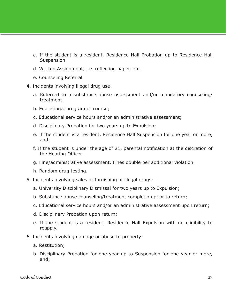- c. If the student is a resident, Residence Hall Probation up to Residence Hall Suspension.
- d. Written Assignment; i.e. reflection paper, etc.
- e. Counseling Referral
- 4. Incidents involving illegal drug use:
	- a. Referred to a substance abuse assessment and/or mandatory counseling/ treatment;
	- b. Educational program or course;
	- c. Educational service hours and/or an administrative assessment;
	- d. Disciplinary Probation for two years up to Expulsion;
	- e. If the student is a resident, Residence Hall Suspension for one year or more, and;
	- f. If the student is under the age of 21, parental notification at the discretion of the Hearing Officer.
	- g. Fine/administrative assessment. Fines double per additional violation.
	- h. Random drug testing.
- 5. Incidents involving sales or furnishing of illegal drugs:
	- a. University Disciplinary Dismissal for two years up to Expulsion;
	- b. Substance abuse counseling/treatment completion prior to return;
	- c. Educational service hours and/or an administrative assessment upon return;
	- d. Disciplinary Probation upon return;
	- e. If the student is a resident, Residence Hall Expulsion with no eligibility to reapply.
- 6. Incidents involving damage or abuse to property:
	- a. Restitution;
	- b. Disciplinary Probation for one year up to Suspension for one year or more, and;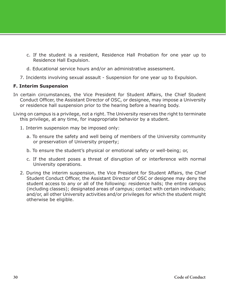- c. If the student is a resident, Residence Hall Probation for one year up to Residence Hall Expulsion.
- d. Educational service hours and/or an administrative assessment.
- 7. Incidents involving sexual assault Suspension for one year up to Expulsion.

#### **F. Interim Suspension**

- In certain circumstances, the Vice President for Student Affairs, the Chief Student Conduct Officer, the Assistant Director of OSC, or designee, may impose a University or residence hall suspension prior to the hearing before a hearing body.
- Living on campus is a privilege, not a right. The University reserves the right to terminate this privilege, at any time, for inappropriate behavior by a student.
	- 1. Interim suspension may be imposed only:
		- a. To ensure the safety and well being of members of the University community or preservation of University property;
		- b. To ensure the student's physical or emotional safety or well-being; or,
		- c. If the student poses a threat of disruption of or interference with normal University operations.
	- 2. During the interim suspension, the Vice President for Student Affairs, the Chief Student Conduct Officer, the Assistant Director of OSC or designee may deny the student access to any or all of the following: residence halls; the entire campus (including classes); designated areas of campus; contact with certain individuals; and/or, all other University activities and/or privileges for which the student might otherwise be eligible.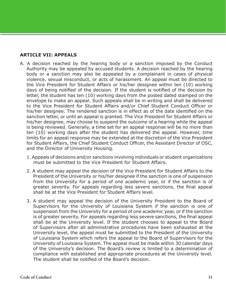#### **ARTICLE VII: APPEALS**

- A. A decision reached by the hearing body or a sanction imposed by the Conduct Authority may be appealed by accused students. A decision reached by the hearing body or a sanction may also be appealed by a complainant in cases of physical violence, sexual misconduct, or acts of harassment. An appeal must be directed to the Vice President for Student Affairs or his/her designee within ten (10) working days of being notified of the decision. If the student is notified of the decision by letter, the student has ten (10) working days from the posted dated stamped on the envelope to make an appeal. Such appeals shall be in writing and shall be delivered to the Vice President for Student Affairs and/or Chief Student Conduct Officer or his/her designee. The rendered sanction is in effect as of the date identified on the sanction letter, or until an appeal is granted. The Vice President for Student Affairs or his/her designee, may choose to suspend the outcome of a hearing while the appeal is being reviewed. Generally, a time set for an appeal response will be no more than ten (10) working days after the student has delivered the appeal. However, time limits for an appeal response may be extended at the discretion of the Vice President for Student Affairs, the Chief Student Conduct Officer, the Assistant Director of OSC, and the Director of University Housing.
	- 1. Appeals of decisions and/or sanctions involving individuals or student organizations must be submitted to the Vice President for Student Affairs.
	- 2. A student may appeal the decision of the Vice President for Student Affairs to the President of the University or his/her designee if the sanction is one of suspension from the University for a period of one academic year, or if the sanction is of greater severity. For appeals regarding less severe sanctions, the final appeal shall be at the Vice President for Student Affairs level.
	- 3. A student may appeal the decision of the University President to the Board of Supervisors for the University of Louisiana System if the sanction is one of suspension from the University for a period of one academic year, or if the sanction is of greater severity. For appeals regarding less severe sanctions, the final appeal shall be at the University level. If the student chooses to appeal to the Board of Supervisors after all administrative procedures have been exhausted at the University level, the appeal must be submitted to the President of the University of Louisiana System which refers the appeal to the Board of Supervisors for the University of Louisiana System. The appeal must be made within 30 calendar days of the University's decision. The Board's review is limited to a determination of compliance with established and appropriate procedures at the University level. The student shall be notified of the Board's decision.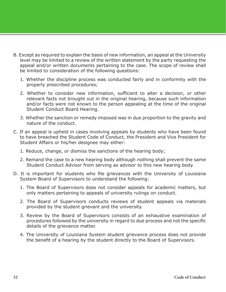- B. Except as required to explain the basis of new information, an appeal at the University level may be limited to a review of the written statement by the party requesting the appeal and/or written documents pertaining to the case. The scope of review shall be limited to consideration of the following questions:
	- 1. Whether the discipline process was conducted fairly and in conformity with the properly prescribed procedures;
	- 2. Whether to consider new information, sufficient to alter a decision, or other relevant facts not brought out in the original hearing, because such information and/or facts were not known to the person appealing at the time of the original Student Conduct Board Hearing.
	- 3. Whether the sanction or remedy imposed was in due proportion to the gravity and nature of the conduct.
- C. If an appeal is upheld in cases involving appeals by students who have been found to have breached the Student Code of Conduct, the President and Vice President for Student Affairs or his/her designee may either:
	- 1. Reduce, change, or dismiss the sanctions of the hearing body;
	- 2. Remand the case to a new hearing body although nothing shall prevent the same Student Conduct Advisor from serving as advisor to this new hearing body.
- D. It is important for students who file grievances with the University of Louisiana System Board of Supervisors to understand the following:
	- 1. The Board of Supervisors does not consider appeals for academic matters, but only matters pertaining to appeals of university rulings on conduct.
	- 2. The Board of Supervisors conducts reviews of student appeals via materials provided by the student grievant and the university.
	- 3. Review by the Board of Supervisors consists of an exhaustive examination of procedures followed by the university in regard to due process and not the specific details of the grievance matter.
	- 4. The University of Louisiana System student grievance process does not provide the benefit of a hearing by the student directly to the Board of Supervisors.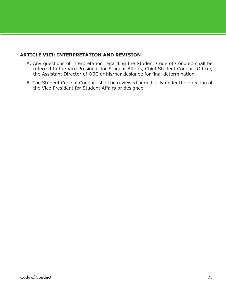#### **ARTICLE VIII: INTERPRETATION AND REVISION**

- A. Any questions of interpretation regarding the Student Code of Conduct shall be referred to the Vice President for Student Affairs, Chief Student Conduct Officer, the Assistant Director of OSC or his/her designee for final determination.
- B. The Student Code of Conduct shall be reviewed periodically under the direction of the Vice President for Student Affairs or designee.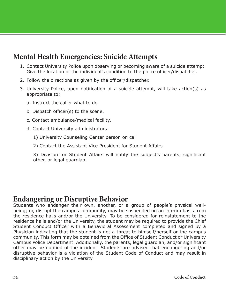## <span id="page-33-0"></span>**Mental Health Emergencies: Suicide Attempts**

- 1. Contact University Police upon observing or becoming aware of a suicide attempt. Give the location of the individual's condition to the police officer/dispatcher.
- 2. Follow the directions as given by the officer/dispatcher.
- 3. University Police, upon notification of a suicide attempt, will take action(s) as appropriate to:
	- a. Instruct the caller what to do.
	- b. Dispatch officer(s) to the scene.
	- c. Contact ambulance/medical facility.
	- d. Contact University administrators:
		- 1) University Counseling Center person on call
		- 2) Contact the Assistant Vice President for Student Affairs
		- 3) Division for Student Affairs will notify the subject's parents, significant other, or legal guardian.

## **Endangering or Disruptive Behavior**

Students who endanger their own, another, or a group of people's physical wellbeing; or, disrupt the campus community, may be suspended on an interim basis from the residence halls and/or the University. To be considered for reinstatement to the residence halls and/or the University, the student may be required to provide the Chief Student Conduct Officer with a Behavioral Assessment completed and signed by a Physician indicating that the student is not a threat to himself/herself or the campus community. This form may be obtained from the Office of Student Conduct or University Campus Police Department. Additionally, the parents, legal guardian, and/or significant other may be notified of the incident. Students are advised that endangering and/or disruptive behavior is a violation of the Student Code of Conduct and may result in disciplinary action by the University.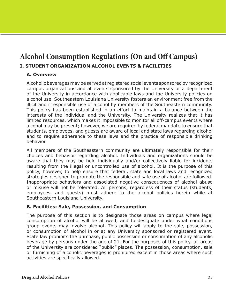## <span id="page-34-0"></span>**Alcohol Consumption Regulations (On and Off Campus) I. STUDENT ORGANIZATION ALCOHOL EVENTS & FACILITIES**

#### **A. Overview**

Alcoholic beverages may be served at registered social events sponsored by recognized campus organizations and at events sponsored by the University or a department of the University in accordance with applicable laws and the University policies on alcohol use. Southeastern Louisiana University fosters an environment free from the illicit and irresponsible use of alcohol by members of the Southeastern community. This policy has been established in an effort to maintain a balance between the interests of the individual and the University. The University realizes that it has limited resources, which makes it impossible to monitor all off-campus events where alcohol may be present; however, we are required by federal mandate to ensure that students, employees, and guests are aware of local and state laws regarding alcohol and to require adherence to these laws and the practice of responsible drinking behavior.

All members of the Southeastern community are ultimately responsible for their choices and behavior regarding alcohol. Individuals and organizations should be aware that they may be held individually and/or collectively liable for incidents resulting from the illegal or uncontrolled use of alcohol. It is the purpose of this policy, however, to help ensure that federal, state and local laws and recognized strategies designed to promote the responsible and safe use of alcohol are followed. Inappropriate behaviors and associated negative consequences of alcohol abuse or misuse will not be tolerated. All persons, regardless of their status (students, employees, and guests) must adhere to the alcohol policies herein while at Southeastern Louisiana University.

#### **B. Facilities: Sale, Possession, and Consumption**

The purpose of this section is to designate those areas on campus where legal consumption of alcohol will be allowed, and to designate under what conditions group events may involve alcohol. This policy will apply to the sale, possession, or consumption of alcohol in or at any University sponsored or registered event. State law prohibits the purchase, public possession or consumption of any alcoholic beverage by persons under the age of 21. For the purposes of this policy, all areas of the University are considered "public" places. The possession, consumption, sale or furnishing of alcoholic beverages is prohibited except in those areas where such activities are specifically allowed.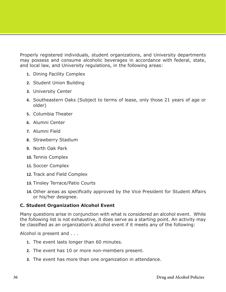Properly registered individuals, student organizations, and University departments may possess and consume alcoholic beverages in accordance with federal, state, and local law, and University regulations, in the following areas:

- **1.** Dining Facility Complex
- **2.** Student Union Building
- **3.** University Center
- **4.** Southeastern Oaks (Subject to terms of lease, only those 21 years of age or older)
- **5.** Columbia Theater
- **6.** Alumni Center
- **7.** Alumni Field
- **8.** Strawberry Stadium
- **9.** North Oak Park
- **10.** Tennis Complex
- **11.** Soccer Complex
- **12.** Track and Field Complex
- **13.** Tinsley Terrace/Patio Courts
- **14.** Other areas as specifically approved by the Vice President for Student Affairs or his/her designee.

#### **C. Student Organization Alcohol Event**

Many questions arise in conjunction with what is considered an alcohol event. While the following list is not exhaustive, it does serve as a starting point. An activity may be classified as an organization's alcohol event if it meets any of the following:

Alcohol is present and . . .

- **1.** The event lasts longer than 60 minutes.
- **2.** The event has 10 or more non-members present.
- **3.** The event has more than one organization in attendance.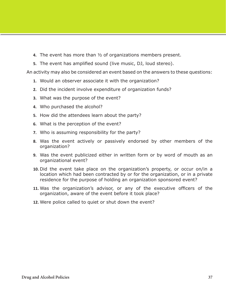- **4.** The event has more than ½ of organizations members present.
- **5.** The event has amplified sound (live music, DJ, loud stereo).

An activity may also be considered an event based on the answers to these questions:

- **1.** Would an observer associate it with the organization?
- **2.** Did the incident involve expenditure of organization funds?
- **3.** What was the purpose of the event?
- **4.** Who purchased the alcohol?
- **5.** How did the attendees learn about the party?
- **6.** What is the perception of the event?
- **7.** Who is assuming responsibility for the party?
- **8.** Was the event actively or passively endorsed by other members of the organization?
- **9.** Was the event publicized either in written form or by word of mouth as an organizational event?
- **10.** Did the event take place on the organization's property, or occur on/in a location which had been contracted by or for the organization, or in a private residence for the purpose of holding an organization sponsored event?
- **11.** Was the organization's advisor, or any of the executive officers of the organization, aware of the event before it took place?
- **12.** Were police called to quiet or shut down the event?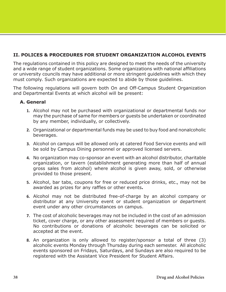## **II. POLICES & PROCEDURES FOR STUDENT ORGANIZATION ALCOHOL EVENTS**

The regulations contained in this policy are designed to meet the needs of the university and a wide range of student organizations. Some organizations with national affiliations or university councils may have additional or more stringent guidelines with which they must comply. Such organizations are expected to abide by those guidelines.

The following regulations will govern both On and Off-Campus Student Organization and Departmental Events at which alcohol will be present:

### **A. General**

- **1.** Alcohol may not be purchased with organizational or departmental funds nor may the purchase of same for members or guests be undertaken or coordinated by any member, individually, or collectively.
- **2.** Organizational or departmental funds may be used to buy food and nonalcoholic beverages.
- **3.** Alcohol on campus will be allowed only at catered Food Service events and will be sold by Campus Dining personnel or approved licensed servers.
- **4.** No organization may co-sponsor an event with an alcohol distributor, charitable organization, or tavern (establishment generating more than half of annual gross sales from alcohol) where alcohol is given away, sold, or otherwise provided to those present.
- **5.** Alcohol, bar tabs, coupons for free or reduced price drinks, etc., may not be awarded as prizes for any raffles or other events**.**
- **6.** Alcohol may not be distributed free-of-charge by an alcohol company or distributor at any University event or student organization or department event under any other circumstances on campus.
- **7.** The cost of alcoholic beverages may not be included in the cost of an admission ticket, cover charge, or any other assessment required of members or guests. No contributions or donations of alcoholic beverages can be solicited or accepted at the event.
- **8.** An organization is only allowed to register/sponsor a total of three (3) alcoholic events Monday through Thursday during each semester. All alcoholic events sponsored on Fridays, Saturdays, and Sundays are also required to be registered with the Assistant Vice President for Student Affairs.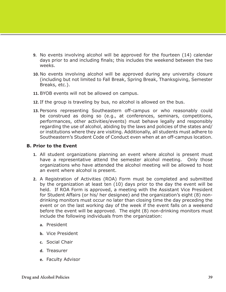- **9.** No events involving alcohol will be approved for the fourteen (14) calendar days prior to and including finals; this includes the weekend between the two weeks.
- **10.** No events involving alcohol will be approved during any university closure (including but not limited to Fall Break, Spring Break, Thanksgiving, Semester Breaks, etc.).
- **11.** BYOB events will not be allowed on campus.
- **12.** If the group is traveling by bus, no alcohol is allowed on the bus.
- **13.** Persons representing Southeastern off-campus or who reasonably could be construed as doing so (e.g., at conferences, seminars, competitions, performances, other activities/events) must behave legally and responsibly regarding the use of alcohol, abiding by the laws and policies of the states and/ or institutions where they are visiting. Additionally, all students must adhere to Southeastern's Student Code of Conduct even when at an off-campus location.

#### **B. Prior to the Event**

- **1.** All student organizations planning an event where alcohol is present must have a representative attend the semester alcohol meeting. Only those organizations who have attended the alcohol meeting will be allowed to host an event where alcohol is present.
- **2.** A Registration of Activities (ROA) Form must be completed and submitted by the organization at least ten (10) days prior to the day the event will be held. If ROA Form is approved, a meeting with the Assistant Vice President for Student Affairs (or his/ her designee) and the organization's eight (8) nondrinking monitors must occur no later than closing time the day preceding the event or on the last working day of the week if the event falls on a weekend before the event will be approved. The eight (8) non-drinking monitors must include the following individuals from the organization:
	- **a.** President
	- **b.** Vice President
	- **c.** Social Chair
	- **d.** Treasurer
	- **e.** Faculty Advisor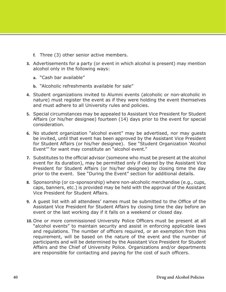- **f.** Three (3) other senior active members.
- **3.** Advertisements for a party (or event in which alcohol is present) may mention alcohol only in the following ways:
	- **a.** "Cash bar available"
	- **b.** "Alcoholic refreshments available for sale"
- **4.** Student organizations invited to Alumni events (alcoholic or non-alcoholic in nature) must register the event as if they were holding the event themselves and must adhere to all University rules and policies.
- **5.** Special circumstances may be appealed to Assistant Vice President for Student Affairs (or his/her designee) fourteen (14) days prior to the event for special consideration.
- **6.** No student organization "alcohol event" may be advertised, nor may guests be invited, until that event has been approved by the Assistant Vice President for Student Affairs (or his/her designee). See "Student Organization 'Alcohol Event'" for want may constitute an "alcohol event."
- **7.** Substitutes to the official advisor (someone who must be present at the alcohol event for its duration), may be permitted only if cleared by the Assistant Vice President for Student Affairs (or his/her designee) by closing time the day prior to the event. See "During the Event" section for additional details.
- **8.** Sponsorship (or co-sponsorship) where non-alcoholic merchandise (e.g., cups, caps, banners, etc.) is provided may be held with the approval of the Assistant Vice President for Student Affairs.
- **9.** A guest list with all attendees' names must be submitted to the Office of the Assistant Vice President for Student Affairs by closing time the day before an event or the last working day if it falls on a weekend or closed day.
- **10.** One or more commissioned University Police Officers must be present at all "alcohol events" to maintain security and assist in enforcing applicable laws and regulations. The number of officers required, or an exemption from this requirement, will be based on the nature of the event and the number of participants and will be determined by the Assistant Vice President for Student Affairs and the Chief of University Police. Organizations and/or departments are responsible for contacting and paying for the cost of such officers.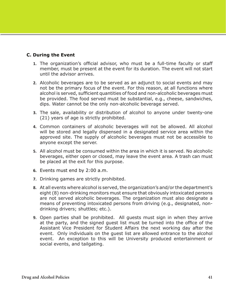## **C. During the Event**

- **1.** The organization's official advisor, who must be a full-time faculty or staff member, must be present at the event for its duration. The event will not start until the advisor arrives.
- **2.** Alcoholic beverages are to be served as an adjunct to social events and may not be the primary focus of the event. For this reason, at all functions where alcohol is served, sufficient quantities of food and non-alcoholic beverages must be provided. The food served must be substantial, e.g., cheese, sandwiches, dips. Water cannot be the only non-alcoholic beverage served.
- **3.** The sale, availability or distribution of alcohol to anyone under twenty-one (21) years of age is strictly prohibited.
- **4.** Common containers of alcoholic beverages will not be allowed. All alcohol will be stored and legally dispensed in a designated service area within the approved site. The supply of alcoholic beverages must not be accessible to anyone except the server.
- **5.** All alcohol must be consumed within the area in which it is served. No alcoholic beverages, either open or closed, may leave the event area. A trash can must be placed at the exit for this purpose.
- **6.** Events must end by 2:00 a.m.
- **7.** Drinking games are strictly prohibited.
- **8.** At all events where alcohol is served, the organization's and/or the department's eight (8) non-drinking monitors must ensure that obviously intoxicated persons are not served alcoholic beverages. The organization must also designate a means of preventing intoxicated persons from driving (e.g., designated, nondrinking drivers; shuttles; etc.).
- **9.** Open parties shall be prohibited. All guests must sign in when they arrive at the party, and the signed guest list must be turned into the office of the Assistant Vice President for Student Affairs the next working day after the event. Only individuals on the guest list are allowed entrance to the alcohol event. An exception to this will be University produced entertainment or social events, and tailgating.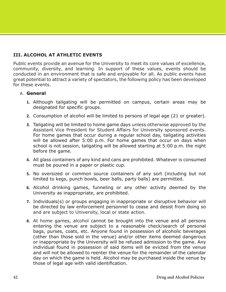## **III. ALCOHOL AT ATHLETIC EVENTS**

Public events provide an avenue for the University to meet its core values of excellence, community, diversity, and learning. In support of these values, events should be conducted in an environment that is safe and enjoyable for all. As public events have great potential to attract a variety of spectators, the following policy has been developed for these events.

### A. **General**

- **1.** Although tailgating will be permitted on campus, certain areas may be designated for specific groups.
- **2.** Consumption of alcohol will be limited to persons of legal age (21 or greater).
- **3.** Tailgating will be limited to home game days unless otherwise approved by the Assistant Vice President for Student Affairs for University sponsored events. For home games that occur during a regular school day, tailgating activities will be allowed after 5:00 p.m. For home games that occur on days when school is not session, tailgating will be allowed starting at 5:00 p.m. the night before the game.
- **4.** All glass containers of any kind and cans are prohibited. Whatever is consumed must be poured in a paper or plastic cup.
- **5.** No oversized or common source containers of any sort (including but not limited to kegs, punch bowls, beer balls, party balls) are permitted.
- **6.** Alcohol drinking games, funneling or any other activity deemed by the University as inappropriate, are prohibited.
- **7.** Individuals(s) or groups engaging in inappropriate or disruptive behavior will be directed by law enforcement personnel to cease and desist from doing so and are subject to University, local or state action.
- **8.** At home games, alcohol cannot be brought into the venue and all persons entering the venue are subject to a reasonable check/search of personal bags, purses, coats, etc. Anyone found in possession of alcoholic beverages (other than those sold in the venue) and/or other items deemed dangerous or inappropriate by the University will be refused admission to the game. Any individual found in possession of said items will be evicted from the venue and will not be allowed to reenter the venue for the remainder of the calendar day on which the game is held. Alcohol may be purchased inside the venue by those of legal age with valid identification.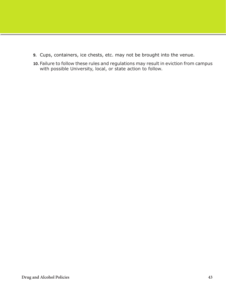- **9.** Cups, containers, ice chests, etc. may not be brought into the venue.
- **10.** Failure to follow these rules and regulations may result in eviction from campus with possible University, local, or state action to follow.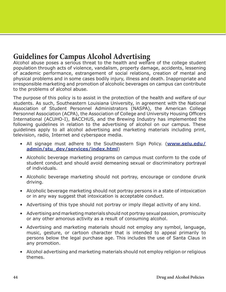## **Guidelines for Campus Alcohol Advertising**

Alcohol abuse poses a serious threat to the health and welfare of the college student population through acts of violence, vandalism, property damage, accidents, lessening of academic performance, estrangement of social relations, creation of mental and physical problems and in some cases bodily injury, illness and death. Inappropriate and irresponsible marketing and promotion of alcoholic beverages on campus can contribute to the problems of alcohol abuse.

The purpose of this policy is to assist in the protection of the health and welfare of our students. As such, Southeastern Louisiana University, in agreement with the National Association of Student Personnel Administrators (NASPA), the American College Personnel Association (ACPA), the Association of College and University Housing Officers International (ACUHO-I), BACCHUS, and the Brewing Industry has implemented the following guidelines in relation to the advertising of alcohol on our campus. These guidelines apply to all alcohol advertising and marketing materials including print, television, radio, Internet and cyberspace media.

- All signage must adhere to the Southeastern Sign Policy. (**[www.selu.edu/](http://www.selu.edu/admin/stu_dev/services/index.html) [admin/stu\\_dev/services/index.html](http://www.selu.edu/admin/stu_dev/services/index.html)**)
- Alcoholic beverage marketing programs on campus must conform to the code of student conduct and should avoid demeaning sexual or discriminatory portrayal of individuals.
- Alcoholic beverage marketing should not portray, encourage or condone drunk driving.
- Alcoholic beverage marketing should not portray persons in a state of intoxication or in any way suggest that intoxication is acceptable conduct.
- Advertising of this type should not portray or imply illegal activity of any kind.
- Advertising and marketing materials should not portray sexual passion, promiscuity or any other amorous activity as a result of consuming alcohol.
- Advertising and marketing materials should not employ any symbol, language, music, gesture, or cartoon character that is intended to appeal primarily to persons below the legal purchase age. This includes the use of Santa Claus in any promotion.
- Alcohol advertising and marketing materials should not employ religion or religious themes.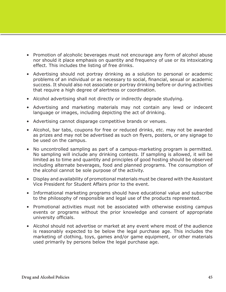- Promotion of alcoholic beverages must not encourage any form of alcohol abuse nor should it place emphasis on quantity and frequency of use or its intoxicating effect. This includes the listing of free drinks.
- Advertising should not portray drinking as a solution to personal or academic problems of an individual or as necessary to social, financial, sexual or academic success. It should also not associate or portray drinking before or during activities that require a high degree of alertness or coordination.
- Alcohol advertising shall not directly or indirectly degrade studying.
- Advertising and marketing materials may not contain any lewd or indecent language or images, including depicting the act of drinking.
- Advertising cannot disparage competitive brands or venues.
- Alcohol, bar tabs, coupons for free or reduced drinks, etc. may not be awarded as prizes and may not be advertised as such on flyers, posters, or any signage to be used on the campus.
- No uncontrolled sampling as part of a campus-marketing program is permitted. No sampling will include any drinking contests. If sampling is allowed, it will be limited as to time and quantity and principles of good hosting should be observed including alternate beverages, food and planned programs. The consumption of the alcohol cannot be sole purpose of the activity.
- Display and availability of promotional materials must be cleared with the Assistant Vice President for Student Affairs prior to the event.
- Informational marketing programs should have educational value and subscribe to the philosophy of responsible and legal use of the products represented.
- Promotional activities must not be associated with otherwise existing campus events or programs without the prior knowledge and consent of appropriate university officials.
- Alcohol should not advertise or market at any event where most of the audience is reasonably expected to be below the legal purchase age. This includes the marketing of clothing, toys, games and/or game equipment, or other materials used primarily by persons below the legal purchase age.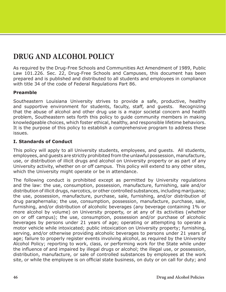# **DRUG AND ALCOHOL POLICY**

As required by the Drug-Free Schools and Communities Act Amendment of 1989, Public Law 101.226. Sec. 22, Drug-Free Schools and Campuses, this document has been prepared and is published and distributed to all students and employees in compliance with title 34 of the code of Federal Regulations Part 86.

## **Preamble**

Southeastern Louisiana University strives to provide a safe, productive, healthy and supportive environment for students, faculty, staff, and guests. Recognizing that the abuse of alcohol and other drug use is a major societal concern and health problem, Southeastern sets forth this policy to guide community members in making knowledgeable choices, which foster ethical, healthy, and responsible lifetime behaviors. It is the purpose of this policy to establish a comprehensive program to address these issues.

### **I. Standards of Conduct**

This policy will apply to all University students, employees, and guests. All students, employees, and guests are strictly prohibited from the unlawful possession, manufacture, use, or distribution of illicit drugs and alcohol on University property or as part of any University activity, whether on or off campus. This policy will extend to any other sites, which the University might operate or be in attendance.

The following conduct is prohibited except as permitted by University regulations and the law: the use, consumption, possession, manufacture, furnishing, sale and/or distribution of illicit drugs, narcotics, or other controlled substances, including marijuana; the use, possession, manufacture, purchase, sale, furnishing, and/or distribution of drug paraphernalia; the use, consumption, possession, manufacture, purchase, sale, furnishing, and/or distribution of alcoholic beverages (any beverage containing 1% or more alcohol by volume) on University property, or at any of its activities (whether on or off campus); the use, consumption, possession and/or purchase of alcoholic beverages by persons under 21 years of age; operating or attempting to operate a motor vehicle while intoxicated; public intoxication on University property; furnishing, serving, and/or otherwise providing alcoholic beverages to persons under 21 years of age; failure to properly register events involving alcohol, as required by the University Alcohol Policy; reporting to work, class, or performing work for the State while under the influence of and impaired by illegal drugs or alcohol; the illegal use, or possession, distribution, manufacture, or sale of controlled substances by employees at the work site, or while the employee is on official state business, on duty or on call for duty; and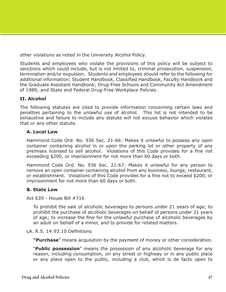other violations as noted in the University Alcohol Policy.

Students and employees who violate the provisions of this policy will be subject to sanctions which could include, but is not limited to, criminal prosecution, suspension, termination and/or expulsion. Students and employees should refer to the following for additional information: Student Handbook, Classified Handbook, Faculty Handbook and the Graduate Assistant Handbook; Drug-Free Schools and Community Act Amendment of 1989; and State and Federal Drug-Free Workplace Policies.

## **II. Alcohol**

The following statutes are cited to provide information concerning certain laws and penalties pertaining to the unlawful use of alcohol. This list is not intended to be exhaustive and failure to include any statute will not excuse behavior which violates that or any other statute.

### **A. Local Law**

Hammond Code Ord. No. 936 Sec. 21-66: Makes it unlawful to possess any open container containing alcohol in or upon the parking lot or other property of any premises licensed to sell alcohol. Violations of this Code provides for a fine not exceeding \$200, or imprisonment for not more than 60 days or both.

Hammond Code Ord. No. 936 Sec. 21-67: Makes it unlawful for any person to remove an open container containing alcohol from any business, lounge, restaurant, or establishment. Violations of this Code provides for a fine not to exceed \$200, or imprisonment for not more than 60 days or both.

## **B. State Law**

Act 639 - House Bill #716

To prohibit the sale of alcoholic beverages to persons under 21 years of age; to prohibit the purchase of alcoholic beverages on behalf of persons under 21 years of age; to increase the fine for the unlawful purchase of alcoholic beverages by an adult on behalf of a minor, and to provide for related matters.

#### LA. R.S. 14:93.10 Definitions

**"Purchase**" means acquisition by the payment of money or other consideration.

"**Public possession**" means the possession of any alcoholic beverage for any reason, including consumption, on any street or highway or in any public place or any place open to the public, including a club, which is de facto open to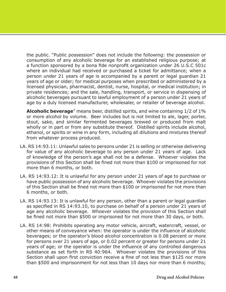the public. "Public possession" does not include the following: the possession or consumption of any alcoholic beverage for an established religious purpose; at a function sponsored by a bona fide nonprofit organization under 26 U.S.C 501c where an individual had received or purchased a ticket for admittance; when a person under 21 years of age is accompanied by a parent or legal guardian 21 years of age or older; for medical purposes when prescribed or administered by a licensed physician, pharmacist, dentist, nurse, hospital, or medical institution; in private residences; and the sale, handling, transport, or service in dispensing of alcoholic beverages pursuant to lawful employment of a person under 21 years of age by a duly licensed manufacturer, wholesaler, or retailer of beverage alcohol.

**Alcoholic beverage**" means beer, distilled spirits, and wine containing 1/2 of 1% or more alcohol by volume. Beer includes but is not limited to ale, lager, porter, stout, sake, and similar fermented beverages brewed or produced from malt wholly or in part or from any substitute thereof. Distilled spirits include alcohol, ethanol, or spirits or wine in any form, including all dilutions and mixtures thereof from whatever process produced.

- LA. RS 14:93.11: Unlawful sales to persons under 21 is selling or otherwise delivering for value of any alcoholic beverage to any person under 21 years of age. Lack of knowledge of the person's age shall not be a defense. Whoever violates the provisions of this Section shall be fined not more than \$100 or imprisoned for not more than 6 months, or both.
- LA. RS 14:93.12: It is unlawful for any person under 21 years of age to purchase or have public possession of any alcoholic beverage. Whoever violates the provisions of this Section shall be fined not more than \$100 or imprisoned for not more than 6 months, or both.
- LA. RS 14:93.13: It is unlawful for any person, other than a parent or legal guardian as specified in RS 14:93.10, to purchase on behalf of a person under 21 years of age any alcoholic beverage. Whoever violates the provision of this Section shall be fined not more than \$500 or imprisoned for not more than 30 days, or both.
- LA. RS 14:98: Prohibits operating any motor vehicle, aircraft, watercraft, vessel, or other means of conveyance when: the operator is under the influence of alcoholic beverages; or the operator's blood alcohol concentration is 0.08 percent or more for persons over 21 years of age, or 0.02 percent or greater for persons under 21 years of age; or the operator is under the influence of any controlled dangerous substance as set forth in RS 40:964. Whoever violates the provisions of this Section shall upon first conviction receive a fine of not less than \$125 nor more than \$500 and imprisonment for not less than 10 days nor more than 6 months;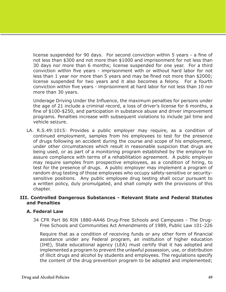license suspended for 90 days. For second conviction within 5 years - a fine of not less than \$300 and not more than \$1000 and imprisonment for not less than 30 days nor more than 6 months; license suspended for one year. For a third conviction within five years - imprisonment with or without hard labor for not less than 1 year nor more than 5 years and may be fined not more than \$2000; license suspended for two years and it also becomes a felony. For a fourth conviction within five years - imprisonment at hard labor for not less than 10 nor more than 30 years.

Underage Driving Under the Influence, the maximum penalties for persons under the age of 21 include a criminal record, a loss of driver's license for 6 months, a fine of \$100-\$250, and participation in substance abuse and driver improvement programs. Penalties increase with subsequent violations to include jail time and vehicle seizure.

LA. R.S.49:1015: Provides a public employer may require, as a condition of continued employment, samples from his employees to test for the presence of drugs following an accident during the course and scope of his employment, under other circumstances which result in reasonable suspicion that drugs are being used, or as part of a monitoring program established by the employer to assure compliance with terms of a rehabilitation agreement. A public employer may require samples from prospective employees, as a condition of hiring, to test for the presence of drugs. A public employer may implement a program of random drug testing of those employees who occupy safety-sensitive or securitysensitive positions. Any public employee drug testing shall occur pursuant to a written policy, duly promulgated, and shall comply with the provisions of this chapter.

#### **III. Controlled Dangerous Substances - Relevant State and Federal Statutes and Penalties**

#### **A. Federal Law**

34 CFR Part 86 RIN 1880-AA46 Drug-Free Schools and Campuses - The Drug-Free Schools and Communities Act Amendments of 1989, Public Law 101-226

Require that as a condition of receiving funds or any other form of financial assistance under any Federal program, an institution of higher education (IHE), State educational agency (LEA) must certify that it has adopted and implemented a program to prevent the unlawful possession, use, or distribution of illicit drugs and alcohol by students and employees. The regulations specify the content of the drug prevention program to be adopted and implemented;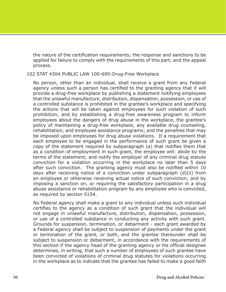the nature of the certification requirements; the response and sanctions to be applied for failure to comply with the requirements of this part; and the appeal process.

102 STAT 4304 PUBLIC LAW 100-690-Drug-Free Workplace

No person, other than an individual, shall receive a grant from any Federal agency unless such a person has certified to the granting agency that it will provide a drug-free workplace by publishing a statement notifying employees that the unlawful manufacture, distribution, dispensation, possession, or use of a controlled substance is prohibited in the grantee's workplace and specifying the actions that will be taken against employees for such violation of such prohibition; and by establishing a drug-free awareness program to inform employees about the dangers of drug abuse in the workplace, the grantee's policy of maintaining a drug-free workplace, any available drug counseling, rehabilitation, and employee assistance programs; and the penalties that may be imposed upon employees for drug abuse violations. It a requirement that each employee to be engaged in the performance of such grant be given a copy of the statement required by subparagraph (a) that notifies them that as a condition of employment in such grant, the employee will: abide by the terms of the statement; and notify the employer of any criminal drug statute conviction for a violation occurring in the workplace no later than 5 days after such conviction. The granting agency must also be notified within 10 days after receiving notice of a conviction under subparagraph (d)(ii) from an employee or otherwise receiving actual notice of such conviction; and by imposing a sanction on, or requiring the satisfactory participation in a drug abuse assistance or rehabilitation program by any employee who is convicted, as required by section 5154.

No Federal agency shall make a grant to any individual unless such individual certifies to the agency as a condition of such grant that the individual will not engage in unlawful manufacture, distribution, dispensation, possession, or use of a controlled substance in conducting any activity with such grant. Grounds for suspension, termination, or debarment - each grant awarded by a Federal agency shall be subject to suspension of payments under the grant or termination of the grant, or both, and the grantee thereunder shall be subject to suspension or debarment, in accordance with the requirements of this section if the agency head of the granting agency or his official designee determines, in writing, that such a number of employees of such grantee have been convicted of violations of criminal drug statutes for violations occurring in the workplace as to indicate that the grantee has failed to make a good faith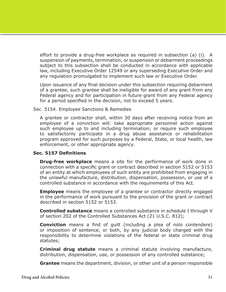effort to provide a drug-free workplace as required in subsection (a) (i). A suspension of payments, termination, or suspension or debarment proceedings subject to this subsection shall be conducted in accordance with applicable law, including Executive Order 12549 or any superseding Executive Order and any regulation promulgated to implement such law or Executive Order.

Upon issuance of any final decision under this subsection requiring debarment of a grantee, such grantee shall be ineligible for award of any grant from any Federal agency and for participation in future grant from any Federal agency for a period specified in the decision, not to exceed 5 years.

Sec. 5154. Employee Sanctions & Remedies

A grantee or contractor shall, within 30 days after receiving notice from an employee of a conviction will: take appropriate personnel action against such employee up to and including termination; or require such employee to satisfactorily participate in a drug abuse assistance or rehabilitation program approved for such purposes by a Federal, State, or local health, law enforcement, or other appropriate agency.

## **Sec. 5157 Definitions**

**Drug-free workplace** means a site for the performance of work done in connection with a specific grant or contract described in section 5152 or 5153 of an entity at which employees of such entity are prohibited from engaging in the unlawful manufacture, distribution, dispensation, possession, or use of a controlled substance in accordance with the requirements of this Act.

**Employee** means the employee of a grantee or contractor directly engaged in the performance of work pursuant to the provision of the grant or contract described in section 5152 or 5153.

**Controlled substance** means a controlled substance in schedule I through V of section 202 of the Controlled Substances Act (21 U.S.C. 812);

**Conviction** means a find of guilt (including a plea of nolo contendere) or imposition of sentence, or both, by any judicial body charged with the responsibility to determine violations of the federal or state criminal drug statutes;

**Criminal drug statute** means a criminal statute involving manufacture, distribution, dispensation, use, or possession of any controlled substance;

**Grantee** means the department, division, or other unit of a person responsible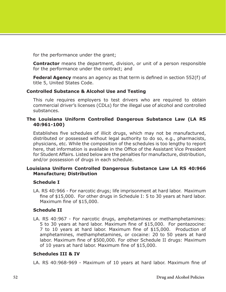for the performance under the grant;

**Contractor** means the department, division, or unit of a person responsible for the performance under the contract; and

**Federal Agency** means an agency as that term is defined in section 552(f) of title 5, United States Code.

### **Controlled Substance & Alcohol Use and Testing**

This rule requires employers to test drivers who are required to obtain commercial driver's licenses (CDLs) for the illegal use of alcohol and controlled substances.

#### **The Louisiana Uniform Controlled Dangerous Substance Law (LA RS 40:961-100)**

Establishes five schedules of illicit drugs, which may not be manufactured, distributed or possessed without legal authority to do so, e.g., pharmacists, physicians, etc. While the composition of the schedules is too lengthy to report here, that information is available in the Office of the Assistant Vice President for Student Affairs. Listed below are the penalties for manufacture, distribution, and/or possession of drugs in each schedule.

### **Louisiana Uniform Controlled Dangerous Substance Law LA RS 40:966 Manufacture; Distribution**

## **Schedule I**

LA. RS 40:966 - For narcotic drugs; life imprisonment at hard labor. Maximum fine of \$15,000. For other drugs in Schedule I: 5 to 30 years at hard labor. Maximum fine of \$15,000.

#### **Schedule II**

LA. RS 40:967 - For narcotic drugs, amphetamines or methamphetamines: 5 to 30 years at hard labor. Maximum fine of \$15,000. For pentazocine: 7 to 10 years at hard labor. Maximum fine of \$15,000. Production of amphetamines, methamphetamines, or cocaine: 20 to 50 years at hard labor. Maximum fine of \$500,000. For other Schedule II drugs: Maximum of 10 years at hard labor. Maximum fine of \$15,000.

## **Schedules III & IV**

LA. RS 40:968-969 - Maximum of 10 years at hard labor. Maximum fine of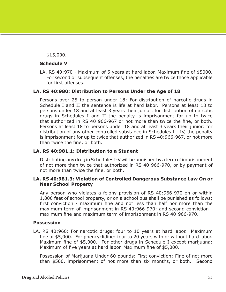\$15,000.

### **Schedule V**

LA. RS 40:970 - Maximum of 5 years at hard labor. Maximum fine of \$5000. For second or subsequent offenses, the penalties are twice those applicable for first offenses.

## **LA. RS 40:980: Distribution to Persons Under the Age of 18**

Persons over 25 to person under 18: For distribution of narcotic drugs in Schedule I and II the sentence is life at hard labor. Persons at least 18 to persons under 18 and at least 3 years their junior: for distribution of narcotic drugs in Schedules I and II the penalty is imprisonment for up to twice that authorized in RS 40:966-967 or not more than twice the fine, or both. Persons at least 18 to persons under 18 and at least 3 years their junior: for distribution of any other controlled substance in Schedules I - IV, the penalty is imprisonment for up to twice that authorized in RS 40:966-967, or not more than twice the fine, or both.

## **LA. RS 40:981.1: Distribution to a Student**

Distributing any drug in Schedules I-V will be punished by a term of imprisonment of not more than twice that authorized in RS 40:966-970, or by payment of not more than twice the fine, or both.

### **LA. RS 40:981.3: Violation of Controlled Dangerous Substance Law On or Near School Property**

Any person who violates a felony provision of RS 40:966-970 on or within 1,000 feet of school property, or on a school bus shall be punished as follows: first conviction - maximum fine and not less than half nor more than the maximum term of imprisonment in RS 40:966-970; and second conviction maximum fine and maximum term of imprisonment in RS 40:966-970.

#### **Possession**

LA. RS 40:966: For narcotic drugs: four to 10 years at hard labor. Maximum fine of \$5,000. For phencyclidine: four to 20 years with or without hard labor. Maximum fine of \$5,000. For other drugs in Schedule I except marijuana: Maximum of five years at hard labor. Maximum fine of \$5,000.

Possession of Marijuana Under 60 pounds: First conviction: Fine of not more than \$500, imprisonment of not more than six months, or both. Second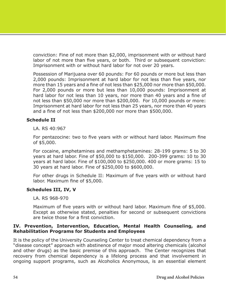conviction: Fine of not more than \$2,000, imprisonment with or without hard labor of not more than five years, or both. Third or subsequent conviction: Imprisonment with or without hard labor for not over 20 years.

Possession of Marijuana over 60 pounds: For 60 pounds or more but less than 2,000 pounds: Imprisonment at hard labor for not less than five years, nor more than 15 years and a fine of not less than \$25,000 nor more than \$50,000. For 2,000 pounds or more but less than 10,000 pounds: Imprisonment at hard labor for not less than 10 years, nor more than 40 years and a fine of not less than \$50,000 nor more than \$200,000. For 10,000 pounds or more: Imprisonment at hard labor for not less than 25 years, nor more than 40 years and a fine of not less than \$200,000 nor more than \$500,000.

### **Schedule II**

LA. RS 40:967

For pentazocine: two to five years with or without hard labor. Maximum fine of \$5,000.

For cocaine, amphetamines and methamphetamines: 28-199 grams: 5 to 30 years at hard labor. Fine of \$50,000 to \$150,000. 200-399 grams: 10 to 30 years at hard labor. Fine of \$100,000 to \$250,000. 400 or more grams: 15 to 30 years at hard labor. Fine of \$250,000 to \$600,000.

For other drugs in Schedule II: Maximum of five years with or without hard labor. Maximum fine of \$5,000.

## **Schedules III, IV, V**

LA. RS 968-970

Maximum of five years with or without hard labor. Maximum fine of \$5,000. Except as otherwise stated, penalties for second or subsequent convictions are twice those for a first conviction.

### **IV. Prevention, Intervention, Education, Mental Health Counseling, and Rehabilitation Programs for Students and Employees**

It is the policy of the University Counseling Center to treat chemical dependency from a "disease concept" approach with abstinence of major mood altering chemicals (alcohol and other drugs) as the basic premise of this approach. The Center recognizes that recovery from chemical dependency is a lifelong process and that involvement in ongoing support programs, such as Alcoholics Anonymous, is an essential element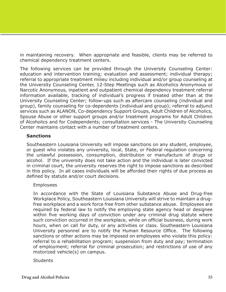in maintaining recovery. When appropriate and feasible, clients may be referred to chemical dependency treatment centers.

The following services can be provided through the University Counseling Center: education and intervention training; evaluation and assessment; individual therapy; referral to appropriate treatment milieu including individual and/or group counseling at the University Counseling Center, 12-Step Meetings such as Alcoholics Anonymous or Narcotic Anonymous, inpatient and outpatient chemical dependency treatment referral information available, tracking of individual's progress if treated other than at the University Counseling Center; follow-ups such as aftercare counseling (individual and group), family counseling for co-dependents (individual and group); referral to adjunct services such as ALANON, Co-dependency Support Groups, Adult Children of Alcoholics, Spouse Abuse or other support groups and/or treatment programs for Adult Children of Alcoholics and for Codependents; consultation services - The University Counseling Center maintains contact with a number of treatment centers.

### **Sanctions**

Southeastern Louisiana University will impose sanctions on any student, employee, or guest who violates any university, local, State, or Federal regulation concerning the unlawful possession, consumption, distribution or manufacture of drugs or alcohol. If the university does not take action and the individual is later convicted in criminal court, the university reserves the right to impose sanctions as described in this policy. In all cases individuals will be afforded their rights of due process as defined by statute and/or court decisions.

#### Employees

In accordance with the State of Louisiana Substance Abuse and Drug-free Workplace Policy, Southeastern Louisiana University will strive to maintain a drugfree workplace and a work force free from other substance abuse. Employees are required by federal law to notify the employing state agency head or designee within five working days of conviction under any criminal drug statute where such conviction occurred in the workplace, while on official business, during work hours, when on call for duty, or any activities or class. Southeastern Louisiana University personnel are to notify the Human Resource Office. The following sanctions or other actions may be imposed on employees who violate this policy: referral to a rehabilitation program; suspension from duty and pay; termination of employment; referral for criminal prosecution; and restrictions of use of any motorized vehicle(s) on campus.

#### **Students**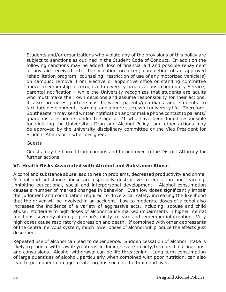Students and/or organizations who violate any of the provisions of this policy are subject to sanctions as outlined in the Student Code of Conduct. In addition the following sanctions may be added: loss of financial aid and possible repayment of any aid received after the violation occurred; completion of an approved rehabilitation program; counseling; restriction of use of any motorized vehicle(s) on campus; removal from elective or appointive office or standing committee and/or membership in recognized university organizations; community Service; parental notification - while the University recognizes that students are adults who must make their own decisions and assume responsibility for their actions, it also promotes partnerships between parents/guardians and students to facilitate development, learning, and a more successful university life. Therefore, Southeastern may send written notification and/or make phone contact to parents/ guardians of students under the age of 21 who have been found responsible for violating the University's Drug and Alcohol Policy; and other actions may be approved by the university disciplinary committee or the Vice President for Student Affairs or his/her designee.

Guests

Guests may be barred from campus and turned over to the District Attorney for further actions.

## **VI. Health Risks Associated with Alcohol and Substance Abuse**

Alcohol and substance abuse lead to health problems, decreased productivity and crime. Alcohol and substance abuse are especially destructive to education and learning, inhibiting educational, social and interpersonal development. Alcohol consumption causes a number of marked changes in behavior. Even low doses significantly impair the judgment and coordination required to drive a car safely, increasing the likelihood that the driver will be involved in an accident. Low to moderate doses of alcohol also increases the incidence of a variety of aggressive acts, including, spouse and child abuse. Moderate to high doses of alcohol cause marked impairments in higher mental functions, severely altering a person's ability to learn and remember information. Very high doses cause respiratory depression and death. If combined with other depressants of the central nervous system, much lower doses of alcohol will produce the effects just described.

Repeated use of alcohol can lead to dependence. Sudden cessation of alcohol intake is likely to produce withdrawal symptoms, including severe anxiety, tremors, hallucinations, and convulsions. Alcohol withdrawal can be life threatening. Long-term consumption of large quantities of alcohol, particularly when combined with poor nutrition, can also lead to permanent damage to vital organs such as the brain and liver.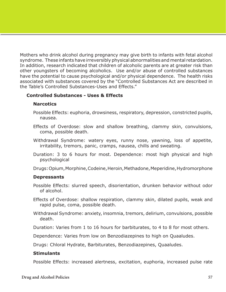Mothers who drink alcohol during pregnancy may give birth to infants with fetal alcohol syndrome. These infants have irreversibly physical abnormalities and mental retardation. In addition, research indicated that children of alcoholic parents are at greater risk than other youngsters of becoming alcoholics. Use and/or abuse of controlled substances have the potential to cause psychological and/or physical dependence. The health risks associated with substances covered by the "Controlled Substances Act are described in the Table's Controlled Substances-Uses and Effects."

### **Controlled Substances - Uses & Effects**

#### **Narcotics**

- Possible Effects: euphoria, drowsiness, respiratory, depression, constricted pupils, nausea.
- Effects of Overdose: slow and shallow breathing, clammy skin, convulsions, coma, possible death.
- Withdrawal Syndrome: watery eyes, runny nose, yawning, loss of appetite, irritability, tremors, panic, cramps, nausea, chills and sweating.
- Duration: 3 to 6 hours for most. Dependence: most high physical and high psychological

Drugs: Opium, Morphine, Codeine, Heroin, Methadone, Meperidine, Hydromorphone

#### **Depressants**

- Possible Effects: slurred speech, disorientation, drunken behavior without odor of alcohol.
- Effects of Overdose: shallow respiration, clammy skin, dilated pupils, weak and rapid pulse, coma, possible death.
- Withdrawal Syndrome: anxiety, insomnia, tremors, delirium, convulsions, possible death.

Duration: Varies from 1 to 16 hours for barbiturates, to 4 to 8 for most others.

Dependence: Varies from low on Benzodiazepines to high on Quaaludes.

Drugs: Chloral Hydrate, Barbiturates, Benzodiazepines, Quaaludes.

#### **Stimulants**

Possible Effects: increased alertness, excitation, euphoria, increased pulse rate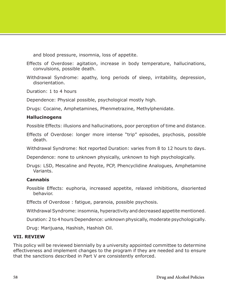and blood pressure, insomnia, loss of appetite.

Effects of Overdose: agitation, increase in body temperature, hallucinations, convulsions, possible death.

Withdrawal Syndrome: apathy, long periods of sleep, irritability, depression, disorientation.

Duration: 1 to 4 hours

Dependence: Physical possible, psychological mostly high.

Drugs: Cocaine, Amphetamines, Phenmetrazine, Methylphenidate.

#### **Hallucinogens**

Possible Effects: illusions and hallucinations, poor perception of time and distance.

Effects of Overdose: longer more intense "trip" episodes, psychosis, possible death.

Withdrawal Syndrome: Not reported Duration: varies from 8 to 12 hours to days.

Dependence: none to unknown physically, unknown to high psychologically.

Drugs: LSD, Mescaline and Peyote, PCP, Phencyclidine Analogues, Amphetamine Variants.

## **Cannabis**

Possible Effects: euphoria, increased appetite, relaxed inhibitions, disoriented behavior.

Effects of Overdose : fatigue, paranoia, possible psychosis.

Withdrawal Syndrome: insomnia, hyperactivity and decreased appetite mentioned.

Duration: 2 to 4 hours Dependence: unknown physically, moderate psychologically.

Drug: Marijuana, Hashish, Hashish Oil.

#### **VII. REVIEW**

This policy will be reviewed biennially by a university appointed committee to determine effectiveness and implement changes to the program if they are needed and to ensure that the sanctions described in Part V are consistently enforced.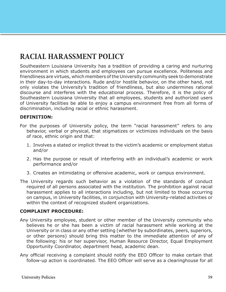# **RACIAL HARASSMENT POLICY**

Southeastern Louisiana University has a tradition of providing a caring and nurturing environment in which students and employees can pursue excellence. Politeness and friendliness are virtues, which members of the University community seek to demonstrate in their day-to-day interactions. Rude and/or hostile behavior, on the other hand, not only violates the University's tradition of friendliness, but also undermines rational discourse and interferes with the educational process. Therefore, it is the policy of Southeastern Louisiana University that all employees, students and authorized users of University facilities be able to enjoy a campus environment free from all forms of discrimination, including racial or ethnic harassment.

### **DEFINITION:**

- For the purposes of University policy, the term "racial harassment" refers to any behavior, verbal or physical, that stigmatizes or victimizes individuals on the basis of race, ethnic origin and that:
	- 1. Involves a stated or implicit threat to the victim's academic or employment status and/or
	- 2. Has the purpose or result of interfering with an individual's academic or work performance and/or
	- 3. Creates an intimidating or offensive academic, work or campus environment.
- The University regards such behavior as a violation of the standards of conduct required of all persons associated with the institution. The prohibition against racial harassment applies to all interactions including, but not limited to those occurring on campus, in University facilities, in conjunction with University-related activities or within the context of recognized student organizations.

#### **COMPLAINT PROCEDURE:**

- Any University employee, student or other member of the University community who believes he or she has been a victim of racial harassment while working at the University or in class or any other setting (whether by subordinates, peers, superiors, or other persons) should bring this matter to the immediate attention of any of the following: his or her supervisor, Human Resource Director, Equal Employment Opportunity Coordinator, department head, academic dean.
- Any official receiving a complaint should notify the EEO Officer to make certain that follow-up action is coordinated. The EEO Officer will serve as a clearinghouse for all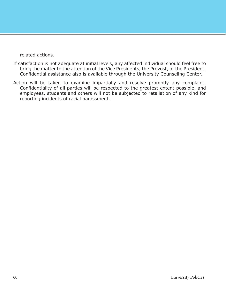related actions.

- If satisfaction is not adequate at initial levels, any affected individual should feel free to bring the matter to the attention of the Vice Presidents, the Provost, or the President. Confidential assistance also is available through the University Counseling Center.
- Action will be taken to examine impartially and resolve promptly any complaint. Confidentiality of all parties will be respected to the greatest extent possible, and employees, students and others will not be subjected to retaliation of any kind for reporting incidents of racial harassment.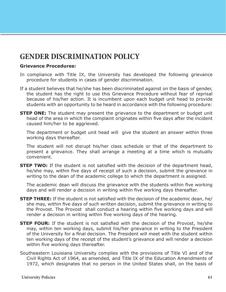## **GENDER DISCRIMINATION POLICY**

#### **Grievance Procedures:**

- In compliance with Title IX, the University has developed the following grievance procedure for students in cases of gender discrimination.
- If a student believes that he/she has been discriminated against on the basis of gender, the student has the right to use this Grievance Procedure without fear of reprisal because of his/her action. It is incumbent upon each budget unit head to provide students with an opportunity to be heard in accordance with the following procedure:
- **STEP ONE:** The student may present the grievance to the department or budget unit head of the area in which the complaint originates within five days after the incident caused him/her to be aggrieved.

The department or budget unit head will give the student an answer within three working days thereafter.

The student will not disrupt his/her class schedule or that of the department to present a grievance. They shall arrange a meeting at a time which is mutually convenient.

**STEP TWO:** If the student is not satisfied with the decision of the department head, he/she may, within five days of receipt of such a decision, submit the grievance in writing to the dean of the academic college to which the department is assigned.

The academic dean will discuss the grievance with the students within five working days and will render a decision in writing within five working days thereafter.

- **STEP THREE:** If the student is not satisfied with the decision of the academic dean, he/ she may, within five days of such written decision, submit the grievance in writing to the Provost. The Provost shall conduct a hearing within five working days and will render a decision in writing within five working days of the hearing.
- **STEP FOUR:** If the student is not satisfied with the decision of the Provost, he/she may, within ten working days, submit his/her grievance in writing to the President of the University for a final decision. The President will meet with the student within ten working days of the receipt of the student's grievance and will render a decision within five working days thereafter.
- Southeastern Louisiana University complies with the provisions of Title VI and of the Civil Rights Act of 1964, as amended, and Title IX of the Education Amendments of 1972, which designates that no person in the United States shall, on the basis of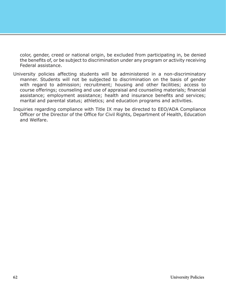color, gender, creed or national origin, be excluded from participating in, be denied the benefits of, or be subject to discrimination under any program or activity receiving Federal assistance.

- University policies affecting students will be administered in a non-discriminatory manner. Students will not be subjected to discrimination on the basis of gender with regard to admission; recruitment; housing and other facilities; access to course offerings; counseling and use of appraisal and counseling materials; financial assistance; employment assistance; health and insurance benefits and services; marital and parental status; athletics; and education programs and activities.
- Inquiries regarding compliance with Title IX may be directed to EEO/ADA Compliance Officer or the Director of the Office for Civil Rights, Department of Health, Education and Welfare.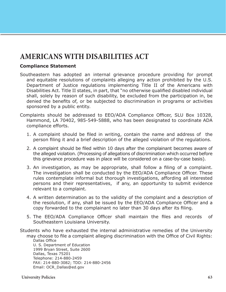## **AMERICANS WITH DISABILITIES ACT**

## **Compliance Statement**

Southeastern has adopted an internal grievance procedure providing for prompt and equitable resolutions of complaints alleging any action prohibited by the U.S. Department of Justice regulations implementing Title II of the Americans with Disabilities Act. Title II states, in part, that "no otherwise qualified disabled individual shall, solely by reason of such disability, be excluded from the participation in, be denied the benefits of, or be subjected to discrimination in programs or activities sponsored by a public entity.

Complaints should be addressed to EEO/ADA Compliance Officer, SLU Box 10328, Hammond, LA 70402, 985-549-5888, who has been designated to coordinate ADA compliance efforts.

- 1. A complaint should be filed in writing, contain the name and address of the person filing it and a brief description of the alleged violation of the regulations.
- 2. A complaint should be filed within 10 days after the complainant becomes aware of the alleged violation. (Processing of allegations of discrimination which occurred before this grievance procedure was in place will be considered on a case-by-case basis).
- 3. An investigation, as may be appropriate, shall follow a filing of a complaint. The investigation shall be conducted by the EEO/ADA Compliance Officer. These rules contemplate informal but thorough investigations, affording all interested persons and their representatives, if any, an opportunity to submit evidence relevant to a complaint.
- 4. A written determination as to the validity of the complaint and a description of the resolution, if any, shall be issued by the EEO/ADA Compliance Officer and a copy forwarded to the complainant no later than 30 days after its filing.
- 5. The EEO/ADA Compliance Officer shall maintain the files and records of Southeastern Louisiana University.

Students who have exhausted the internal administrative remedies of the University may choose to file a complaint alleging discrimination with the Office of Civil Rights: Dallas Office U. S. Department of Education 1999 Bryan Street, Suite 2600 Dallas, Texas 75201 Telephone: 214-880-2459 FAX: 214-880-3082; TDD: 214-880-2456

Email: OCR\_Dallas@ed.gov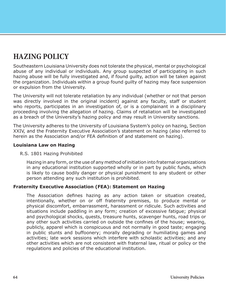# **HAZING POLICY**

Southeastern Louisiana University does not tolerate the physical, mental or psychological abuse of any individual or individuals. Any group suspected of participating in such hazing abuse will be fully investigated and, if found guilty, action will be taken against the organization. Individuals within a group found guilty of hazing may face suspension or expulsion from the University.

The University will not tolerate retaliation by any individual (whether or not that person was directly involved in the original incident) against any faculty, staff or student who reports, participates in an investigation of, or is a complainant in a disciplinary proceeding involving the allegation of hazing. Claims of retaliation will be investigated as a breach of the University's hazing policy and may result in University sanctions.

The University adheres to the University of Louisiana System's policy on hazing, Section XXIV, and the Fraternity Executive Association's statement on hazing (also referred to herein as the Association and/or FEA definition of and statement on hazing).

#### **Louisiana Law on Hazing**

#### R.S. 1801 Hazing Prohibited

Hazing in any form, or the use of any method of initiation into fraternal organizations in any educational institution supported wholly or in part by public funds, which is likely to cause bodily danger or physical punishment to any student or other person attending any such institution is prohibited.

## **Fraternity Executive Association (FEA): Statement on Hazing**

The Association defines hazing as any action taken or situation created, intentionally, whether on or off fraternity premises, to produce mental or physical discomfort, embarrassment, harassment or ridicule. Such activities and situations include paddling in any form; creation of excessive fatigue; physical and psychological shocks, quests, treasure hunts, scavenger hunts, road trips or any other such activities carried on outside the confines of the house; wearing, publicly, apparel which is conspicuous and not normally in good taste; engaging in public stunts and buffoonery; morally degrading or humiliating games and activities; late work sessions which interfere with scholastic activities; and any other activities which are not consistent with fraternal law, ritual or policy or the regulations and policies of the educational institution.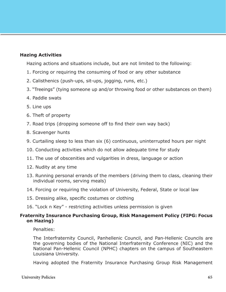## **Hazing Activities**

Hazing actions and situations include, but are not limited to the following:

- 1. Forcing or requiring the consuming of food or any other substance
- 2. Calisthenics (push-ups, sit-ups, jogging, runs, etc.)
- 3. "Treeings" (tying someone up and/or throwing food or other substances on them)
- 4. Paddle swats
- 5. Line ups
- 6. Theft of property
- 7. Road trips (dropping someone off to find their own way back)
- 8. Scavenger hunts
- 9. Curtailing sleep to less than six (6) continuous, uninterrupted hours per night
- 10. Conducting activities which do not allow adequate time for study
- 11. The use of obscenities and vulgarities in dress, language or action
- 12. Nudity at any time
- 13. Running personal errands of the members (driving them to class, cleaning their individual rooms, serving meals)
- 14. Forcing or requiring the violation of University, Federal, State or local law
- 15. Dressing alike, specific costumes or clothing
- 16. "Lock n Key" restricting activities unless permission is given

#### **Fraternity Insurance Purchasing Group, Risk Management Policy (FIPG: Focus on Hazing)**

Penalties:

The Interfraternity Council, Panhellenic Council, and Pan-Hellenic Councils are the governing bodies of the National Interfraternity Conference (NIC) and the National Pan-Hellenic Council (NPHC) chapters on the campus of Southeastern Louisiana University.

Having adopted the Fraternity Insurance Purchasing Group Risk Management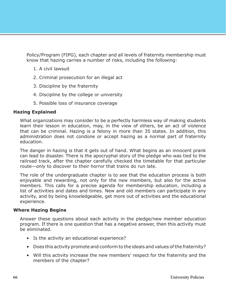Policy/Program (FIPG), each chapter and all levels of fraternity membership must know that hazing carries a number of risks, including the following:

- 1. A civil lawsuit
- 2. Criminal prosecution for an illegal act
- 3. Discipline by the fraternity
- 4. Discipline by the college or university
- 5. Possible loss of insurance coverage

#### **Hazing Explained**

What organizations may consider to be a perfectly harmless way of making students learn their lesson in education, may, in the view of others, be an act of violence that can be criminal. Hazing is a felony in more than 35 states. In addition, this administration does not condone or accept hazing as a normal part of fraternity education.

The danger in hazing is that it gets out of hand. What begins as an innocent prank can lead to disaster. There is the apocryphal story of the pledge who was tied to the railroad track, after the chapter carefully checked the timetable for that particular route—only to discover to their horror that trains do run late.

The role of the undergraduate chapter is to see that the education process is both enjoyable and rewarding, not only for the new members, but also for the active members. This calls for a precise agenda for membership education, including a list of activities and dates and times. New and old members can participate in any activity, and by being knowledgeable, get more out of activities and the educational experience.

#### **Where Hazing Begins**

Answer these questions about each activity in the pledge/new member education program. If there is one question that has a negative answer, then this activity must be eliminated.

- Is the activity an educational experience?
- Does this activity promote and conform to the ideals and values of the fraternity?
- Will this activity increase the new members' respect for the fraternity and the members of the chapter?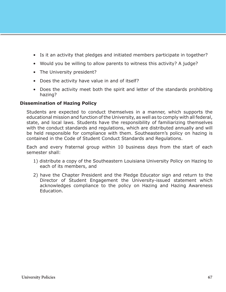- Is it an activity that pledges and initiated members participate in together?
- Would you be willing to allow parents to witness this activity? A judge?
- The University president?
- Does the activity have value in and of itself?
- Does the activity meet both the spirit and letter of the standards prohibiting hazing?

### **Dissemination of Hazing Policy**

Students are expected to conduct themselves in a manner, which supports the educational mission and function of the University, as well as to comply with all federal, state, and local laws. Students have the responsibility of familiarizing themselves with the conduct standards and regulations, which are distributed annually and will be held responsible for compliance with them. Southeastern's policy on hazing is contained in the Code of Student Conduct Standards and Regulations.

Each and every fraternal group within 10 business days from the start of each semester shall:

- 1) distribute a copy of the Southeastern Louisiana University Policy on Hazing to each of its members, and
- 2) have the Chapter President and the Pledge Educator sign and return to the Director of Student Engagement the University-issued statement which acknowledges compliance to the policy on Hazing and Hazing Awareness Education.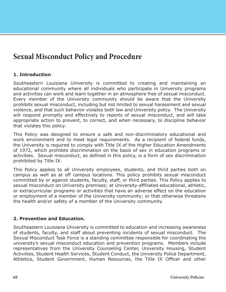## **Sexual Misconduct Policy and Procedure**

## **1. Introduction**

Southeastern Louisiana University is committed to creating and maintaining an educational community where all individuals who participate in University programs and activities can work and learn together in an atmosphere free of sexual misconduct. Every member of the University community should be aware that the University prohibits sexual misconduct, including but not limited to sexual harassment and sexual violence, and that such behavior violates both law and University policy. The University will respond promptly and effectively to reports of sexual misconduct, and will take appropriate action to prevent, to correct, and when necessary, to discipline behavior that violates this policy.

This Policy was designed to ensure a safe and non-discriminatory educational and work environment and to meet legal requirements. As a recipient of federal funds, the University is required to comply with Title IX of the Higher Education Amendments of 1972, which prohibits discrimination on the basis of sex in education programs or activities. Sexual misconduct, as defined in this policy, is a form of sex discrimination prohibited by Title IX.

This Policy applies to all University employees, students, and third parties both on campus as well as at off campus locations. This policy prohibits sexual misconduct committed by or against students, faculty, staff, or third parties. This Policy applies to sexual misconduct on University premises; at University-affiliated educational, athletic, or extracurricular programs or activities that have an adverse effect on the education or employment of a member of the University community; or that otherwise threatens the health and/or safety of a member of the University community.

## **2. Prevention and Education.**

Southeastern Louisiana University is committed to education and increasing awareness of students, faculty, and staff about preventing incidents of sexual misconduct. The Sexual Misconduct Task Force is a standing committee responsible for coordinating the university's sexual misconduct education and prevention programs. Members include representatives from the University Counseling Center, University Housing, Student Activities, Student Health Services, Student Conduct, the University Police Department, Athletics, Student Government, Human Resources, the Title IX Officer and other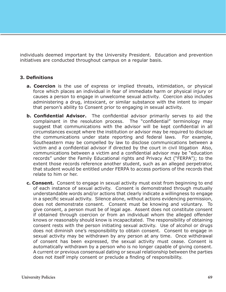individuals deemed important by the University President. Education and prevention initiatives are conducted throughout campus on a regular basis.

## **3. Definitions**

- **a. Coercion** is the use of express or implied threats, intimidation, or physical force which places an individual in fear of immediate harm or physical injury or causes a person to engage in unwelcome sexual activity. Coercion also includes administering a drug, intoxicant, or similar substance with the intent to impair that person's ability to Consent prior to engaging in sexual activity.
- **b. Confidential Advisor.** The confidential advisor primarily serves to aid the complainant in the resolution process. The "confidential" terminology may suggest that communications with the advisor will be kept confidential in all circumstances except where the institution or advisor may be required to disclose the communications under state reporting and federal laws. For example, Southeastern may be compelled by law to disclose communications between a victim and a confidential advisor if directed by the court in civil litigation Also, communications between a victim and a confidential advisor may be "education records" under the Family Educational rights and Privacy Act ("FERPA"); to the extent those records reference another student, such as an alleged perpetrator, that student would be entitled under FERPA to access portions of the records that relate to him or her.
- **c. Consent.** Consent to engage in sexual activity must exist from beginning to end of each instance of sexual activity. Consent is demonstrated through mutually understandable words and/or actions that clearly indicate a willingness to engage in a specific sexual activity. Silence alone, without actions evidencing permission, does not demonstrate consent. Consent must be knowing and voluntary. To give consent, a person must be of legal age. Assent does not constitute consent if obtained through coercion or from an individual whom the alleged offender knows or reasonably should know is incapacitated. The responsibility of obtaining consent rests with the person initiating sexual activity. Use of alcohol or drugs does not diminish one's responsibility to obtain consent. Consent to engage in sexual activity may be withdrawn by any person at any time. Once withdrawal of consent has been expressed, the sexual activity must cease. Consent is automatically withdrawn by a person who is no longer capable of giving consent. A current or previous consensual dating or sexual relationship between the parties does not itself imply consent or preclude a finding of responsibility.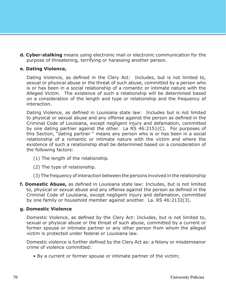**d. Cyber-stalking** means using electronic mail or electronic communication for the purpose of threatening, terrifying or harassing another person.

### **e. Dating Violence,**

Dating Violence, as defined in the Clery Act: Includes, but is not limited to, sexual or physical abuse or the threat of such abuse, committed by a person who is or has been in a social relationship of a romantic or intimate nature with the Alleged Victim. The existence of such a relationship will be determined based on a consideration of the length and type or relationship and the frequency of interaction.

Dating Violence, as defined in Louisiana state law: Includes but is not limited to physical or sexual abuse and any offense against the person as defined in the Criminal Code of Louisiana, except negligent injury and defamation, committed by one dating partner against the other. La RS 46:2151(C). For purposes of this Section, "dating partner " means any person who is or has been in a social relationship of a romantic or intimate nature with the victim and where the existence of such a relationship shall be determined based on a consideration of the following factors:

- (1) The length of the relationship.
- (2) The type of relationship.
- (3) The frequency of interaction between the persons involved in the relationship
- **f. Domestic Abuse,** as defined in Louisiana state law: Includes, but is not limited to, physical or sexual abuse and any offense against the person as defined in the Criminal Code of Louisiana, except negligent injury and defamation, committed by one family or household member against another. La. RS 46:2132(3).

#### **g. Domestic Violence**

Domestic Violence, as defined by the Clery Act: Includes, but is not limited to, sexual or physical abuse or the threat of such abuse, committed by a current or former spouse or intimate partner or any other person from whom the alleged victim is protected under federal or Louisiana law.

Domestic violence is further defined by the Clery Act as: a felony or misdemeanor crime of violence committed:

• By a current or former spouse or intimate partner of the victim;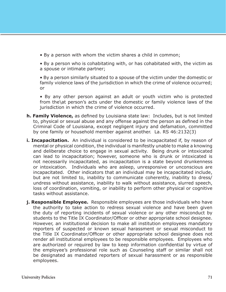• By a person with whom the victim shares a child in common;

• By a person who is cohabitating with, or has cohabitated with, the victim as a spouse or intimate partner;

• By a person similarly situated to a spouse of the victim under the domestic or family violence laws of the jurisdiction in which the crime of violence occurred; or

• By any other person against an adult or youth victim who is protected from the\at person's acts under the domestic or family violence laws of the jurisdiction in which the crime of violence occurred.

- **h. Family Violence,** as defined by Louisiana state law: Includes, but is not limited to, physical or sexual abuse and any offense against the person as defined in the Criminal Code of Louisiana, except negligent injury and defamation, committed by one family or household member against another. La. RS 46:2132(3)
- **i. Incapacitation.** An individual is considered to be incapacitated if, by reason of mental or physical condition, the individual is manifestly unable to make a knowing and deliberate choice to engage in sexual activity. Being drunk or intoxicated can lead to incapacitation; however, someone who is drunk or intoxicated is not necessarily incapacitated, as incapacitation is a state beyond drunkenness or intoxication. Individuals who are asleep, unresponsive or unconscious are incapacitated. Other indicators that an individual may be incapacitated include, but are not limited to, inability to communicate coherently, inability to dress/ undress without assistance, inability to walk without assistance, slurred speech, loss of coordination, vomiting, or inability to perform other physical or cognitive tasks without assistance.
- **j. Responsible Employee.** Responsible employees are those individuals who have the authority to take action to redress sexual violence and have been given the duty of reporting incidents of sexual violence or any other misconduct by students to the Title IX Coordinator/Officer or other appropriate school designee. However, an institutional decision to make all institution employees mandatory reporters of suspected or known sexual harassment or sexual misconduct to the Title IX Coordinator/Officer or other appropriate school designee does not render all institutional employees to be responsible employees. Employees who are authorized or required by law to keep information confidential by virtue of the employee's professional role such as Counseling staff or similar shall not be designated as mandated reporters of sexual harassment or as responsible employees.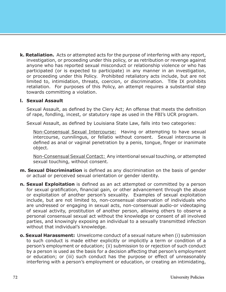**k. Retaliation.** Acts or attempted acts for the purpose of interfering with any report, investigation, or proceeding under this policy, or as retribution or revenge against anyone who has reported sexual misconduct or relationship violence or who has participated (or is expected to participate) in any manner in an investigation, or proceeding under this Policy. Prohibited retaliatory acts include, but are not limited to, intimidation, threats, coercion, or discrimination. Title IX prohibits retaliation. For purposes of this Policy, an attempt requires a substantial step towards committing a violation.

#### **l. Sexual Assault**

Sexual Assault, as defined by the Clery Act; An offense that meets the definition of rape, fondling, incest, or statutory rape as used in the FBI's UCR program.

Sexual Assault, as defined by Louisiana State Law, falls into two categories:

Non-Consensual Sexual Intercourse: Having or attempting to have sexual intercourse, cunnilingus, or fellatio without consent. Sexual intercourse is defined as anal or vaginal penetration by a penis, tongue, finger or inanimate object.

Non-Consensual Sexual Contact: Any intentional sexual touching, or attempted sexual touching, without consent.

- **m. Sexual Discrimination** is defined as any discrimination on the basis of gender or actual or perceived sexual orientation or gender identity.
- **n. Sexual Exploitation** is defined as an act attempted or committed by a person for sexual gratification, financial gain, or other advancement through the abuse or exploitation of another person's sexuality. Examples of sexual exploitation include, but are not limited to, non-consensual observation of individuals who are undressed or engaging in sexual acts, non-consensual audio-or videotaping of sexual activity, prostitution of another person, allowing others to observe a personal consensual sexual act without the knowledge or consent of all involved parties, and knowingly exposing an individual to a sexually transmitted infection without that individual's knowledge.
- **o. Sexual Harassment:** Unwelcome conduct of a sexual nature when (i) submission to such conduct is made either explicitly or implicitly a term or condition of a person's employment or education; (ii) submission to or rejection of such conduct by a person is used as the basis for a decision affecting that person's employment or education; or (iii) such conduct has the purpose or effect of unreasonably interfering with a person's employment or education, or creating an intimidating,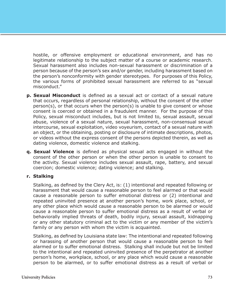hostile, or offensive employment or educational environment, and has no legitimate relationship to the subject matter of a course or academic research. Sexual harassment also includes non-sexual harassment or discrimination of a person because of the person's sex and/or gender, including harassment based on the person's nonconformity with gender stereotypes. For purposes of this Policy, the various forms of prohibited sexual harassment are referred to as "sexual misconduct."

- **p. Sexual Misconduct** is defined as a sexual act or contact of a sexual nature that occurs, regardless of personal relationship, without the consent of the other person(s), or that occurs when the person(s) is unable to give consent or whose consent is coerced or obtained in a fraudulent manner. For the purpose of this Policy, sexual misconduct includes, but is not limited to, sexual assault, sexual abuse, violence of a sexual nature, sexual harassment, non-consensual sexual intercourse, sexual exploitation, video voyeurism, contact of a sexual nature with an object, or the obtaining, posting or disclosure of intimate descriptions, photos, or videos without the express consent of the persons depicted therein, as well as dating violence, domestic violence and stalking.
- **q. Sexual Violence** is defined as physical sexual acts engaged in without the consent of the other person or when the other person is unable to consent to the activity. Sexual violence includes sexual assault, rape, battery, and sexual coercion; domestic violence; dating violence; and stalking.

#### **r. Stalking**

Stalking, as defined by the Clery Act, is: (1) intentional and repeated following or harassment that would cause a reasonable person to feel alarmed or that would cause a reasonable person to suffer emotional distress or (2) intentional and repeated uninvited presence at another person's home, work place, school, or any other place which would cause a reasonable person to be alarmed or would cause a reasonable person to suffer emotional distress as a result of verbal or behaviorally implied threats of death, bodily injury, sexual assault, kidnapping or any other statutory criminal act to the victim or any member of the victim's family or any person with whom the victim is acquainted.

Stalking, as defined by Louisiana state law: The intentional and repeated following or harassing of another person that would cause a reasonable person to feel alarmed or to suffer emotional distress. Stalking shall include but not be limited to the intentional and repeated uninvited presence of the perpetrator at another person's home, workplace, school, or any place which would cause a reasonable person to be alarmed, or to suffer emotional distress as a result of verbal or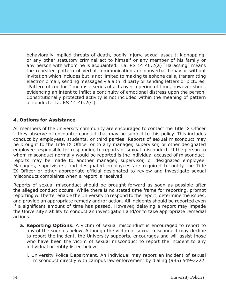behaviorally implied threats of death, bodily injury, sexual assault, kidnapping, or any other statutory criminal act to himself or any member of his family or any person with whom he is acquainted. La. RS 14:40.2(a) "Harassing" means the repeated pattern of verbal communications or nonverbal behavior without invitation which includes but is not limited to making telephone calls, transmitting electronic mail, sending messages via a third party or sending letters or pictures. "Pattern of conduct" means a series of acts over a period of time, however short, evidencing an intent to inflict a continuity of emotional distress upon the person. Constitutionally protected activity is not included within the meaning of pattern of conduct. La. RS 14:40.2(C).

### **4. Options for Assistance**

All members of the University community are encouraged to contact the Title IX Officer if they observe or encounter conduct that may be subject to this policy. This includes conduct by employees, students, or third parties. Reports of sexual misconduct may be brought to the Title IX Officer or to any manager, supervisor, or other designated employee responsible for responding to reports of sexual misconduct. If the person to whom misconduct normally would be reported is the individual accused of misconduct, reports may be made to another manager, supervisor, or designated employee. Managers, supervisors, and designated employees are required to notify the Title IX Officer or other appropriate official designated to review and investigate sexual misconduct complaints when a report is received.

Reports of sexual misconduct should be brought forward as soon as possible after the alleged conduct occurs. While there is no stated time frame for reporting, prompt reporting will better enable the University to respond to the report, determine the issues, and provide an appropriate remedy and/or action. All incidents should be reported even if a significant amount of time has passed. However, delaying a report may impede the University's ability to conduct an investigation and/or to take appropriate remedial actions.

- **a. Reporting Options.** A victim of sexual misconduct is encouraged to report to any of the sources below. Although the victim of sexual misconduct may decline to report the incident, the University supports, encourages and will assist those who have been the victim of sexual misconduct to report the incident to any individual or entity listed below:
	- i. University Police Department. An individual may report an incident of sexual misconduct directly with campus law enforcement by dialing (985) 549-2222.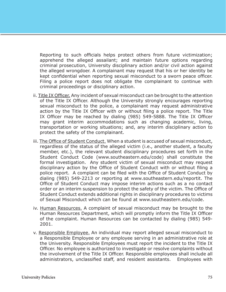Reporting to such officials helps protect others from future victimization; apprehend the alleged assailant; and maintain future options regarding criminal prosecution, University disciplinary action and/or civil action against the alleged wrongdoer. A complainant may request that his or her identity be kept confidential when reporting sexual misconduct to a sworn peace officer. Filing a police report does not obligate the complainant to continue with criminal proceedings or disciplinary action.

- ii. Title IX Officer. Any incident of sexual misconduct can be brought to the attention of the Title IX Officer. Although the University strongly encourages reporting sexual misconduct to the police, a complainant may request administrative action by the Title IX Officer with or without filing a police report. The Title IX Officer may be reached by dialing (985) 549-5888. The Title IX Officer may grant interim accommodations such as changing academic, living, transportation or working situations; and, any interim disciplinary action to protect the safety of the complainant.
- iii. The Office of Student Conduct. When a student is accused of sexual misconduct, regardless of the status of the alleged victim (i.e., another student, a faculty member, etc.), the relevant student disciplinary procedures set forth in the Student Conduct Code (www.southeastern.edu/code) shall constitute the formal investigation. Any student victim of sexual misconduct may request disciplinary action by the Office of Student Conduct with or without filing a police report. A complaint can be filed with the Office of Student Conduct by dialing (985) 549-2213 or reporting at www.southeastern.edu/reportit. The Office of Student Conduct may impose interim actions such as a no contact order or an interim suspension to protect the safety of the victim. The Office of Student Conduct extends additional rights in disciplinary procedures to victims of Sexual Misconduct which can be found at www.southeastern.edu/code.
- iv. Human Resources. A complaint of sexual misconduct may be brought to the Human Resources Department, which will promptly inform the Title IX Officer of the complaint. Human Resources can be contacted by dialing (985) 549- 2001.
- v. Responsible Employee. An individual may report alleged sexual misconduct to a Responsible Employee or any employee serving in an administrative role at the University. Responsible Employees must report the incident to the Title IX Officer. No employee is authorized to investigate or resolve complaints without the involvement of the Title IX Officer. Responsible employees shall include all administrators, unclassified staff, and resident assistants. Employees with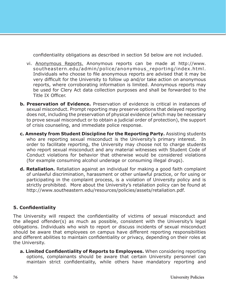confidentiality obligations as described in section 5d below are not included.

- vi. Anonymous Reports. Anonymous reports can be made at http://www. southeastern.edu/admin/police/anonymous reporting/index.html. Individuals who choose to file anonymous reports are advised that it may be very difficult for the University to follow up and/or take action on anonymous reports, where corroborating information is limited. Anonymous reports may be used for Clery Act data collection purposes and shall be forwarded to the Title IX Officer.
- **b. Preservation of Evidence.** Preservation of evidence is critical in instances of sexual misconduct. Prompt reporting may preserve options that delayed reporting does not, including the preservation of physical evidence (which may be necessary to prove sexual misconduct or to obtain a judicial order of protection), the support of crisis counseling, and immediate police response.
- **c. Amnesty from Student Discipline for the Reporting Party.** Assisting students who are reporting sexual misconduct is the University's primary interest. In order to facilitate reporting, the University may choose not to charge students who report sexual misconduct and any material witnesses with Student Code of Conduct violations for behavior that otherwise would be considered violations (for example consuming alcohol underage or consuming illegal drugs).
- **d. Retaliation.** Retaliation against an individual for making a good faith complaint of unlawful discrimination, harassment or other unlawful practice, or for using or participating in the complaint process, is a violation of University policy and is strictly prohibited. More about the University's retaliation policy can be found at http://www.southeastern.edu/resources/policies/assets/retaliation.pdf.

### **5. Confidentiality**

The University will respect the confidentiality of victims of sexual misconduct and the alleged offender(s) as much as possible, consistent with the University's legal obligations. Individuals who wish to report or discuss incidents of sexual misconduct should be aware that employees on campus have different reporting responsibilities and different abilities to maintain confidentiality or privacy, depending on their roles at the University.

**a. Limited Confidentiality of Reports to Employees.** When considering reporting options, complainants should be aware that certain University personnel can maintain strict confidentiality, while others have mandatory reporting and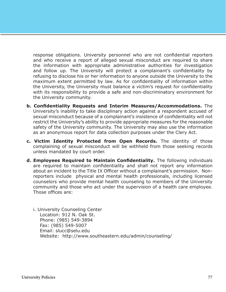response obligations. University personnel who are not confidential reporters and who receive a report of alleged sexual misconduct are required to share the information with appropriate administrative authorities for investigation and follow up. The University will protect a complainant's confidentiality by refusing to disclose his or her information to anyone outside the University to the maximum extent permitted by law. As for confidentiality of information within the University, the University must balance a victim's request for confidentiality with its responsibility to provide a safe and non-discriminatory environment for the University community.

- **b. Confidentiality Requests and Interim Measures/Accommodations.** The University's inability to take disciplinary action against a respondent accused of sexual misconduct because of a complainant's insistence of confidentiality will not restrict the University's ability to provide appropriate measures for the reasonable safety of the University community. The University may also use the information as an anonymous report for data collection purposes under the Clery Act.
- **c. Victim Identity Protected from Open Records.** The identity of those complaining of sexual misconduct will be withheld from those seeking records unless mandated by court order.
- **d. Employees Required to Maintain Confidentiality.** The following individuals are required to maintain confidentiality and shall not report any information about an incident to the Title IX Officer without a complainant's permission. Nonreporters include physical and mental health professionals, including licensed counselors who provide mental health counseling to members of the University community and those who act under the supervision of a health care employee. Those offices are:
	- i. University Counseling Center Location: 912 N. Oak St. Phone: (985) 549-3894 Fax: (985) 549-5007 Email: slucc@selu.edu Website: http://www.southeastern.edu/admin/counseling/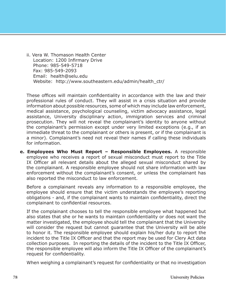ii. Vera W. Thomason Health Center Location: 1200 Infirmary Drive Phone: 985-549-5718 Fax: 985-549-2093 Email: health@selu.edu Website: http://www.southeastern.edu/admin/health\_ctr/

These offices will maintain confidentiality in accordance with the law and their professional rules of conduct. They will assist in a crisis situation and provide information about possible resources, some of which may include law enforcement, medical assistance, psychological counseling, victim advocacy assistance, legal assistance, University disciplinary action, immigration services and criminal prosecution. They will not reveal the complainant's identity to anyone without the complainant's permission except under very limited exceptions (e.g., if an immediate threat to the complainant or others is present, or if the complainant is a minor). Complainant's need not reveal their names if calling these individuals for information.

**e. Employees Who Must Report – Responsible Employees.** A responsible employee who receives a report of sexual misconduct must report to the Title IX Officer all relevant details about the alleged sexual misconduct shared by the complainant. A responsible employee should not share information with law enforcement without the complainant's consent, or unless the complainant has also reported the misconduct to law enforcement.

Before a complainant reveals any information to a responsible employee, the employee should ensure that the victim understands the employee's reporting obligations - and, if the complainant wants to maintain confidentiality, direct the complainant to confidential resources.

If the complainant chooses to tell the responsible employee what happened but also states that she or he wants to maintain confidentiality or does not want the matter investigated, the employee should tell the complainant that the University will consider the request but cannot guarantee that the University will be able to honor it. The responsible employee should explain his/her duty to report the incident to the Title IX Officer and that the report may be used for Clery Act data collection purposes. In reporting the details of the incident to the Title IX Officer, the responsible employee will also inform the Title IX Officer of the complainant's request for confidentiality.

When weighing a complainant's request for confidentiality or that no investigation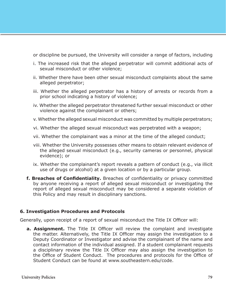or discipline be pursued, the University will consider a range of factors, including

- i. The increased risk that the alleged perpetrator will commit additional acts of sexual misconduct or other violence;
- ii. Whether there have been other sexual misconduct complaints about the same alleged perpetrator;
- iii. Whether the alleged perpetrator has a history of arrests or records from a prior school indicating a history of violence;
- iv. Whether the alleged perpetrator threatened further sexual misconduct or other violence against the complainant or others;
- v. Whether the alleged sexual misconduct was committed by multiple perpetrators;
- vi. Whether the alleged sexual misconduct was perpetrated with a weapon;
- vii. Whether the complainant was a minor at the time of the alleged conduct;
- viii. Whether the University possesses other means to obtain relevant evidence of the alleged sexual misconduct (e.g., security cameras or personnel, physical evidence); or
- ix. Whether the complainant's report reveals a pattern of conduct (e.g., via illicit use of drugs or alcohol) at a given location or by a particular group.
- **f. Breaches of Confidentiality.** Breaches of confidentiality or privacy committed by anyone receiving a report of alleged sexual misconduct or investigating the report of alleged sexual misconduct may be considered a separate violation of this Policy and may result in disciplinary sanctions.

#### **6. Investigation Procedures and Protocols**

Generally, upon receipt of a report of sexual misconduct the Title IX Officer will:

**a. Assignment.** The Title IX Officer will review the complaint and investigate the matter. Alternatively, the Title IX Officer may assign the investigation to a Deputy Coordinator or Investigator and advise the complainant of the name and contact information of the individual assigned. If a student complainant requests a disciplinary review the Title IX Officer may also assign the investigation to the Office of Student Conduct. The procedures and protocols for the Office of Student Conduct can be found at www.southeastern.edu/code.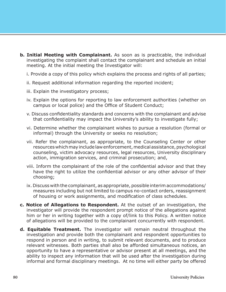- **b. Initial Meeting with Complainant.** As soon as is practicable, the individual investigating the complaint shall contact the complainant and schedule an initial meeting. At the initial meeting the Investigator will:
	- i. Provide a copy of this policy which explains the process and rights of all parties;
	- ii. Request additional information regarding the reported incident;
	- iii. Explain the investigatory process;
	- iv. Explain the options for reporting to law enforcement authorities (whether on campus or local police) and the Office of Student Conduct;
	- v. Discuss confidentiality standards and concerns with the complainant and advise that confidentiality may impact the University's ability to investigate fully;
	- vi. Determine whether the complainant wishes to pursue a resolution (formal or informal) through the University or seeks no resolution;
	- vii. Refer the complainant, as appropriate, to the Counseling Center or other resources which may include law enforcement, medical assistance, psychological counseling, victim advocacy resources, legal resources, University disciplinary action, immigration services, and criminal prosecution; and,
	- viii. Inform the complainant of the role of the confidential advisor and that they have the right to utilize the confidential advisor or any other advisor of their choosing;
	- ix. Discuss with the complainant, as appropriate, possible interim accommodations/ measures including but not limited to campus no-contact orders, reassignment of housing or work assignments, and modification of class schedules.
- **c. Notice of Allegations to Respondent.** At the outset of an investigation, the investigator will provide the respondent prompt notice of the allegations against him or her in writing together with a copy of/link to this Policy. A written notice of allegations will be provided to the complainant concurrently with respondent.
- **d. Equitable Treatment.** The investigator will remain neutral throughout the investigation and provide both the complainant and respondent opportunities to respond in person and in writing, to submit relevant documents, and to produce relevant witnesses. Both parties shall also be afforded simultaneous notices, an opportunity to have a representative or advisor present at all meetings, and the ability to inspect any information that will be used after the investigation during informal and formal disciplinary meetings. At no time will either party be offered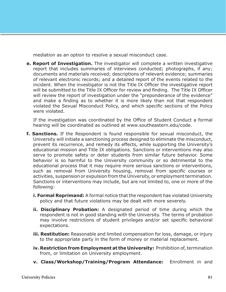mediation as an option to resolve a sexual misconduct case.

**e. Report of Investigation.** The investigator will complete a written investigative report that includes summaries of interviews conducted; photographs, if any; documents and materials received; descriptions of relevant evidence; summaries of relevant electronic records; and a detailed report of the events related to the incident. When the investigator is not the Title IX Officer the investigative report will be submitted to the Title IX Officer for review and finding. The Title IX Officer will review the report of investigation under the "preponderance of the evidence" and make a finding as to whether it is more likely than not that respondent violated the Sexual Misconduct Policy, and which specific sections of the Policy were violated.

If the investigation was coordinated by the Office of Student Conduct a formal hearing will be coordinated as outlined at www.southeastern.edu/code.

- **f. Sanctions.** If the Respondent is found responsible for sexual misconduct, the University will initiate a sanctioning process designed to eliminate the misconduct, prevent its recurrence, and remedy its effects, while supporting the University's educational mission and Title IX obligations. Sanctions or interventions may also serve to promote safety or deter students from similar future behavior. Some behavior is so harmful to the University community or so detrimental to the educational process that it may require more serious sanctions or interventions, such as removal from University housing, removal from specific courses or activities, suspension or expulsion from the University, or employment termination. Sanctions or interventions may include, but are not limited to, one or more of the following:
	- **i. Formal Reprimand:** A formal notice that the respondent has violated University policy and that future violations may be dealt with more severely.
	- **ii. Disciplinary Probation:** A designated period of time during which the respondent is not in good standing with the University. The terms of probation may involve restrictions of student privileges and/or set specific behavioral expectations.
	- **iii. Restitution:** Reasonable and limited compensation for loss, damage, or injury to the appropriate party in the form of money or material replacement.
	- **iv. Restriction from Employment at the University:** Prohibition of, termination from, or limitation on University employment.
	- **v. Class/Workshop/Training/Program Attendance:** Enrollment in and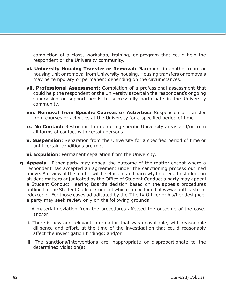completion of a class, workshop, training, or program that could help the respondent or the University community.

- **vi. University Housing Transfer or Removal:** Placement in another room or housing unit or removal from University housing. Housing transfers or removals may be temporary or permanent depending on the circumstances.
- **vii. Professional Assessment:** Completion of a professional assessment that could help the respondent or the University ascertain the respondent's ongoing supervision or support needs to successfully participate in the University community.
- **viii. Removal from Specific Courses or Activities:** Suspension or transfer from courses or activities at the University for a specified period of time.
- **ix. No Contact:** Restriction from entering specific University areas and/or from all forms of contact with certain persons.
- **x. Suspension:** Separation from the University for a specified period of time or until certain conditions are met.
- **xi. Expulsion:** Permanent separation from the University.
- **g. Appeals.** Either party may appeal the outcome of the matter except where a respondent has accepted an agreement under the sanctioning process outlined above. A review of the matter will be efficient and narrowly tailored. In student on student matters adjudicated by the Office of Student Conduct a party may appeal a Student Conduct Hearing Board's decision based on the appeals procedures outlined in the Student Code of Conduct which can be found at www.southeastern. edu/code. For those cases adjudicated by the Title IX Officer or his/her designee, a party may seek review only on the following grounds:
	- i. A material deviation from the procedures affected the outcome of the case; and/or
	- ii. There is new and relevant information that was unavailable, with reasonable diligence and effort, at the time of the investigation that could reasonably affect the investigation findings; and/or
	- iii. The sanctions/interventions are inappropriate or disproportionate to the determined violation(s)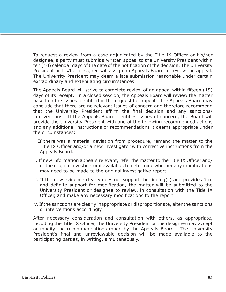To request a review from a case adjudicated by the Title IX Officer or his/her designee, a party must submit a written appeal to the University President within ten (10) calendar days of the date of the notification of the decision. The University President or his/her designee will assign an Appeals Board to review the appeal. The University President may deem a late submission reasonable under certain extraordinary and extenuating circumstances.

The Appeals Board will strive to complete review of an appeal within fifteen (15) days of its receipt. In a closed session, the Appeals Board will review the matter based on the issues identified in the request for appeal. The Appeals Board may conclude that there are no relevant issues of concern and therefore recommend that the University President affirm the final decision and any sanctions/ interventions. If the Appeals Board identifies issues of concern, the Board will provide the University President with one of the following recommended actions and any additional instructions or recommendations it deems appropriate under the circumstances:

- i. If there was a material deviation from procedure, remand the matter to the Title IX Officer and/or a new investigator with corrective instructions from the Appeals Board.
- ii. If new information appears relevant, refer the matter to the Title IX Officer and/ or the original investigator if available, to determine whether any modifications may need to be made to the original investigative report.
- iii. If the new evidence clearly does not support the finding(s) and provides firm and definite support for modification, the matter will be submitted to the University President or designee to review, in consultation with the Title IX Officer, and make any necessary modifications to the report.
- iv. If the sanctions are clearly inappropriate or disproportionate, alter the sanctions or interventions accordingly.

After necessary consideration and consultation with others, as appropriate, including the Title IX Officer, the University President or the designee may accept or modify the recommendations made by the Appeals Board. The University President's final and unreviewable decision will be made available to the participating parties, in writing, simultaneously.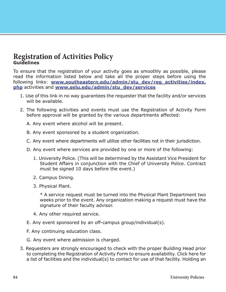### **Registration of Activities Policy Guidelines**

To ensure that the registration of your activity goes as smoothly as possible, please read the information listed below and take all the proper steps before using the following links: **[www.southeastern.edu/admin/stu\\_dev/reg\\_activities/index.](https://www.southeastern.edu/admin/stu_dev/reg_activities/index.php) [php](https://www.southeastern.edu/admin/stu_dev/reg_activities/index.php)** activities and **[www.selu.edu/admin/stu\\_dev/services](www.selu.edu/admin/stu_dev/services)**

- 1. Use of this link in no way guarantees the requester that the facility and/or services will be available.
- 2. The following activities and events must use the Registration of Activity Form before approval will be granted by the various departments affected:
	- A. Any event where alcohol will be present.
	- B. Any event sponsored by a student organization.
	- C. Any event where departments will utilize other facilities not in their jurisdiction.
	- D. Any event where services are provided by one or more of the following:
		- 1. University Police. (This will be determined by the Assistant Vice President for Student Affairs in conjunction with the Chief of University Police. Contract must be signed 10 days before the event.)
		- 2. Campus Dining.
		- 3. Physical Plant.

\* A service request must be turned into the Physical Plant Department two weeks prior to the event. Any organization making a request must have the signature of their faculty advisor.

- 4. Any other required service.
- E. Any event sponsored by an off-campus group/individual(s).
- F. Any continuing education class.
- G. Any event where admission is charged.
- 3. Requesters are strongly encouraged to check with the proper Building Head prior to completing the Registration of Activity Form to ensure availability. Click here for a list of facilities and the individual(s) to contact for use of that facility. Holding an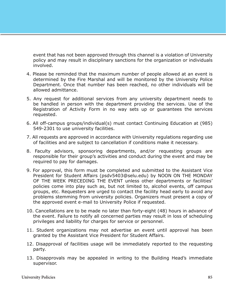event that has not been approved through this channel is a violation of University policy and may result in disciplinary sanctions for the organization or individuals involved.

- 4. Please be reminded that the maximum number of people allowed at an event is determined by the Fire Marshal and will be monitored by the University Police Department. Once that number has been reached, no other individuals will be allowed admittance.
- 5. Any request for additional services from any university department needs to be handled in person with the department providing the services. Use of the Registration of Activity Form in no way sets up or guarantees the services requested.
- 6. All off-campus groups/individual(s) must contact Continuing Education at (985) 549-2301 to use university facilities.
- 7. All requests are approved in accordance with University regulations regarding use of facilities and are subject to cancellation if conditions make it necessary.
- 8. Faculty advisors, sponsoring departments, and/or requesting groups are responsible for their group's activities and conduct during the event and may be required to pay for damages.
- 9. For approval, this form must be completed and submitted to the Assistant Vice President for Student Affairs (psdv5403@selu.edu) by NOON ON THE MONDAY OF THE WEEK PRECEDING THE EVENT unless other departments or facilities' policies come into play such as, but not limited to, alcohol events, off campus groups, etc. Requesters are urged to contact the facility head early to avoid any problems stemming from university policies. Organizers must present a copy of the approved event e-mail to University Police if requested.
- 10. Cancellations are to be made no later than forty-eight (48) hours in advance of the event. Failure to notify all concerned parties may result in loss of scheduling privileges and liability for charges for service or personnel.
- 11. Student organizations may not advertise an event until approval has been granted by the Assistant Vice President for Student Affairs.
- 12. Disapproval of facilities usage will be immediately reported to the requesting party.
- 13. Disapprovals may be appealed in writing to the Building Head's immediate supervisor.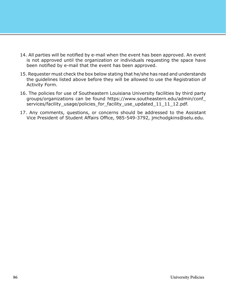- 14. All parties will be notified by e-mail when the event has been approved. An event is not approved until the organization or individuals requesting the space have been notified by e-mail that the event has been approved.
- 15. Requester must check the box below stating that he/she has read and understands the guidelines listed above before they will be allowed to use the Registration of Activity Form.
- 16. The policies for use of Southeastern Louisiana University facilities by third party groups/organizations can be found https://www.southeastern.edu/admin/conf\_ services/facility\_usage/policies\_for\_facility\_use\_updated\_11\_11\_12.pdf.
- 17. Any comments, questions, or concerns should be addressed to the Assistant Vice President of Student Affairs Office, 985-549-3792, jmchodgkins@selu.edu.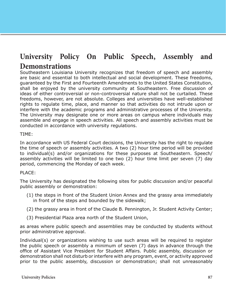### **University Policy On Public Speech, Assembly and Demonstrations**

Southeastern Louisiana University recognizes that freedom of speech and assembly are basic and essential to both intellectual and social development. These freedoms, guaranteed by the First and Fourteenth Amendments to the United States Constitution, shall be enjoyed by the university community at Southeastern. Free discussion of ideas of either controversial or non-controversial nature shall not be curtailed. These freedoms, however, are not absolute. Colleges and universities have well-established rights to regulate time, place, and manner so that activities do not intrude upon or interfere with the academic programs and administrative processes of the University. The University may designate one or more areas on campus where individuals may assemble and engage in speech activities. All speech and assembly activities must be conducted in accordance with university regulations.

#### TIME:

In accordance with US Federal Court decisions, the University has the right to regulate the time of speech or assembly activities. A two (2) hour time period will be provided to individual(s) and/or organizations for these purposes at Southeastern. Speech/ assembly activities will be limited to one two (2) hour time limit per seven (7) day period, commencing the Monday of each week.

#### PLACE:

The University has designated the following sites for public discussion and/or peaceful public assembly or demonstration:

- (1) the steps in front of the Student Union Annex and the grassy area immediately in front of the steps and bounded by the sidewalk;
- (2) the grassy area in front of the Claude B. Pennington, Jr. Student Activity Center;
- (3) Presidential Plaza area north of the Student Union,

as areas where public speech and assemblies may be conducted by students without prior administrative approval.

Individual(s) or organizations wishing to use such areas will be required to register the public speech or assembly a minimum of seven (7) days in advance through the office of Assistant Vice President for Student Affairs. Public assembly, discussion or demonstration shall not disturb or interfere with any program, event, or activity approved prior to the public assembly, discussion or demonstration; shall not unreasonably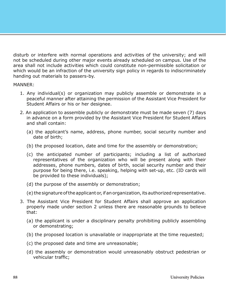disturb or interfere with normal operations and activities of the university; and will not be scheduled during other major events already scheduled on campus. Use of the area shall not include activities which could constitute non-permissible solicitation or which would be an infraction of the university sign policy in regards to indiscriminately handing out materials to passers-by.

#### MANNER:

- 1. Any individual(s) or organization may publicly assemble or demonstrate in a peaceful manner after attaining the permission of the Assistant Vice President for Student Affairs or his or her designee.
- 2. An application to assemble publicly or demonstrate must be made seven (7) days in advance on a form provided by the Assistant Vice President for Student Affairs and shall contain:
	- (a) the applicant's name, address, phone number, social security number and date of birth;
	- (b) the proposed location, date and time for the assembly or demonstration;
	- (c) the anticipated number of participants; including a list of authorized representatives of the organization who will be present along with their addresses, phone numbers, dates of birth, social security number and their purpose for being there, i.e. speaking, helping with set-up, etc. (ID cards will be provided to these individuals);
	- (d) the purpose of the assembly or demonstration;
	- (e) the signature of the applicant or, if an organization, its authorized representative.
- 3. The Assistant Vice President for Student Affairs shall approve an application properly made under section 2 unless there are reasonable grounds to believe that:
	- (a) the applicant is under a disciplinary penalty prohibiting publicly assembling or demonstrating;
	- (b) the proposed location is unavailable or inappropriate at the time requested;
	- (c) the proposed date and time are unreasonable;
	- (d) the assembly or demonstration would unreasonably obstruct pedestrian or vehicular traffic;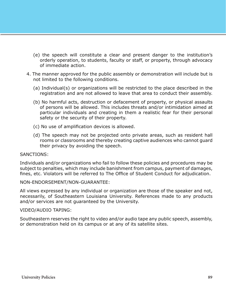- (e) the speech will constitute a clear and present danger to the institution's orderly operation, to students, faculty or staff, or property, through advocacy of immediate action.
- 4. The manner approved for the public assembly or demonstration will include but is not limited to the following conditions.
	- (a) Individual(s) or organizations will be restricted to the place described in the registration and are not allowed to leave that area to conduct their assembly.
	- (b) No harmful acts, destruction or defacement of property, or physical assaults of persons will be allowed. This includes threats and/or intimidation aimed at particular individuals and creating in them a realistic fear for their personal safety or the security of their property.
	- (c) No use of amplification devices is allowed.
	- (d) The speech may not be projected onto private areas, such as resident hall rooms or classrooms and thereby creating captive audiences who cannot guard their privacy by avoiding the speech.

#### SANCTIONS:

Individuals and/or organizations who fail to follow these policies and procedures may be subject to penalties, which may include banishment from campus, payment of damages, fines, etc. Violators will be referred to The Office of Student Conduct for adjudication.

NON-ENDORSEMENT/NON-GUARANTEE:

All views expressed by any individual or organization are those of the speaker and not, necessarily, of Southeastern Louisiana University. References made to any products and/or services are not guaranteed by the University.

#### VIDEO/AUDIO TAPING:

Southeastern reserves the right to video and/or audio tape any public speech, assembly, or demonstration held on its campus or at any of its satellite sites.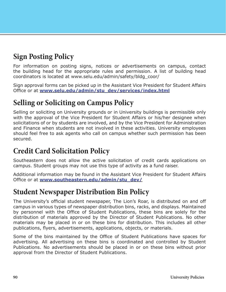# **Sign Posting Policy**

For information on posting signs, notices or advertisements on campus, contact the building head for the appropriate rules and permission. A list of building head coordinators is located at [www.selu.edu/admin/safety/bldg\\_coor/](http://www.selu.edu/admin/safety/bldg_coor/)

Sign approval forms can be picked up in the Assistant Vice President for Student Affairs Office or at **[www.selu.edu/admin/stu\\_dev/services/index.html](http://www.selu.edu/admin/stu_dev/services/index.html)**

# **Selling or Soliciting on Campus Policy**

Selling or soliciting on University grounds or in University buildings is permissible only with the approval of the Vice President for Student Affairs or his/her designee when solicitations of or by students are involved, and by the Vice President for Administration and Finance when students are not involved in these activities. University employees should feel free to ask agents who call on campus whether such permission has been secured.

### **Credit Card Solicitation Policy**

Southeastern does not allow the active solicitation of credit cards applications on campus. Student groups may not use this type of activity as a fund raiser.

Additional information may be found in the Assistant Vice President for Student Affairs Office or at **[www.southeastern.edu/admin/stu\\_dev/](http://www.southeastern.edu/admin/stu_dev/)**

### **Student Newspaper Distribution Bin Policy**

The University's official student newspaper, The Lion's Roar, is distributed on and off campus in various types of newspaper distribution bins, racks, and displays. Maintained by personnel with the Office of Student Publications, these bins are solely for the distribution of materials approved by the Director of Student Publications. No other materials may be placed in or on these bins for distribution. This includes all other publications, flyers, advertisements, applications, objects, or materials.

Some of the bins maintained by the Office of Student Publications have spaces for advertising. All advertising on these bins is coordinated and controlled by Student Publications. No advertisements should be placed in or on these bins without prior approval from the Director of Student Publications.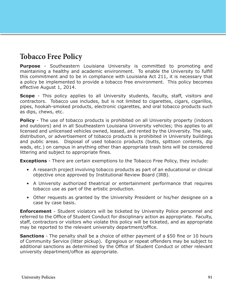### **Tobacco Free Policy**

**Purpose** - Southeastern Louisiana University is committed to promoting and maintaining a healthy and academic environment. To enable the University to fulfill this commitment and to be in compliance with Louisiana Act 211, it is necessary that a policy be implemented to provide a tobacco free environment. This policy becomes effective August 1, 2014.

**Scope** - This policy applies to all University students, faculty, staff, visitors and contractors. Tobacco use includes, but is not limited to cigarettes, cigars, cigarillos, pipes, hookah-smoked products, electronic cigarettes, and oral tobacco products such as dips, chews, etc.

**Policy** - The use of tobacco products is prohibited on all University property (indoors and outdoors) and in all Southeastern Louisiana University vehicles; this applies to all licensed and unlicensed vehicles owned, leased, and rented by the University. The sale, distribution, or advertisement of tobacco products is prohibited in University buildings and public areas. Disposal of used tobacco products (butts, spittoon contents, dip wads, etc.) on campus in anything other than appropriate trash bins will be considered littering and subject to appropriate fines.

**Exceptions** - There are certain exemptions to the Tobacco Free Policy, they include:

- A research project involving tobacco products as part of an educational or clinical objective once approved by Institutional Review Board (IRB).
- A University authorized theatrical or entertainment performance that requires tobacco use as part of the artistic production.
- Other requests as granted by the University President or his/her designee on a case by case basis.

**Enforcement** - Student violators will be ticketed by University Police personnel and referred to the Office of Student Conduct for disciplinary action as appropriate. Faculty, staff, contractors or visitors who violate this policy will be ticketed, and as appropriate may be reported to the relevant university department/office.

**Sanctions** - The penalty shall be a choice of either payment of a \$50 fine or 10 hours of Community Service (litter pickup). Egregious or repeat offenders may be subject to additional sanctions as determined by the Office of Student Conduct or other relevant university department/office as appropriate.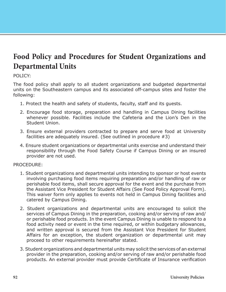# **Food Policy and Procedures for Student Organizations and Departmental Units**

#### POLICY:

The food policy shall apply to all student organizations and budgeted departmental units on the Southeastern campus and its associated off-campus sites and foster the following:

- 1. Protect the health and safety of students, faculty, staff and its guests.
- 2. Encourage food storage, preparation and handling in Campus Dining facilities whenever possible. Facilities include the Cafeteria and the Lion's Den in the Student Union.
- 3. Ensure external providers contracted to prepare and serve food at University facilities are adequately insured. (See outlined in procedure #3)
- 4. Ensure student organizations or departmental units exercise and understand their responsibility through the Food Safety Course if Campus Dining or an insured provider are not used.

#### PROCEDURE:

- 1. Student organizations and departmental units intending to sponsor or host events involving purchasing food items requiring preparation and/or handling of raw or perishable food items, shall secure approval for the event and the purchase from the Assistant Vice President for Student Affairs (See Food Policy Approval Form). This waiver form only applies to events not held in Campus Dining facilities and catered by Campus Dining.
- 2. Student organizations and departmental units are encouraged to solicit the services of Campus Dining in the preparation, cooking and/or serving of raw and/ or perishable food products. In the event Campus Dining is unable to respond to a food activity need or event in the time required, or within budgetary allowances, and written approval is secured from the Assistant Vice President for Student Affairs for an exception, the student organization or departmental unit may proceed to other requirements hereinafter stated.
- 3. Student organizations and departmental units may solicit the services of an external provider in the preparation, cooking and/or serving of raw and/or perishable food products. An external provider must provide Certificate of Insurance verification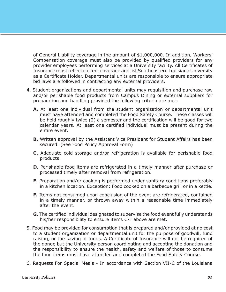of General Liability coverage in the amount of \$1,000,000. In addition, Workers' Compensation coverage must also be provided by qualified providers for any provider employees performing services at a University facility. All Certificates of Insurance must reflect current coverage and list Southeastern Louisiana University as a Certificate Holder. Departmental units are responsible to ensure appropriate bid laws are followed in contracting any external providers.

- 4. Student organizations and departmental units may requisition and purchase raw and/or perishable food products from Campus Dining or external suppliers for preparation and handling provided the following criteria are met:
	- **A.** At least one individual from the student organization or departmental unit must have attended and completed the Food Safety Course. These classes will be held roughly twice (2) a semester and the certification will be good for two calendar years. At least one certified individual must be present during the entire event.
	- **B.** Written approval by the Assistant Vice President for Student Affairs has been secured. (See Food Policy Approval Form)
	- **C.** Adequate cold storage and/or refrigeration is available for perishable food products.
	- **D.** Perishable food items are refrigerated in a timely manner after purchase or processed timely after removal from refrigeration.
	- **E.** Preparation and/or cooking is performed under sanitary conditions preferably in a kitchen location. Exception: Food cooked on a barbecue grill or in a kettle.
	- **F.** Items not consumed upon conclusion of the event are refrigerated, contained in a timely manner, or thrown away within a reasonable time immediately after the event.
	- **G.** The certified individual designated to supervise the food event fully understands his/her responsibility to ensure items C-F above are met.
- 5. Food may be provided for consumption that is prepared and/or provided at no cost to a student organization or departmental unit for the purpose of goodwill, fund raising, or the saving of funds. A Certificate of Insurance will not be required of the donor, but the University person coordinating and accepting the donation and the responsibility to ensure the health, safety and welfare of those to consume the food items must have attended and completed the Food Safety Course.
- 6. Requests For Special Meals In accordance with Section VII-C of the Louisiana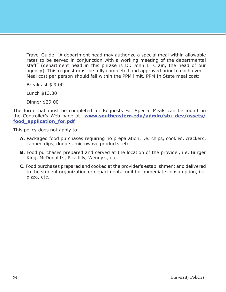Travel Guide: "A department head may authorize a special meal within allowable rates to be served in conjunction with a working meeting of the departmental staff" (department head in this phrase is Dr. John L. Crain, the head of our agency). This request must be fully completed and approved prior to each event. Meal cost per person should fall within the PPM limit. PPM In State meal cost:

Breakfast \$ 9.00

Lunch \$13.00

Dinner \$29.00

The form that must be completed for Requests For Special Meals can be found on the Controller's Web page at: **[www.southeastern.edu/admin/stu\\_dev/assets/](http://www.southeastern.edu/admin/stu_dev/assets/food_application_for.pdf) [food\\_application\\_for.pdf](http://www.southeastern.edu/admin/stu_dev/assets/food_application_for.pdf)**

This policy does not apply to:

- **A.** Packaged food purchases requiring no preparation, i.e. chips, cookies, crackers, canned dips, donuts, microwave products, etc.
- **B.** Food purchases prepared and served at the location of the provider, i.e. Burger King, McDonald's, Picadilly, Wendy's, etc.
- **C.** Food purchases prepared and cooked at the provider's establishment and delivered to the student organization or departmental unit for immediate consumption, i.e. pizza, etc.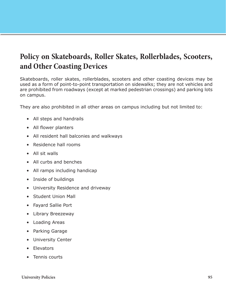# **Policy on Skateboards, Roller Skates, Rollerblades, Scooters, and Other Coasting Devices**

Skateboards, roller skates, rollerblades, scooters and other coasting devices may be used as a form of point-to-point transportation on sidewalks; they are not vehicles and are prohibited from roadways (except at marked pedestrian crossings) and parking lots on campus.

They are also prohibited in all other areas on campus including but not limited to:

- All steps and handrails
- All flower planters
- All resident hall balconies and walkways
- Residence hall rooms
- All sit walls
- All curbs and benches
- All ramps including handicap
- Inside of buildings
- University Residence and driveway
- Student Union Mall
- Fayard Sallie Port
- Library Breezeway
- Loading Areas
- Parking Garage
- University Center
- Elevators
- Tennis courts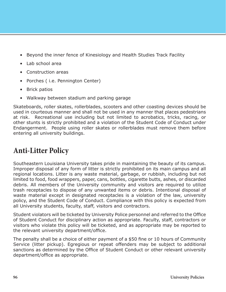- Beyond the inner fence of Kinesiology and Health Studies Track Facility
- Lab school area
- Construction areas
- Porches ( i.e. Pennington Center)
- Brick patios
- Walkway between stadium and parking garage

Skateboards, roller skates, rollerblades, scooters and other coasting devices should be used in courteous manner and shall not be used in any manner that places pedestrians at risk. Recreational use including but not limited to acrobatics, tricks, racing, or other stunts is strictly prohibited and a violation of the Student Code of Conduct under Endangerment. People using roller skates or rollerblades must remove them before entering all university buildings.

# **Anti-Litter Policy**

Southeastern Louisiana University takes pride in maintaining the beauty of its campus. Improper disposal of any form of litter is strictly prohibited on its main campus and all regional locations. Litter is any waste material, garbage, or rubbish, including but not limited to food, food wrappers, paper, cans, bottles, cigarette butts, ashes, or discarded debris. All members of the University community and visitors are required to utilize trash receptacles to dispose of any unwanted items or debris. Intentional disposal of waste material except in designated receptacles is a violation of the law, university policy, and the Student Code of Conduct. Compliance with this policy is expected from all University students, faculty, staff, visitors and contractors.

Student violators will be ticketed by University Police personnel and referred to the Office of Student Conduct for disciplinary action as appropriate. Faculty, staff, contractors or visitors who violate this policy will be ticketed, and as appropriate may be reported to the relevant university department/office.

The penalty shall be a choice of either payment of a \$50 fine or 10 hours of Community Service (litter pickup). Egregious or repeat offenders may be subject to additional sanctions as determined by the Office of Student Conduct or other relevant university department/office as appropriate.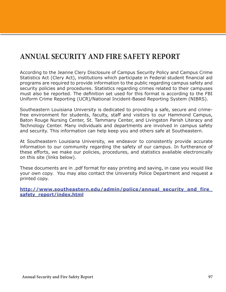# **ANNUAL SECURITY AND FIRE SAFETY REPORT**

According to the Jeanne Clery Disclosure of Campus Security Policy and Campus Crime Statistics Act (Clery Act), institutions which participate in Federal student financial aid programs are required to provide information to the public regarding campus safety and security policies and procedures. Statistics regarding crimes related to their campuses must also be reported. The definition set used for this format is according to the FBI Uniform Crime Reporting (UCR)/National Incident-Based Reporting System (NIBRS).

Southeastern Louisiana University is dedicated to providing a safe, secure and crimefree environment for students, faculty, staff and visitors to our Hammond Campus, Baton Rouge Nursing Center, St. Tammany Center, and Livingston Parish Literacy and Technology Center. Many individuals and departments are involved in campus safety and security. This information can help keep you and others safe at Southeastern.

At Southeastern Louisiana University, we endeavor to consistently provide accurate information to our community regarding the safety of our campus. In furtherance of these efforts, we make our policies, procedures, and statistics available electronically on this site (links below).

These documents are in .pdf format for easy printing and saving, in case you would like your own copy. You may also contact the University Police Department and request a printed copy.

**[http://www.southeastern.edu/admin/police/annual\\_security\\_and\\_fire\\_](http://www.southeastern.edu/admin/police/annual_security_and_fire_safety_report/index.html) [safety\\_report/index.html](http://www.southeastern.edu/admin/police/annual_security_and_fire_safety_report/index.html)**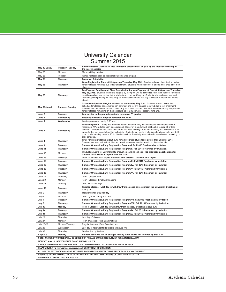### University Calendar Summer 2015

| May 19-June2                                                                                                                                   | Tuesday-Tuesday  | Summer Interim Classes-All fees for interim classes must be paid by the first class meeting of<br>the interim session                                                                                                                                                                                                                                                                                                                                                                                                                                              |  |  |  |
|------------------------------------------------------------------------------------------------------------------------------------------------|------------------|--------------------------------------------------------------------------------------------------------------------------------------------------------------------------------------------------------------------------------------------------------------------------------------------------------------------------------------------------------------------------------------------------------------------------------------------------------------------------------------------------------------------------------------------------------------------|--|--|--|
| May 25                                                                                                                                         | Monday           | Memorial Day Holiday                                                                                                                                                                                                                                                                                                                                                                                                                                                                                                                                               |  |  |  |
| May 26                                                                                                                                         | Tuesday          | Rental textbook pick-up begins for students who are paid                                                                                                                                                                                                                                                                                                                                                                                                                                                                                                           |  |  |  |
| <b>May 28</b>                                                                                                                                  | <b>Thursday</b>  | <b>Freshman Orientation</b>                                                                                                                                                                                                                                                                                                                                                                                                                                                                                                                                        |  |  |  |
| <b>May 28</b>                                                                                                                                  | Thursday         | Open Registration Ends at 5:30 p.m. on Thursday, May 28th. Students should check their schedule<br>for any classes removed due to low enrollment. Students who decide not to attend must drop all of their<br>classes.                                                                                                                                                                                                                                                                                                                                             |  |  |  |
| <b>May 28</b>                                                                                                                                  | Thursday         | Fee Payment Deadline and Class Cancellation for Non-Payment of Fees at 5:30 p.m. on Thursday,<br>May 28, 2015. Students who have not paid by 5:30 p.m. will be cancelled from their classes. Payments<br>must be received and posted to the students account by 5:30 p.m. Students whose classes are paid<br>with anticipated/pending aid must drop all their classes before first day of classes if they do not plan to<br>attend.                                                                                                                                |  |  |  |
| May 31-June2                                                                                                                                   | Sunday - Tuesday | Schedule Adjustment begins at 9:00 a.m. on Sunday, May 31st. Students should review their<br>schedule for classes cancelled for non-payment and for any classes removed due to low enrollment.<br>Students who decide not to attend must drop all of their classes. Students will be financially responsible<br>for any classes remaining on their schedule as of 5:30 p.m. on Tuesday, June 2nd.                                                                                                                                                                  |  |  |  |
| June 2                                                                                                                                         | Tuesday          | Last day for Undergraduate students to remove "I" grades                                                                                                                                                                                                                                                                                                                                                                                                                                                                                                           |  |  |  |
| June 3                                                                                                                                         | Wednesday        | First day of classes; Regular semester and Term I                                                                                                                                                                                                                                                                                                                                                                                                                                                                                                                  |  |  |  |
| June 3                                                                                                                                         | Wednesday        | Interim grades are due by 9:00 a.m.                                                                                                                                                                                                                                                                                                                                                                                                                                                                                                                                |  |  |  |
| June 3                                                                                                                                         | Wednesday        | Drop/Add period - During this drop/add period, a student may make schedule adjustments without<br>receiving a 'W' grade for each class dropped. However, a student will not be able to drop all of their<br>classes. To drop their last class, the student will need to resign from the university and will receive a 'W'<br>grade for the last class left on their schedule. Students may make final schedule adjustments until 5:30<br>p.m. on Wednesday, June 3, 2015. Students will be financially responsible for any classes remaining on<br>their schedule. |  |  |  |
| June 4                                                                                                                                         | Thursday         | Final Payment Deadline at 5:30 p.m. for all drop/add students registered for Summer 2015.<br>Students are responsible for tuition and fees for any courses that remain on their schedule.                                                                                                                                                                                                                                                                                                                                                                          |  |  |  |
| June 9                                                                                                                                         | Tuesday          | Summer Orientation/Early Registration Program I, Fall 2015 Freshman by Invitation                                                                                                                                                                                                                                                                                                                                                                                                                                                                                  |  |  |  |
| June 11                                                                                                                                        | <b>Thursday</b>  | Summer Orientation/Early Registration Program II, Fall 2015 Freshman by Invitation                                                                                                                                                                                                                                                                                                                                                                                                                                                                                 |  |  |  |
| June 15                                                                                                                                        | Monday           | Graduation Audits for Summer 2015 graduation candidates begin. No graduation applications for<br>Summer 2015 will be accepted after this date.                                                                                                                                                                                                                                                                                                                                                                                                                     |  |  |  |
| June 16                                                                                                                                        | Tuesday          | Term I Classes: Last day to withdraw from classes. Deadline at 5:30 p.m.                                                                                                                                                                                                                                                                                                                                                                                                                                                                                           |  |  |  |
| June 16                                                                                                                                        | Tuesday          | Summer Orientation/Early Registration Program III, Fall 2015 Freshman by Invitation                                                                                                                                                                                                                                                                                                                                                                                                                                                                                |  |  |  |
| June 18                                                                                                                                        | Thursday         | Summer Orientation/Early Registration Program IV, Fall 2015 Freshman by Invitation                                                                                                                                                                                                                                                                                                                                                                                                                                                                                 |  |  |  |
| June 23                                                                                                                                        | Tuesday          | Summer Orientation/Early Registration Program V, Fall 2015 Freshman by Invitation                                                                                                                                                                                                                                                                                                                                                                                                                                                                                  |  |  |  |
| June 25                                                                                                                                        | <b>Thursday</b>  | Summer Orientation/Early Registration Program VI, Fall 2015 Freshman by Invitation                                                                                                                                                                                                                                                                                                                                                                                                                                                                                 |  |  |  |
| June 25                                                                                                                                        | Thursday         | Term I Classes End                                                                                                                                                                                                                                                                                                                                                                                                                                                                                                                                                 |  |  |  |
| June 29                                                                                                                                        | Monday           | Term I Classes: Final Examinations                                                                                                                                                                                                                                                                                                                                                                                                                                                                                                                                 |  |  |  |
| June 30                                                                                                                                        | Tuesday          | Term II Classes Begin                                                                                                                                                                                                                                                                                                                                                                                                                                                                                                                                              |  |  |  |
| June 30                                                                                                                                        | Tuesday          | Regular Classes: Last day to withdraw from classes or resign from the University. Deadline at<br>5:30 p.m.                                                                                                                                                                                                                                                                                                                                                                                                                                                         |  |  |  |
| July 2                                                                                                                                         | <b>Thursday</b>  | Independence Day Holiday                                                                                                                                                                                                                                                                                                                                                                                                                                                                                                                                           |  |  |  |
| July 6                                                                                                                                         | Monday           | Term I grades due by 9:00 a.m.                                                                                                                                                                                                                                                                                                                                                                                                                                                                                                                                     |  |  |  |
| July 7                                                                                                                                         | Tuesday          | Summer Orientation/Early Registration Program VII, Fall 2015 Freshman by Invitation                                                                                                                                                                                                                                                                                                                                                                                                                                                                                |  |  |  |
| July 9                                                                                                                                         | Thursday         | Summer Orientation/Early Registration Program VIII, Fall 2015 Freshman by Invitation                                                                                                                                                                                                                                                                                                                                                                                                                                                                               |  |  |  |
| July 13                                                                                                                                        | <b>Monday</b>    | Term II Classes: Last day to withdraw from classes. Deadline at 5:30 p.m.                                                                                                                                                                                                                                                                                                                                                                                                                                                                                          |  |  |  |
| July 14                                                                                                                                        | Tuesday          | Summer Orientation/Early Registration Program IX, Fall 2015 Freshman by Invitation                                                                                                                                                                                                                                                                                                                                                                                                                                                                                 |  |  |  |
| July 16                                                                                                                                        | <b>Thursday</b>  | Summer Orientation/Early Registration Program X, Fall 2015 Freshman by Invitation                                                                                                                                                                                                                                                                                                                                                                                                                                                                                  |  |  |  |
| July 23                                                                                                                                        | Thursday         | Last day of classes                                                                                                                                                                                                                                                                                                                                                                                                                                                                                                                                                |  |  |  |
| July 27                                                                                                                                        | Monday           | Term II Classes: Final Examinations                                                                                                                                                                                                                                                                                                                                                                                                                                                                                                                                |  |  |  |
| July 27-28                                                                                                                                     | Monday-Tuesday   | Regular Classes: Final Examinations                                                                                                                                                                                                                                                                                                                                                                                                                                                                                                                                |  |  |  |
| July 29                                                                                                                                        | Wednesday        | Last day to return rental textbooks without a fine                                                                                                                                                                                                                                                                                                                                                                                                                                                                                                                 |  |  |  |
| July 30                                                                                                                                        | Thursday         | Grades due by 9:00 a.m.                                                                                                                                                                                                                                                                                                                                                                                                                                                                                                                                            |  |  |  |
| August 3                                                                                                                                       | Monday           | Student Accounts will be charged for any rental books not returned by 5:30 p.m.                                                                                                                                                                                                                                                                                                                                                                                                                                                                                    |  |  |  |
| NOTE: UNIVERSITY OFFICES WILL BE CLOSED ON FRIDAYS DURING THE SUMMER TERM; MEMORIAL DAY-<br>MONDAY, MAY 25; INDEPENDENCE DAY-THURSDAY, JULY 2. |                  |                                                                                                                                                                                                                                                                                                                                                                                                                                                                                                                                                                    |  |  |  |
| CAMPUS DINING OPERATIONS WILL BE CLOSED WHEN UNIVERSITY CLASSES ARE NOT IN SESSION.                                                            |                  |                                                                                                                                                                                                                                                                                                                                                                                                                                                                                                                                                                    |  |  |  |
|                                                                                                                                                |                  | PLEASE REFER TO www.selu.edu/AuxServices FOR FURTHER INFORMATION.                                                                                                                                                                                                                                                                                                                                                                                                                                                                                                  |  |  |  |
|                                                                                                                                                |                  | ALL RENTAL TEXTBOOKS MUST BE RETURNED TO TEXTBOOK RENTAL ON OR BEFORE 6:00 P.M. ON THE FIRST                                                                                                                                                                                                                                                                                                                                                                                                                                                                       |  |  |  |
| BUSINESS DAY FOLLOWING THE LAST DAY OF FINAL EXAMINATIONS. HOURS OF OPERATION EACH DAY                                                         |                  |                                                                                                                                                                                                                                                                                                                                                                                                                                                                                                                                                                    |  |  |  |
| DURING FINAL EXAMS: 7:00 A.M.-6:00 P.M.                                                                                                        |                  |                                                                                                                                                                                                                                                                                                                                                                                                                                                                                                                                                                    |  |  |  |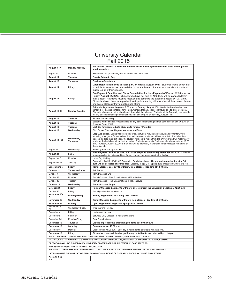### University Calendar Fall 2015

| August 3-17                                                                                                                                                                                      | Monday-Monday           | Fall Interim Classes – All fees for interim classes must be paid by the first class meeting of the<br>interim session.                                                                                                                                                                                                                                                                                                                                                                                                                                           |  |  |  |
|--------------------------------------------------------------------------------------------------------------------------------------------------------------------------------------------------|-------------------------|------------------------------------------------------------------------------------------------------------------------------------------------------------------------------------------------------------------------------------------------------------------------------------------------------------------------------------------------------------------------------------------------------------------------------------------------------------------------------------------------------------------------------------------------------------------|--|--|--|
| August 10                                                                                                                                                                                        | Monday                  | Rental textbook pick-up begins for students who have paid.                                                                                                                                                                                                                                                                                                                                                                                                                                                                                                       |  |  |  |
| <b>August 11</b>                                                                                                                                                                                 | Tuesday                 | <b>Faculty Return to Duty</b>                                                                                                                                                                                                                                                                                                                                                                                                                                                                                                                                    |  |  |  |
| August 13                                                                                                                                                                                        | Thursday                | <b>Freshman Orientation</b>                                                                                                                                                                                                                                                                                                                                                                                                                                                                                                                                      |  |  |  |
| August 14                                                                                                                                                                                        | Friday                  | Open Registration Ends at 12:30 p.m. on Friday, August 14th. Students should check their<br>schedule for any classes removed due to low enrollment. Students who decide not to attend<br>must drop all of their classes.                                                                                                                                                                                                                                                                                                                                         |  |  |  |
| August 14                                                                                                                                                                                        | Friday                  | Fee Payment Deadline and Class Cancellation for Non-Payment of Fees at 12:30 p.m. on<br>Friday, August 14, 2015. Students who have not paid by 12:30p.m. will be cancelled from<br>their classes. Payments must be received and posted to the students account by 12:30 p.m.<br>Students whose classes are paid with anticipated/pending aid must drop all their classes before<br>first day of classes if they do not plan to attend.                                                                                                                           |  |  |  |
| <b>August 16-18</b>                                                                                                                                                                              | Sunday-Tuesday          | Schedule Adjustment begins at 9:00 a.m. on Sunday, August 16th. Students should review their<br>schedule for classes cancelled for non-payment and for any classes removed due to low enrollment.<br>Students who decide not to attend must drop all of their classes. Students will be financially responsible<br>for any classes remaining on their schedule as of 5:00 p.m. on Tuesday, August 18th.                                                                                                                                                          |  |  |  |
| August 18                                                                                                                                                                                        | Tuesday                 | <b>Student Success Day</b>                                                                                                                                                                                                                                                                                                                                                                                                                                                                                                                                       |  |  |  |
| August 18                                                                                                                                                                                        | Tuesday                 | Students will be financially responsible for any classes remaining on their schedules as of 5:00 p.m. on<br>Tuesday, August 18th.                                                                                                                                                                                                                                                                                                                                                                                                                                |  |  |  |
| August 18                                                                                                                                                                                        | Tuesday                 | Last day for undergraduate students to remove "I" grades                                                                                                                                                                                                                                                                                                                                                                                                                                                                                                         |  |  |  |
| <b>August 19</b>                                                                                                                                                                                 | Wednesday               | First Day of Classes; Regular semester and Term I                                                                                                                                                                                                                                                                                                                                                                                                                                                                                                                |  |  |  |
| <b>August 19 - 20</b>                                                                                                                                                                            | Wednesday -<br>Thursday | Drop/Add period. During this drop/add period, a student may make schedule adjustments without<br>receiving a 'W' grade for each class dropped. However, a student will not be able to drop all of their<br>classes. To drop their last class, the student will need to resign from the university and will receive a 'W'<br>grade for the last class left on their schedule. Students may make final schedule adjustments until 5:00<br>p.m. Thursday, August 20, 2015. Students will be financially responsible for any classes remaining on<br>their schedule. |  |  |  |
| August 19                                                                                                                                                                                        | Wednesday               | Interim grades due by 9:00 a.m.                                                                                                                                                                                                                                                                                                                                                                                                                                                                                                                                  |  |  |  |
| August 21                                                                                                                                                                                        | Friday                  | Final Payment Deadline at 12:30 p.m. for all drop/add students registered for Fall 2015. Students<br>are responsible for tuition and fees for any courses that remain on their schedule.                                                                                                                                                                                                                                                                                                                                                                         |  |  |  |
| September 7                                                                                                                                                                                      | Monday                  | Labor Day Holiday                                                                                                                                                                                                                                                                                                                                                                                                                                                                                                                                                |  |  |  |
| September 15                                                                                                                                                                                     | Tuesday                 | Graduation Audit for Fall 2015 Graduation Candidates begin. No graduation applications for Fall<br>2015 will be accepted after this date. Last Day to apply for Spring 2016 graduation without late fee.                                                                                                                                                                                                                                                                                                                                                         |  |  |  |
| September 25                                                                                                                                                                                     | Friday                  | Term I Classes: Last day to withdraw from classes. Deadline at 12:30 p.m.                                                                                                                                                                                                                                                                                                                                                                                                                                                                                        |  |  |  |
| October 1-2                                                                                                                                                                                      | <b>Thursday-Friday</b>  | <b>Fall Break</b>                                                                                                                                                                                                                                                                                                                                                                                                                                                                                                                                                |  |  |  |
| October 7                                                                                                                                                                                        | Wednesday               | Term I Classes End                                                                                                                                                                                                                                                                                                                                                                                                                                                                                                                                               |  |  |  |
| October 12                                                                                                                                                                                       | Monday                  | Term I Classes: Final Examinations; M-W schedule                                                                                                                                                                                                                                                                                                                                                                                                                                                                                                                 |  |  |  |
| October 13                                                                                                                                                                                       | Tuesday                 | Term I Classes: Final Examinations; T-TH schedule                                                                                                                                                                                                                                                                                                                                                                                                                                                                                                                |  |  |  |
| October 14                                                                                                                                                                                       | Wednesday               | <b>Term II Classes Begin</b>                                                                                                                                                                                                                                                                                                                                                                                                                                                                                                                                     |  |  |  |
| October 23                                                                                                                                                                                       | Friday                  | Regular Classes: Last day to withdraw or resign from the University. Deadline at 12:30 p.m.                                                                                                                                                                                                                                                                                                                                                                                                                                                                      |  |  |  |
| October 23                                                                                                                                                                                       | Friday                  | Term I grades due by 9:00 a.m.                                                                                                                                                                                                                                                                                                                                                                                                                                                                                                                                   |  |  |  |
| November 16-<br>20                                                                                                                                                                               | <b>Monday-Friday</b>    | Priority Registration for Spring 2016 Classes                                                                                                                                                                                                                                                                                                                                                                                                                                                                                                                    |  |  |  |
| November 18                                                                                                                                                                                      | Wednesday               | Term II Classes: Last day to withdraw from classes. Deadline at 5:00 p.m.                                                                                                                                                                                                                                                                                                                                                                                                                                                                                        |  |  |  |
| November 23                                                                                                                                                                                      | Monday                  | Open Registration Begins for Spring 2016 Classes                                                                                                                                                                                                                                                                                                                                                                                                                                                                                                                 |  |  |  |
| November 25-<br>27                                                                                                                                                                               | Wednesday-Friday        | <b>Thanksgiving Holiday</b>                                                                                                                                                                                                                                                                                                                                                                                                                                                                                                                                      |  |  |  |
| December 4                                                                                                                                                                                       | Friday                  | Last day of classes                                                                                                                                                                                                                                                                                                                                                                                                                                                                                                                                              |  |  |  |
| December 5                                                                                                                                                                                       | Saturday                | Saturday Only Classes - Final Examinations                                                                                                                                                                                                                                                                                                                                                                                                                                                                                                                       |  |  |  |
| December 7-11                                                                                                                                                                                    | Monday-Friday           | <b>Final Examinations</b>                                                                                                                                                                                                                                                                                                                                                                                                                                                                                                                                        |  |  |  |
| December 10                                                                                                                                                                                      | Thursday                | Grades of prospective graduating students due by 9:00 a.m.                                                                                                                                                                                                                                                                                                                                                                                                                                                                                                       |  |  |  |
| December 12                                                                                                                                                                                      | Saturday                | Commencement 10:00 a.m.                                                                                                                                                                                                                                                                                                                                                                                                                                                                                                                                          |  |  |  |
| December 14                                                                                                                                                                                      | Monday                  | Grades due by 9:00 a.m. - Last day to return rental textbooks without a fine.                                                                                                                                                                                                                                                                                                                                                                                                                                                                                    |  |  |  |
| December 18                                                                                                                                                                                      | Friday                  | Student accounts will be charged for any rental books not returned by 12:30 p.m.                                                                                                                                                                                                                                                                                                                                                                                                                                                                                 |  |  |  |
| NOTE: UNIVERSITY OFFICES WILL BE CLOSED ON LABOR DAY-SEPTEMBER 7; FALL BREAK-OCTOBER 1-2;                                                                                                        |                         |                                                                                                                                                                                                                                                                                                                                                                                                                                                                                                                                                                  |  |  |  |
| THANKSGIVING, NOVEMBER 25-27; AND CHRISTMAS & NEW YEAR HOLIDAYS, DECEMBER 21-JANUARY 1st. CAMPUS DINING<br>OPERATIONS WILL BE CLOSED WHEN UNIVERSITY CLASSES ARE NOT IN SESSION. PLEASE REFER TO |                         |                                                                                                                                                                                                                                                                                                                                                                                                                                                                                                                                                                  |  |  |  |
| www.selu.edu/AuxServices FOR FURTHER INFORMATION.                                                                                                                                                |                         |                                                                                                                                                                                                                                                                                                                                                                                                                                                                                                                                                                  |  |  |  |
| ALL RENTAL TEXTBOOKS MUST BE RETURNED TO TEXTBOOK RENTAL ON OR BEFORE 6:00 P.M. ON THE FIRST BUSINESS                                                                                            |                         |                                                                                                                                                                                                                                                                                                                                                                                                                                                                                                                                                                  |  |  |  |
| DAY FOLLOWING THE LAST DAY OF FINAL EXAMINATIONS. HOURS OF OPERATION EACH DAY DURING FINAL EXAMS:                                                                                                |                         |                                                                                                                                                                                                                                                                                                                                                                                                                                                                                                                                                                  |  |  |  |
| 7:00 A.M.-6:00<br>P.M.                                                                                                                                                                           |                         |                                                                                                                                                                                                                                                                                                                                                                                                                                                                                                                                                                  |  |  |  |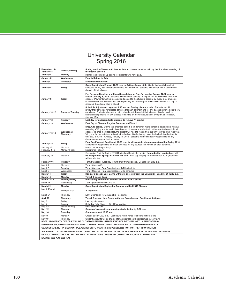### University Calendar Spring 2016

| December 15-<br>January 15                                                                                                                                                                     | <b>Tuesday -Friday</b>  | Spring Interim Classes - All fees for interim classes must be paid by the first class meeting of<br>the interim session.                                                                                                                                                                                                                                                                                                                                                                                                                                             |  |  |  |
|------------------------------------------------------------------------------------------------------------------------------------------------------------------------------------------------|-------------------------|----------------------------------------------------------------------------------------------------------------------------------------------------------------------------------------------------------------------------------------------------------------------------------------------------------------------------------------------------------------------------------------------------------------------------------------------------------------------------------------------------------------------------------------------------------------------|--|--|--|
| January 4                                                                                                                                                                                      | Monday                  | Rental textbook pick-up begins for students who have paid.                                                                                                                                                                                                                                                                                                                                                                                                                                                                                                           |  |  |  |
| January 6                                                                                                                                                                                      | Wednesday               | <b>Faculty Return to Duty</b>                                                                                                                                                                                                                                                                                                                                                                                                                                                                                                                                        |  |  |  |
| January 7                                                                                                                                                                                      | Thursday                | <b>Freshman Orientation</b>                                                                                                                                                                                                                                                                                                                                                                                                                                                                                                                                          |  |  |  |
|                                                                                                                                                                                                |                         | Open Registration Ends at 12:30 p.m. on Friday, January 8th. Students should check their                                                                                                                                                                                                                                                                                                                                                                                                                                                                             |  |  |  |
| January 8                                                                                                                                                                                      | Friday                  | schedule for any classes removed due to low enrollment. Students who decide not to attend must<br>drop all of their classes.                                                                                                                                                                                                                                                                                                                                                                                                                                         |  |  |  |
| January 8                                                                                                                                                                                      | Friday                  | Fee Payment Deadline and Class Cancellation for Non-Payment of Fees at 12:30 p.m. on<br>Friday, January 8, 2016. Students who have not paid by 12:30 p.m. will be cancelled from their<br>classes. Payment must be received and posted to the students account by 12:30 p.m. Students<br>whose classes are paid with anticipated/pending aid must drop all their classes before first day of<br>classes if they do not plan to attend.                                                                                                                               |  |  |  |
| January 10-12                                                                                                                                                                                  | Sunday - Tuesday        | Schedule Adjustment begins at 9:00 a.m. on Sunday, January 10th. Students should<br>review their schedule for classes cancelled for non-payment and for any classes removed due to low<br>enrollment. Students who decide not to attend must drop all of their classes. Students will be<br>financially responsible for any classes remaining on their schedule as of 5:00 p.m. on Tuesday,<br>January 12th.                                                                                                                                                         |  |  |  |
| January 12                                                                                                                                                                                     | Tuesday                 | Last day for undergraduate students to remove "I" grades                                                                                                                                                                                                                                                                                                                                                                                                                                                                                                             |  |  |  |
| January 13                                                                                                                                                                                     | Wednesday               | First Day of Classes; Regular Semester and Term I                                                                                                                                                                                                                                                                                                                                                                                                                                                                                                                    |  |  |  |
| January 13-14                                                                                                                                                                                  | Wednesday-<br>Thursday  | Drop/Add period. During this drop/add period, a student may make schedule adjustments without<br>receiving a 'W' grade for each class dropped. However, a student will not be able to drop all of their<br>classes. To drop their last class, the student will need to resign from the university and will receive a<br>'W' grade for the last class left on their schedule. Students may make final schedule adjustments<br>until 5:00 p.m. on Thursday, January 14, 2016. Students will be financially responsible for any<br>classes remaining on their schedule. |  |  |  |
| January 15                                                                                                                                                                                     | Friday                  | Final Fee Payment Deadline at 12:30 p.m. for all drop/add students registered for Spring 2016.<br>Students are responsible for tuition and fees for any courses that remain on their schedule.                                                                                                                                                                                                                                                                                                                                                                       |  |  |  |
| January 18                                                                                                                                                                                     | Monday                  | Martin Luther King Holiday                                                                                                                                                                                                                                                                                                                                                                                                                                                                                                                                           |  |  |  |
| February 8-12                                                                                                                                                                                  | Monday-Friday           | Mardi Gras Holiday                                                                                                                                                                                                                                                                                                                                                                                                                                                                                                                                                   |  |  |  |
| February 15                                                                                                                                                                                    | Monday                  | Graduation Audit for Spring 2016 Graduation Candidates begin. No graduation applications will<br>be accepted for Spring 2016 after this date. Last day to apply for Summer/Fall 2016 graduation<br>without late fee.                                                                                                                                                                                                                                                                                                                                                 |  |  |  |
| February 16                                                                                                                                                                                    | Tuesday                 | Term I Classes: Last day to withdraw from classes. Deadline at 5:00 p.m.                                                                                                                                                                                                                                                                                                                                                                                                                                                                                             |  |  |  |
| March <sub>7</sub>                                                                                                                                                                             | Monday                  | Term I Classes End                                                                                                                                                                                                                                                                                                                                                                                                                                                                                                                                                   |  |  |  |
| March 8                                                                                                                                                                                        | Tuesdav                 | Term I Classes: Final Examinations; T-TH schedule                                                                                                                                                                                                                                                                                                                                                                                                                                                                                                                    |  |  |  |
| March 9                                                                                                                                                                                        | Wednesday               | Term I Classes: Final Examinations; M-W schedule                                                                                                                                                                                                                                                                                                                                                                                                                                                                                                                     |  |  |  |
| March 11                                                                                                                                                                                       | Friday                  | Regular Classes: Last Day to withdraw or resign from the University. Deadline at 12:30 p.m.                                                                                                                                                                                                                                                                                                                                                                                                                                                                          |  |  |  |
| March 14<br><b>March 14-18</b>                                                                                                                                                                 | Monday<br>Monday-Friday | <b>Term II Classes Begin</b><br>Priority Registration for Summer and Fall 2016 Classes                                                                                                                                                                                                                                                                                                                                                                                                                                                                               |  |  |  |
| March 16                                                                                                                                                                                       | Wednesday               | Term I grades due by 9:00 a.m.                                                                                                                                                                                                                                                                                                                                                                                                                                                                                                                                       |  |  |  |
| March 21                                                                                                                                                                                       | Monday                  | Open Registration Begins for Summer and Fall 2016 Classes                                                                                                                                                                                                                                                                                                                                                                                                                                                                                                            |  |  |  |
| March 25-April                                                                                                                                                                                 | Friday-Friday           | Spring Break                                                                                                                                                                                                                                                                                                                                                                                                                                                                                                                                                         |  |  |  |
| March 31                                                                                                                                                                                       | Thursday                | Early Orientation for Scholarship Recipients                                                                                                                                                                                                                                                                                                                                                                                                                                                                                                                         |  |  |  |
| April 28                                                                                                                                                                                       | Thursday                | Term II Classes: Last Day to withdraw from classes. Deadline at 5:00 p.m.                                                                                                                                                                                                                                                                                                                                                                                                                                                                                            |  |  |  |
| May 6                                                                                                                                                                                          | Friday                  | Last day of classes                                                                                                                                                                                                                                                                                                                                                                                                                                                                                                                                                  |  |  |  |
| May 7                                                                                                                                                                                          | Saturday                | Saturday Only Classes - Final Examinations                                                                                                                                                                                                                                                                                                                                                                                                                                                                                                                           |  |  |  |
| May 9-13                                                                                                                                                                                       | Monday-Friday           | <b>Final Examinations</b>                                                                                                                                                                                                                                                                                                                                                                                                                                                                                                                                            |  |  |  |
| May 12                                                                                                                                                                                         | Thursday                | Grades of prospective graduating students due by 9:00 a.m.                                                                                                                                                                                                                                                                                                                                                                                                                                                                                                           |  |  |  |
| May 14                                                                                                                                                                                         | Saturday                | Commencement 10:00 a.m.                                                                                                                                                                                                                                                                                                                                                                                                                                                                                                                                              |  |  |  |
| May 16                                                                                                                                                                                         | Monday                  | Grades due by 9:00 a.m. - Last day to return rental textbooks without a fine                                                                                                                                                                                                                                                                                                                                                                                                                                                                                         |  |  |  |
| May 19                                                                                                                                                                                         | Thursdav                | Student accounts will be charged for any rental books not returned by 5:30 p.m.                                                                                                                                                                                                                                                                                                                                                                                                                                                                                      |  |  |  |
| NOTE: UNIVERSITY OFFICES WILL BE CLOSED ON MARTIN LUTHER KING HOLIDAY-JANUARY 18; MARDI-GRAS-<br>FEBRUARY 8-9, AND EASTER-March 25-28. CAMPUS DINING OPERATIONS WILL BE CLOSED WHEN UNIVERSITY |                         |                                                                                                                                                                                                                                                                                                                                                                                                                                                                                                                                                                      |  |  |  |
| CLASSES ARE NOT IN SESSION. PLEASE REFER TO www.selu.edu/AuxServices FOR FURTHER INFORMATION.                                                                                                  |                         |                                                                                                                                                                                                                                                                                                                                                                                                                                                                                                                                                                      |  |  |  |
|                                                                                                                                                                                                |                         |                                                                                                                                                                                                                                                                                                                                                                                                                                                                                                                                                                      |  |  |  |
|                                                                                                                                                                                                |                         | ALL RENTAL TEXTBOOKS MUST BE RETURNED TO TEXTBOOK RENTAL ON OR BEFORE 6:00 P.M. ON THE FIRST BUSINESS<br>DAY FOLLOWING THE LAST DAY OF FINAL EXAMINATIONS. HOURS OF OPERATION EACH DAY DURING FINAL                                                                                                                                                                                                                                                                                                                                                                  |  |  |  |
| EXAMS: 7:00 A.M.-6:00 P.M.                                                                                                                                                                     |                         |                                                                                                                                                                                                                                                                                                                                                                                                                                                                                                                                                                      |  |  |  |
|                                                                                                                                                                                                |                         |                                                                                                                                                                                                                                                                                                                                                                                                                                                                                                                                                                      |  |  |  |